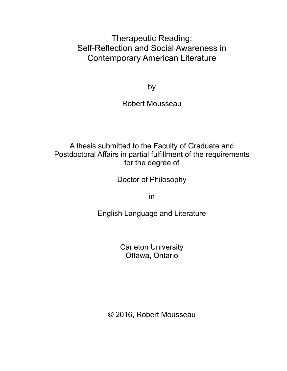Therapeutic Reading: Self-Reflection and Social Awareness in Contemporary American Literature

by

Robert Mousseau

A thesis submitted to the Faculty of Graduate and Postdoctoral Affairs in partial fulfillment of the requirements for the degree of

Doctor of Philosophy

in

English Language and Literature

Carleton University Ottawa, Ontario

© 2016, Robert Mousseau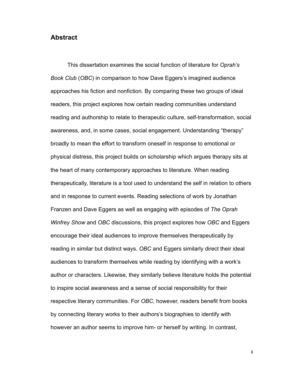#### **Abstract**

 This dissertation examines the social function of literature for *Oprah's Book Club* (*OBC*) in comparison to how Dave Eggers's imagined audience approaches his fiction and nonfiction. By comparing these two groups of ideal readers, this project explores how certain reading communities understand reading and authorship to relate to therapeutic culture, self-transformation, social awareness, and, in some cases, social engagement. Understanding "therapy" broadly to mean the effort to transform oneself in response to emotional or physical distress, this project builds on scholarship which argues therapy sits at the heart of many contemporary approaches to literature. When reading therapeutically, literature is a tool used to understand the self in relation to others and in response to current events. Reading selections of work by Jonathan Franzen and Dave Eggers as well as engaging with episodes of *The Oprah Winfrey Show* and *OBC* discussions, this project explores how *OBC* and Eggers encourage their ideal audiences to improve themselves therapeutically by reading in similar but distinct ways. *OBC* and Eggers similarly direct their ideal audiences to transform themselves while reading by identifying with a work's author or characters. Likewise, they similarly believe literature holds the potential to inspire social awareness and a sense of social responsibility for their respective literary communities. For *OBC*, however, readers benefit from books by connecting literary works to their authors's biographies to identify with however an author seems to improve him- or herself by writing. In contrast,

ii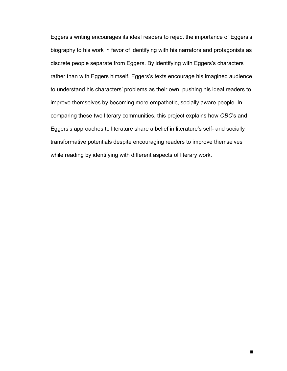Eggers's writing encourages its ideal readers to reject the importance of Eggers's biography to his work in favor of identifying with his narrators and protagonists as discrete people separate from Eggers. By identifying with Eggers's characters rather than with Eggers himself, Eggers's texts encourage his imagined audience to understand his characters' problems as their own, pushing his ideal readers to improve themselves by becoming more empathetic, socially aware people. In comparing these two literary communities, this project explains how *OBC*'s and Eggers's approaches to literature share a belief in literature's self- and socially transformative potentials despite encouraging readers to improve themselves while reading by identifying with different aspects of literary work.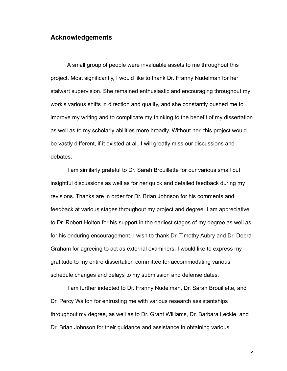#### **Acknowledgements**

 A small group of people were invaluable assets to me throughout this project. Most significantly, I would like to thank Dr. Franny Nudelman for her stalwart supervision. She remained enthusiastic and encouraging throughout my work's various shifts in direction and quality, and she constantly pushed me to improve my writing and to complicate my thinking to the benefit of my dissertation as well as to my scholarly abilities more broadly. Without her, this project would be vastly different, if it existed at all. I will greatly miss our discussions and debates.

 I am similarly grateful to Dr. Sarah Brouillette for our various small but insightful discussions as well as for her quick and detailed feedback during my revisions. Thanks are in order for Dr. Brian Johnson for his comments and feedback at various stages throughout my project and degree. I am appreciative to Dr. Robert Holton for his support in the earliest stages of my degree as well as for his enduring encouragement. I wish to thank Dr. Timothy Aubry and Dr. Debra Graham for agreeing to act as external examiners. I would like to express my gratitude to my entire dissertation committee for accommodating various schedule changes and delays to my submission and defense dates.

 I am further indebted to Dr. Franny Nudelman, Dr. Sarah Brouillette, and Dr. Percy Walton for entrusting me with various research assistantships throughout my degree, as well as to Dr. Grant Williams, Dr. Barbara Leckie, and Dr. Brian Johnson for their guidance and assistance in obtaining various

iv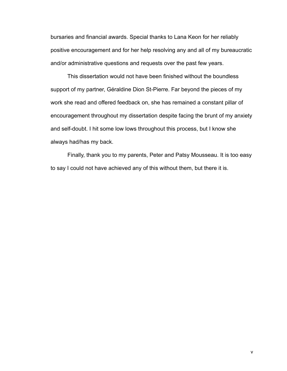bursaries and financial awards. Special thanks to Lana Keon for her reliably positive encouragement and for her help resolving any and all of my bureaucratic and/or administrative questions and requests over the past few years.

 This dissertation would not have been finished without the boundless support of my partner, Géraldine Dion St-Pierre. Far beyond the pieces of my work she read and offered feedback on, she has remained a constant pillar of encouragement throughout my dissertation despite facing the brunt of my anxiety and self-doubt. I hit some low lows throughout this process, but I know she always had/has my back.

 Finally, thank you to my parents, Peter and Patsy Mousseau. It is too easy to say I could not have achieved any of this without them, but there it is.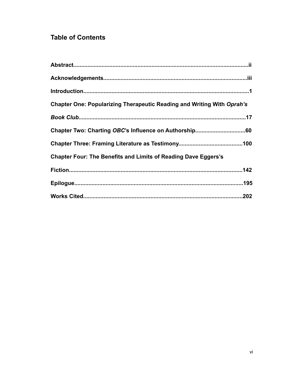# **Table of Contents**

| Chapter One: Popularizing Therapeutic Reading and Writing With Oprah's |
|------------------------------------------------------------------------|
|                                                                        |
|                                                                        |
|                                                                        |
| <b>Chapter Four: The Benefits and Limits of Reading Dave Eggers's</b>  |
|                                                                        |
|                                                                        |
|                                                                        |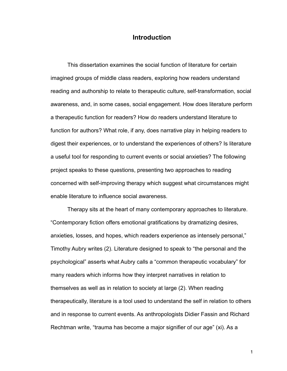## **Introduction**

 This dissertation examines the social function of literature for certain imagined groups of middle class readers, exploring how readers understand reading and authorship to relate to therapeutic culture, self-transformation, social awareness, and, in some cases, social engagement. How does literature perform a therapeutic function for readers? How do readers understand literature to function for authors? What role, if any, does narrative play in helping readers to digest their experiences, or to understand the experiences of others? Is literature a useful tool for responding to current events or social anxieties? The following project speaks to these questions, presenting two approaches to reading concerned with self-improving therapy which suggest what circumstances might enable literature to influence social awareness.

 Therapy sits at the heart of many contemporary approaches to literature. "Contemporary fiction offers emotional gratifications by dramatizing desires, anxieties, losses, and hopes, which readers experience as intensely personal," Timothy Aubry writes (2). Literature designed to speak to "the personal and the psychological" asserts what Aubry calls a "common therapeutic vocabulary" for many readers which informs how they interpret narratives in relation to themselves as well as in relation to society at large (2). When reading therapeutically, literature is a tool used to understand the self in relation to others and in response to current events. As anthropologists Didier Fassin and Richard Rechtman write, "trauma has become a major signifier of our age" (xi). As a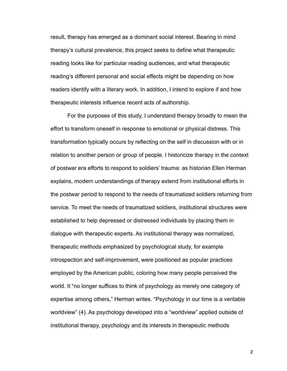result, therapy has emerged as a dominant social interest. Bearing in mind therapy's cultural prevalence, this project seeks to define what therapeutic reading looks like for particular reading audiences, and what therapeutic reading's different personal and social effects might be depending on how readers identify with a literary work. In addition, I intend to explore if and how therapeutic interests influence recent acts of authorship.

 For the purposes of this study, I understand therapy broadly to mean the effort to transform oneself in response to emotional or physical distress. This transformation typically occurs by reflecting on the self in discussion with or in relation to another person or group of people. I historicize therapy in the context of postwar era efforts to respond to soldiers' trauma: as historian Ellen Herman explains, modern understandings of therapy extend from institutional efforts in the postwar period to respond to the needs of traumatized soldiers returning from service. To meet the needs of traumatized soldiers, institutional structures were established to help depressed or distressed individuals by placing them in dialogue with therapeutic experts. As institutional therapy was normalized, therapeutic methods emphasized by psychological study, for example introspection and self-improvement, were positioned as popular practices employed by the American public, coloring how many people perceived the world. It "no longer suffices to think of psychology as merely one category of expertise among others," Herman writes. "Psychology in our time is a veritable worldview" (4). As psychology developed into a "worldview" applied outside of institutional therapy, psychology and its interests in therapeutic methods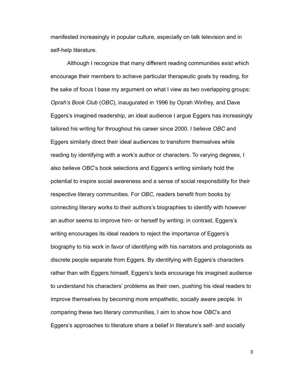manifested increasingly in popular culture, especially on talk television and in self-help literature.

 Although I recognize that many different reading communities exist which encourage their members to achieve particular therapeutic goals by reading, for the sake of focus I base my argument on what I view as two overlapping groups: *Oprah's Book Club* (*OBC*), inaugurated in 1996 by Oprah Winfrey, and Dave Eggers's imagined readership, an ideal audience I argue Eggers has increasingly tailored his writing for throughout his career since 2000. I believe *OBC* and Eggers similarly direct their ideal audiences to transform themselves while reading by identifying with a work's author or characters. To varying degrees, I also believe *OBC*'s book selections and Eggers's writing similarly hold the potential to inspire social awareness and a sense of social responsibility for their respective literary communities. For *OBC*, readers benefit from books by connecting literary works to their authors's biographies to identify with however an author seems to improve him- or herself by writing; in contrast, Eggers's writing encourages its ideal readers to reject the importance of Eggers's biography to his work in favor of identifying with his narrators and protagonists as discrete people separate from Eggers. By identifying with Eggers's characters rather than with Eggers himself, Eggers's texts encourage his imagined audience to understand his characters' problems as their own, pushing his ideal readers to improve themselves by becoming more empathetic, socially aware people. In comparing these two literary communities, I aim to show how *OBC*'s and Eggers's approaches to literature share a belief in literature's self- and socially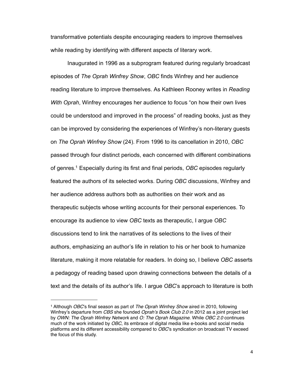transformative potentials despite encouraging readers to improve themselves while reading by identifying with different aspects of literary work.

 Inaugurated in 1996 as a subprogram featured during regularly broadcast episodes of *The Oprah Winfrey Show*, *OBC* finds Winfrey and her audience reading literature to improve themselves. As Kathleen Rooney writes in *Reading With Oprah*, Winfrey encourages her audience to focus "on how their own lives could be understood and improved in the process" of reading books, just as they can be improved by considering the experiences of Winfrey's non-literary guests on *The Oprah Winfrey Show* (24). From 1996 to its cancellation in 2010, *OBC*  passed through four distinct periods, each concerned with different combinations of genres[.1](#page-9-0) Especially during its first and final periods, *OBC* episodes regularly featured the authors of its selected works. During *OBC* discussions, Winfrey and her audience address authors both as authorities on their work and as therapeutic subjects whose writing accounts for their personal experiences. To encourage its audience to view *OBC* texts as therapeutic, I argue *OBC* discussions tend to link the narratives of its selections to the lives of their authors, emphasizing an author's life in relation to his or her book to humanize literature, making it more relatable for readers. In doing so, I believe *OBC* asserts a pedagogy of reading based upon drawing connections between the details of a text and the details of its author's life. I argue *OBC*'s approach to literature is both

<span id="page-9-0"></span><sup>1</sup> Although *OBC*'s final season as part of *The Oprah Winfrey Show* aired in 2010, following Winfrey's departure from *CBS* she founded *Oprah*'*s Book Club 2.0* in 2012 as a joint project led by *OWN: The Oprah Winfrey Network* and *O: The Oprah Magazine*. While *OBC 2.0* continues much of the work initiated by *OBC*, its embrace of digital media like e-books and social media platforms and its different accessibility compared to *OBC*'s syndication on broadcast TV exceed the focus of this study.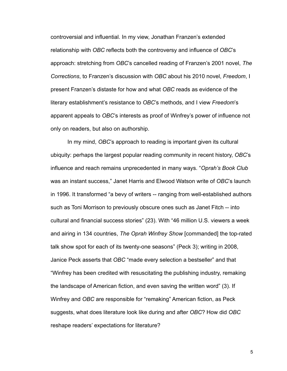controversial and influential. In my view, Jonathan Franzen's extended relationship with *OBC* reflects both the controversy and influence of *OBC*'s approach: stretching from *OBC*'s cancelled reading of Franzen's 2001 novel, *The Corrections*, to Franzen's discussion with *OBC* about his 2010 novel, *Freedom*, I present Franzen's distaste for how and what *OBC* reads as evidence of the literary establishment's resistance to *OBC*'s methods, and I view *Freedom*'s apparent appeals to *OBC*'s interests as proof of Winfrey's power of influence not only on readers, but also on authorship.

 In my mind, *OBC*'s approach to reading is important given its cultural ubiquity: perhaps the largest popular reading community in recent history, *OBC*'s influence and reach remains unprecedented in many ways. "*Oprah's Book Club* was an instant success," Janet Harris and Elwood Watson write of *OBC*'s launch in 1996. It transformed "a bevy of writers -- ranging from well-established authors such as Toni Morrison to previously obscure ones such as Janet Fitch -- into cultural and financial success stories" (23). With "46 million U.S. viewers a week and airing in 134 countries, *The Oprah Winfrey Show* [commanded] the top-rated talk show spot for each of its twenty-one seasons" (Peck 3); writing in 2008, Janice Peck asserts that *OBC* "made every selection a bestseller" and that "Winfrey has been credited with resuscitating the publishing industry, remaking the landscape of American fiction, and even saving the written word" (3). If Winfrey and *OBC* are responsible for "remaking" American fiction, as Peck suggests, what does literature look like during and after *OBC*? How did *OBC* reshape readers' expectations for literature?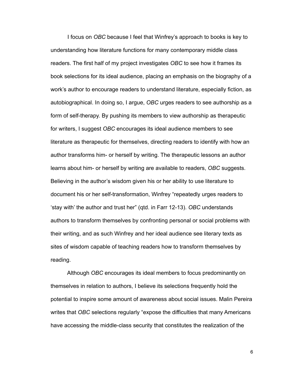I focus on *OBC* because I feel that Winfrey's approach to books is key to understanding how literature functions for many contemporary middle class readers. The first half of my project investigates *OBC* to see how it frames its book selections for its ideal audience, placing an emphasis on the biography of a work's author to encourage readers to understand literature, especially fiction, as autobiographical. In doing so, I argue, *OBC* urges readers to see authorship as a form of self-therapy. By pushing its members to view authorship as therapeutic for writers, I suggest *OBC* encourages its ideal audience members to see literature as therapeutic for themselves, directing readers to identify with how an author transforms him- or herself by writing. The therapeutic lessons an author learns about him- or herself by writing are available to readers, *OBC* suggests. Believing in the author's wisdom given his or her ability to use literature to document his or her self-transformation, Winfrey "repeatedly urges readers to 'stay with' the author and trust her" (qtd. in Farr 12-13). *OBC* understands authors to transform themselves by confronting personal or social problems with their writing, and as such Winfrey and her ideal audience see literary texts as sites of wisdom capable of teaching readers how to transform themselves by reading.

 Although *OBC* encourages its ideal members to focus predominantly on themselves in relation to authors, I believe its selections frequently hold the potential to inspire some amount of awareness about social issues. Malin Pereira writes that *OBC* selections regularly "expose the difficulties that many Americans have accessing the middle-class security that constitutes the realization of the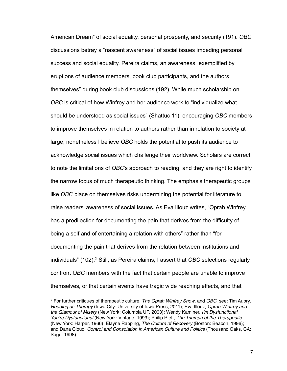American Dream" of social equality, personal prosperity, and security (191). *OBC* discussions betray a "nascent awareness" of social issues impeding personal success and social equality, Pereira claims, an awareness "exemplified by eruptions of audience members, book club participants, and the authors themselves" during book club discussions (192). While much scholarship on *OBC* is critical of how Winfrey and her audience work to "individualize what should be understood as social issues" (Shattuc 11), encouraging *OBC* members to improve themselves in relation to authors rather than in relation to society at large, nonetheless I believe *OBC* holds the potential to push its audience to acknowledge social issues which challenge their worldview. Scholars are correct to note the limitations of *OBC*'s approach to reading, and they are right to identify the narrow focus of much therapeutic thinking. The emphasis therapeutic groups like *OBC* place on themselves risks undermining the potential for literature to raise readers' awareness of social issues. As Eva Illouz writes, "Oprah Winfrey has a predilection for documenting the pain that derives from the difficulty of being a self and of entertaining a relation with others" rather than "for documenting the pain that derives from the relation between institutions and individuals" (102).<sup>2</sup> Still, as Pereira claims, I assert that *OBC* selections regularly confront *OBC* members with the fact that certain people are unable to improve themselves, or that certain events have tragic wide reaching effects, and that

<span id="page-12-0"></span><sup>2</sup> For further critiques of therapeutic culture, *The Oprah Winfrey Show*, and *OBC*, see: Tim Aubry, *Reading as Therapy* (Iowa City: University of Iowa Press, 2011); Eva Illouz, *Oprah Winfrey and the Glamour of Misery* (New York: Columbia UP, 2003); Wendy Kaminer, *I*'*m Dysfunctional, You*'*re Dysfunctional* (New York: Vintage, 1993); Philip Rieff, *The Triumph of the Therapeutic*  (New York: Harper, 1966); Elayne Rapping, *The Culture of Recovery* (Boston: Beacon, 1996); and Dana Cloud, *Control and Consolation in American Culture and Politics* (Thousand Oaks, CA: Sage, 1998).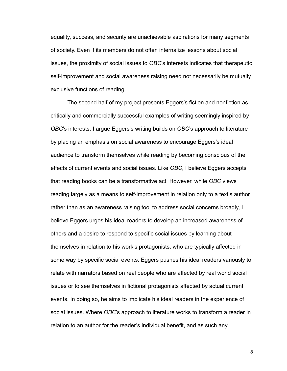equality, success, and security are unachievable aspirations for many segments of society. Even if its members do not often internalize lessons about social issues, the proximity of social issues to *OBC*'s interests indicates that therapeutic self-improvement and social awareness raising need not necessarily be mutually exclusive functions of reading.

 The second half of my project presents Eggers's fiction and nonfiction as critically and commercially successful examples of writing seemingly inspired by *OBC*'s interests. I argue Eggers's writing builds on *OBC*'s approach to literature by placing an emphasis on social awareness to encourage Eggers's ideal audience to transform themselves while reading by becoming conscious of the effects of current events and social issues. Like *OBC*, I believe Eggers accepts that reading books can be a transformative act. However, while *OBC* views reading largely as a means to self-improvement in relation only to a text's author rather than as an awareness raising tool to address social concerns broadly, I believe Eggers urges his ideal readers to develop an increased awareness of others and a desire to respond to specific social issues by learning about themselves in relation to his work's protagonists, who are typically affected in some way by specific social events. Eggers pushes his ideal readers variously to relate with narrators based on real people who are affected by real world social issues or to see themselves in fictional protagonists affected by actual current events. In doing so, he aims to implicate his ideal readers in the experience of social issues. Where *OBC*'s approach to literature works to transform a reader in relation to an author for the reader's individual benefit, and as such any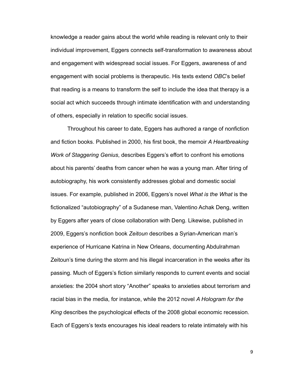knowledge a reader gains about the world while reading is relevant only to their individual improvement, Eggers connects self-transformation to awareness about and engagement with widespread social issues. For Eggers, awareness of and engagement with social problems is therapeutic. His texts extend *OBC*'s belief that reading is a means to transform the self to include the idea that therapy is a social act which succeeds through intimate identification with and understanding of others, especially in relation to specific social issues.

 Throughout his career to date, Eggers has authored a range of nonfiction and fiction books. Published in 2000, his first book, the memoir *A Heartbreaking Work of Staggering Genius*, describes Eggers's effort to confront his emotions about his parents' deaths from cancer when he was a young man. After tiring of autobiography, his work consistently addresses global and domestic social issues. For example, published in 2006, Eggers's novel *What is the What* is the fictionalized "autobiography" of a Sudanese man, Valentino Achak Deng, written by Eggers after years of close collaboration with Deng. Likewise, published in 2009, Eggers's nonfiction book *Zeitoun* describes a Syrian-American man's experience of Hurricane Katrina in New Orleans, documenting Abdulrahman Zeitoun's time during the storm and his illegal incarceration in the weeks after its passing. Much of Eggers's fiction similarly responds to current events and social anxieties: the 2004 short story "Another" speaks to anxieties about terrorism and racial bias in the media, for instance, while the 2012 novel *A Hologram for the King* describes the psychological effects of the 2008 global economic recession. Each of Eggers's texts encourages his ideal readers to relate intimately with his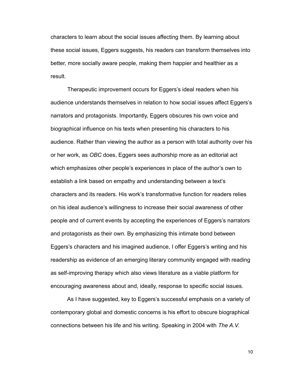characters to learn about the social issues affecting them. By learning about these social issues, Eggers suggests, his readers can transform themselves into better, more socially aware people, making them happier and healthier as a result.

 Therapeutic improvement occurs for Eggers's ideal readers when his audience understands themselves in relation to how social issues affect Eggers's narrators and protagonists. Importantly, Eggers obscures his own voice and biographical influence on his texts when presenting his characters to his audience. Rather than viewing the author as a person with total authority over his or her work, as *OBC* does, Eggers sees authorship more as an editorial act which emphasizes other people's experiences in place of the author's own to establish a link based on empathy and understanding between a text's characters and its readers. His work's transformative function for readers relies on his ideal audience's willingness to increase their social awareness of other people and of current events by accepting the experiences of Eggers's narrators and protagonists as their own. By emphasizing this intimate bond between Eggers's characters and his imagined audience, I offer Eggers's writing and his readership as evidence of an emerging literary community engaged with reading as self-improving therapy which also views literature as a viable platform for encouraging awareness about and, ideally, response to specific social issues.

 As I have suggested, key to Eggers's successful emphasis on a variety of contemporary global and domestic concerns is his effort to obscure biographical connections between his life and his writing. Speaking in 2004 with *The A.V.*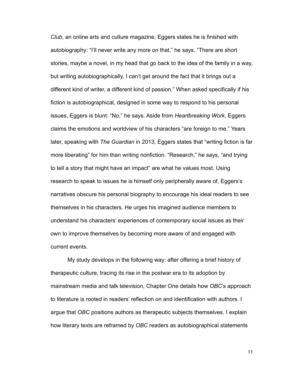*Club*, an online arts and culture magazine, Eggers states he is finished with autobiography: "I'll never write any more on that," he says. "There are short stories, maybe a novel, in my head that go back to the idea of the family in a way, but writing autobiographically, I can't get around the fact that it brings out a different kind of writer, a different kind of passion." When asked specifically if his fiction is autobiographical, designed in some way to respond to his personal issues, Eggers is blunt: "No," he says. Aside from *Heartbreaking Work*, Eggers claims the emotions and worldview of his characters "are foreign to me." Years later, speaking with *The Guardian* in 2013, Eggers states that "writing fiction is far more liberating" for him than writing nonfiction. "Research," he says, "and trying to tell a story that might have an impact" are what he values most. Using research to speak to issues he is himself only peripherally aware of, Eggers's narratives obscure his personal biography to encourage his ideal readers to see themselves in his characters. He urges his imagined audience members to understand his characters' experiences of contemporary social issues as their own to improve themselves by becoming more aware of and engaged with current events.

 My study develops in the following way: after offering a brief history of therapeutic culture, tracing its rise in the postwar era to its adoption by mainstream media and talk television, Chapter One details how *OBC*'s approach to literature is rooted in readers' reflection on and identification with authors. I argue that *OBC* positions authors as therapeutic subjects themselves. I explain how literary texts are reframed by *OBC* readers as autobiographical statements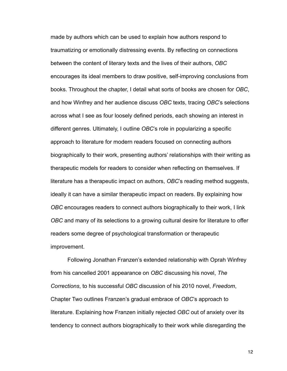made by authors which can be used to explain how authors respond to traumatizing or emotionally distressing events. By reflecting on connections between the content of literary texts and the lives of their authors, *OBC* encourages its ideal members to draw positive, self-improving conclusions from books. Throughout the chapter, I detail what sorts of books are chosen for *OBC*, and how Winfrey and her audience discuss *OBC* texts, tracing *OBC*'s selections across what I see as four loosely defined periods, each showing an interest in different genres. Ultimately, I outline *OBC*'s role in popularizing a specific approach to literature for modern readers focused on connecting authors biographically to their work, presenting authors' relationships with their writing as therapeutic models for readers to consider when reflecting on themselves. If literature has a therapeutic impact on authors, *OBC*'s reading method suggests, ideally it can have a similar therapeutic impact on readers. By explaining how *OBC* encourages readers to connect authors biographically to their work, I link *OBC* and many of its selections to a growing cultural desire for literature to offer readers some degree of psychological transformation or therapeutic improvement.

 Following Jonathan Franzen's extended relationship with Oprah Winfrey from his cancelled 2001 appearance on *OBC* discussing his novel, *The Corrections*, to his successful *OBC* discussion of his 2010 novel, *Freedom*, Chapter Two outlines Franzen's gradual embrace of *OBC*'s approach to literature. Explaining how Franzen initially rejected *OBC* out of anxiety over its tendency to connect authors biographically to their work while disregarding the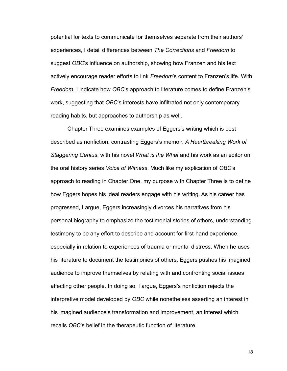potential for texts to communicate for themselves separate from their authors' experiences, I detail differences between *The Corrections* and *Freedom* to suggest *OBC*'s influence on authorship, showing how Franzen and his text actively encourage reader efforts to link *Freedom*'s content to Franzen's life. With *Freedom*, I indicate how *OBC*'s approach to literature comes to define Franzen's work, suggesting that *OBC*'s interests have infiltrated not only contemporary reading habits, but approaches to authorship as well.

 Chapter Three examines examples of Eggers's writing which is best described as nonfiction, contrasting Eggers's memoir, *A Heartbreaking Work of Staggering Genius*, with his novel *What is the What* and his work as an editor on the oral history series *Voice of Witness*. Much like my explication of *OBC*'s approach to reading in Chapter One, my purpose with Chapter Three is to define how Eggers hopes his ideal readers engage with his writing. As his career has progressed, I argue, Eggers increasingly divorces his narratives from his personal biography to emphasize the testimonial stories of others, understanding testimony to be any effort to describe and account for first-hand experience, especially in relation to experiences of trauma or mental distress. When he uses his literature to document the testimonies of others, Eggers pushes his imagined audience to improve themselves by relating with and confronting social issues affecting other people. In doing so, I argue, Eggers's nonfiction rejects the interpretive model developed by *OBC* while nonetheless asserting an interest in his imagined audience's transformation and improvement, an interest which recalls *OBC*'s belief in the therapeutic function of literature.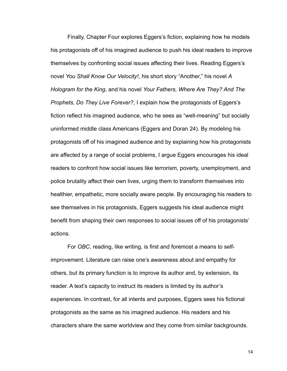Finally, Chapter Four explores Eggers's fiction, explaining how he models his protagonists off of his imagined audience to push his ideal readers to improve themselves by confronting social issues affecting their lives. Reading Eggers's novel *You Shall Know Our Velocity!*, his short story "Another," his novel *A Hologram for the King*, and his novel *Your Fathers, Where Are They? And The Prophets, Do They Live Forever?*, I explain how the protagonists of Eggers's fiction reflect his imagined audience, who he sees as "well-meaning" but socially uninformed middle class Americans (Eggers and Doran 24). By modeling his protagonists off of his imagined audience and by explaining how his protagonists are affected by a range of social problems, I argue Eggers encourages his ideal readers to confront how social issues like terrorism, poverty, unemployment, and police brutality affect their own lives, urging them to transform themselves into healthier, empathetic, more socially aware people. By encouraging his readers to see themselves in his protagonists, Eggers suggests his ideal audience might benefit from shaping their own responses to social issues off of his protagonists' actions.

For *OBC*, reading, like writing, is first and foremost a means to selfimprovement. Literature can raise one's awareness about and empathy for others, but its primary function is to improve its author and, by extension, its reader. A text's capacity to instruct its readers is limited by its author's experiences. In contrast, for all intents and purposes, Eggers sees his fictional protagonists as the same as his imagined audience. His readers and his characters share the same worldview and they come from similar backgrounds.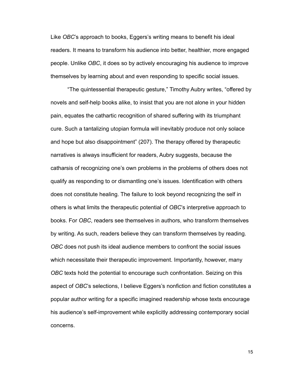Like *OBC*'s approach to books, Eggers's writing means to benefit his ideal readers. It means to transform his audience into better, healthier, more engaged people. Unlike *OBC*, it does so by actively encouraging his audience to improve themselves by learning about and even responding to specific social issues.

 "The quintessential therapeutic gesture," Timothy Aubry writes, "offered by novels and self-help books alike, to insist that you are not alone in your hidden pain, equates the cathartic recognition of shared suffering with its triumphant cure. Such a tantalizing utopian formula will inevitably produce not only solace and hope but also disappointment" (207). The therapy offered by therapeutic narratives is always insufficient for readers, Aubry suggests, because the catharsis of recognizing one's own problems in the problems of others does not qualify as responding to or dismantling one's issues. Identification with others does not constitute healing. The failure to look beyond recognizing the self in others is what limits the therapeutic potential of *OBC*'s interpretive approach to books. For *OBC*, readers see themselves in authors, who transform themselves by writing. As such, readers believe they can transform themselves by reading. *OBC* does not push its ideal audience members to confront the social issues which necessitate their therapeutic improvement. Importantly, however, many *OBC* texts hold the potential to encourage such confrontation. Seizing on this aspect of *OBC*'s selections, I believe Eggers's nonfiction and fiction constitutes a popular author writing for a specific imagined readership whose texts encourage his audience's self-improvement while explicitly addressing contemporary social concerns.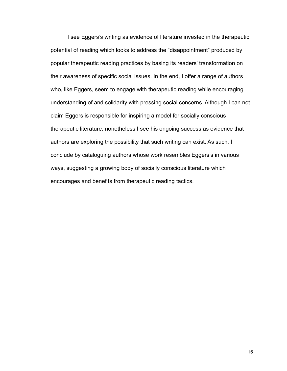I see Eggers's writing as evidence of literature invested in the therapeutic potential of reading which looks to address the "disappointment" produced by popular therapeutic reading practices by basing its readers' transformation on their awareness of specific social issues. In the end, I offer a range of authors who, like Eggers, seem to engage with therapeutic reading while encouraging understanding of and solidarity with pressing social concerns. Although I can not claim Eggers is responsible for inspiring a model for socially conscious therapeutic literature, nonetheless I see his ongoing success as evidence that authors are exploring the possibility that such writing can exist. As such, I conclude by cataloguing authors whose work resembles Eggers's in various ways, suggesting a growing body of socially conscious literature which encourages and benefits from therapeutic reading tactics.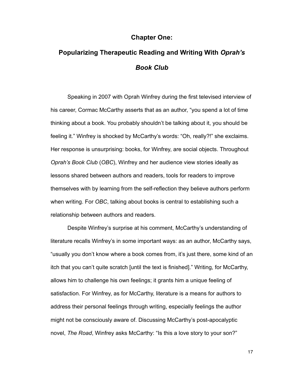### **Chapter One:**

# **Popularizing Therapeutic Reading and Writing With** *Oprah's Book Club*

 Speaking in 2007 with Oprah Winfrey during the first televised interview of his career, Cormac McCarthy asserts that as an author, "you spend a lot of time thinking about a book. You probably shouldn't be talking about it, you should be feeling it." Winfrey is shocked by McCarthy's words: "Oh, really?!" she exclaims. Her response is unsurprising: books, for Winfrey, are social objects. Throughout *Oprah's Book Club* (*OBC*), Winfrey and her audience view stories ideally as lessons shared between authors and readers, tools for readers to improve themselves with by learning from the self-reflection they believe authors perform when writing. For *OBC*, talking about books is central to establishing such a relationship between authors and readers.

 Despite Winfrey's surprise at his comment, McCarthy's understanding of literature recalls Winfrey's in some important ways: as an author, McCarthy says, "usually you don't know where a book comes from, it's just there, some kind of an itch that you can't quite scratch [until the text is finished]." Writing, for McCarthy, allows him to challenge his own feelings; it grants him a unique feeling of satisfaction. For Winfrey, as for McCarthy, literature is a means for authors to address their personal feelings through writing, especially feelings the author might not be consciously aware of. Discussing McCarthy's post-apocalyptic novel, *The Road*, Winfrey asks McCarthy: "Is this a love story to your son?"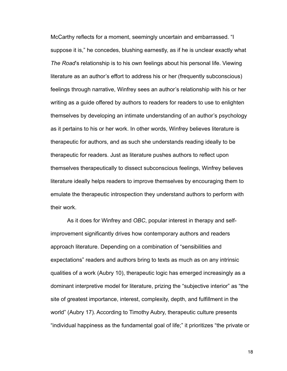McCarthy reflects for a moment, seemingly uncertain and embarrassed. "I suppose it is," he concedes, blushing earnestly, as if he is unclear exactly what *The Road*'s relationship is to his own feelings about his personal life. Viewing literature as an author's effort to address his or her (frequently subconscious) feelings through narrative, Winfrey sees an author's relationship with his or her writing as a guide offered by authors to readers for readers to use to enlighten themselves by developing an intimate understanding of an author's psychology as it pertains to his or her work. In other words, Winfrey believes literature is therapeutic for authors, and as such she understands reading ideally to be therapeutic for readers. Just as literature pushes authors to reflect upon themselves therapeutically to dissect subconscious feelings, Winfrey believes literature ideally helps readers to improve themselves by encouraging them to emulate the therapeutic introspection they understand authors to perform with their work.

 As it does for Winfrey and *OBC*, popular interest in therapy and selfimprovement significantly drives how contemporary authors and readers approach literature. Depending on a combination of "sensibilities and expectations" readers and authors bring to texts as much as on any intrinsic qualities of a work (Aubry 10), therapeutic logic has emerged increasingly as a dominant interpretive model for literature, prizing the "subjective interior" as "the site of greatest importance, interest, complexity, depth, and fulfillment in the world" (Aubry 17). According to Timothy Aubry, therapeutic culture presents "individual happiness as the fundamental goal of life;" it prioritizes "the private or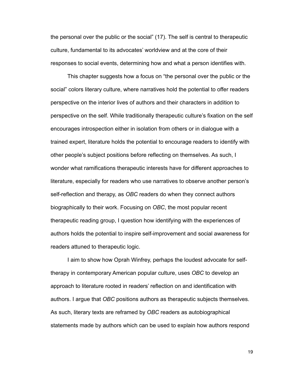the personal over the public or the social" (17). The self is central to therapeutic culture, fundamental to its advocates' worldview and at the core of their responses to social events, determining how and what a person identifies with.

 This chapter suggests how a focus on "the personal over the public or the social" colors literary culture, where narratives hold the potential to offer readers perspective on the interior lives of authors and their characters in addition to perspective on the self. While traditionally therapeutic culture's fixation on the self encourages introspection either in isolation from others or in dialogue with a trained expert, literature holds the potential to encourage readers to identify with other people's subject positions before reflecting on themselves. As such, I wonder what ramifications therapeutic interests have for different approaches to literature, especially for readers who use narratives to observe another person's self-reflection and therapy, as *OBC* readers do when they connect authors biographically to their work. Focusing on *OBC*, the most popular recent therapeutic reading group, I question how identifying with the experiences of authors holds the potential to inspire self-improvement and social awareness for readers attuned to therapeutic logic.

 I aim to show how Oprah Winfrey, perhaps the loudest advocate for selftherapy in contemporary American popular culture, uses *OBC* to develop an approach to literature rooted in readers' reflection on and identification with authors. I argue that *OBC* positions authors as therapeutic subjects themselves. As such, literary texts are reframed by *OBC* readers as autobiographical statements made by authors which can be used to explain how authors respond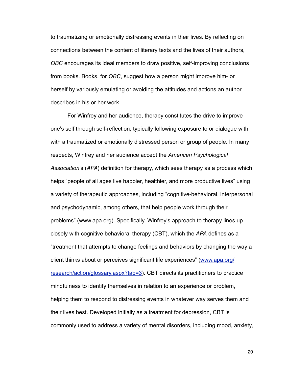to traumatizing or emotionally distressing events in their lives. By reflecting on connections between the content of literary texts and the lives of their authors, *OBC* encourages its ideal members to draw positive, self-improving conclusions from books. Books, for *OBC*, suggest how a person might improve him- or herself by variously emulating or avoiding the attitudes and actions an author describes in his or her work.

 For Winfrey and her audience, therapy constitutes the drive to improve one's self through self-reflection, typically following exposure to or dialogue with with a traumatized or emotionally distressed person or group of people. In many respects, Winfrey and her audience accept the *American Psychological Association*'s (*APA*) definition for therapy, which sees therapy as a process which helps "people of all ages live happier, healthier, and more productive lives" using a variety of therapeutic approaches, including "cognitive-behavioral, interpersonal and psychodynamic, among others, that help people work through their problems" (www.apa.org). Specifically, Winfrey's approach to therapy lines up closely with cognitive behavioral therapy (CBT), which the *APA* defines as a "treatment that attempts to change feelings and behaviors by changing the way a client thinks about or perceives significant life experiences" [\(www.apa.org/](http://www.apa.org/research/action/glossary.aspx?tab=3) [research/action/glossary.aspx?tab=3\)](http://www.apa.org/research/action/glossary.aspx?tab=3). CBT directs its practitioners to practice mindfulness to identify themselves in relation to an experience or problem, helping them to respond to distressing events in whatever way serves them and their lives best. Developed initially as a treatment for depression, CBT is commonly used to address a variety of mental disorders, including mood, anxiety,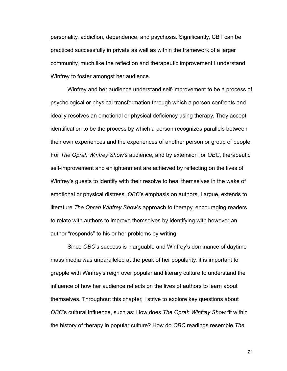personality, addiction, dependence, and psychosis. Significantly, CBT can be practiced successfully in private as well as within the framework of a larger community, much like the reflection and therapeutic improvement I understand Winfrey to foster amongst her audience.

 Winfrey and her audience understand self-improvement to be a process of psychological or physical transformation through which a person confronts and ideally resolves an emotional or physical deficiency using therapy. They accept identification to be the process by which a person recognizes parallels between their own experiences and the experiences of another person or group of people. For *The Oprah Winfrey Show*'s audience, and by extension for *OBC*, therapeutic self-improvement and enlightenment are achieved by reflecting on the lives of Winfrey's guests to identify with their resolve to heal themselves in the wake of emotional or physical distress. *OBC*'s emphasis on authors, I argue, extends to literature *The Oprah Winfrey Show*'s approach to therapy, encouraging readers to relate with authors to improve themselves by identifying with however an author "responds" to his or her problems by writing.

 Since *OBC*'s success is inarguable and Winfrey's dominance of daytime mass media was unparalleled at the peak of her popularity, it is important to grapple with Winfrey's reign over popular and literary culture to understand the influence of how her audience reflects on the lives of authors to learn about themselves. Throughout this chapter, I strive to explore key questions about *OBC*'s cultural influence, such as: How does *The Oprah Winfrey Show* fit within the history of therapy in popular culture? How do *OBC* readings resemble *The*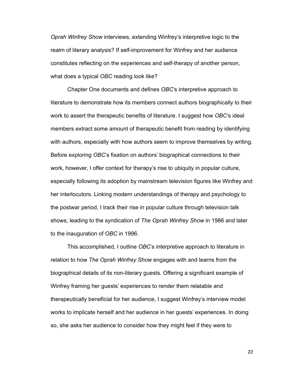*Oprah Winfrey Show* interviews, extending Winfrey's interpretive logic to the realm of literary analysis? If self-improvement for Winfrey and her audience constitutes reflecting on the experiences and self-therapy of another person, what does a typical *OBC* reading look like?

 Chapter One documents and defines *OBC*'s interpretive approach to literature to demonstrate how its members connect authors biographically to their work to assert the therapeutic benefits of literature. I suggest how *OBC*'s ideal members extract some amount of therapeutic benefit from reading by identifying with authors, especially with how authors seem to improve themselves by writing. Before exploring *OBC*'s fixation on authors' biographical connections to their work, however, I offer context for therapy's rise to ubiquity in popular culture, especially following its adoption by mainstream television figures like Winfrey and her interlocutors. Linking modern understandings of therapy and psychology to the postwar period, I track their rise in popular culture through television talk shows, leading to the syndication of *The Oprah Winfrey Show* in 1986 and later to the inauguration of *OBC* in 1996.

 This accomplished, I outline *OBC*'s interpretive approach to literature in relation to how *The Oprah Winfrey Show* engages with and learns from the biographical details of its non-literary guests. Offering a significant example of Winfrey framing her guests' experiences to render them relatable and therapeutically beneficial for her audience, I suggest Winfrey's interview model works to implicate herself and her audience in her guests' experiences. In doing so, she asks her audience to consider how they might feel if they were to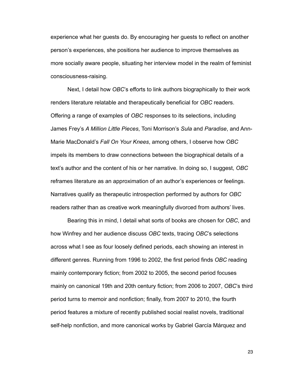experience what her guests do. By encouraging her guests to reflect on another person's experiences, she positions her audience to improve themselves as more socially aware people, situating her interview model in the realm of feminist consciousness-raising.

 Next, I detail how *OBC*'s efforts to link authors biographically to their work renders literature relatable and therapeutically beneficial for *OBC* readers. Offering a range of examples of *OBC* responses to its selections, including James Frey's *A Million Little Pieces*, Toni Morrison's *Sula* and *Paradise*, and Ann-Marie MacDonald's *Fall On Your Knees*, among others, I observe how *OBC* impels its members to draw connections between the biographical details of a text's author and the content of his or her narrative. In doing so, I suggest, *OBC* reframes literature as an approximation of an author's experiences or feelings. Narratives qualify as therapeutic introspection performed by authors for *OBC* readers rather than as creative work meaningfully divorced from authors' lives.

 Bearing this in mind, I detail what sorts of books are chosen for *OBC*, and how Winfrey and her audience discuss *OBC* texts, tracing *OBC*'s selections across what I see as four loosely defined periods, each showing an interest in different genres. Running from 1996 to 2002, the first period finds *OBC* reading mainly contemporary fiction; from 2002 to 2005, the second period focuses mainly on canonical 19th and 20th century fiction; from 2006 to 2007, *OBC*'s third period turns to memoir and nonfiction; finally, from 2007 to 2010, the fourth period features a mixture of recently published social realist novels, traditional self-help nonfiction, and more canonical works by Gabriel García Márquez and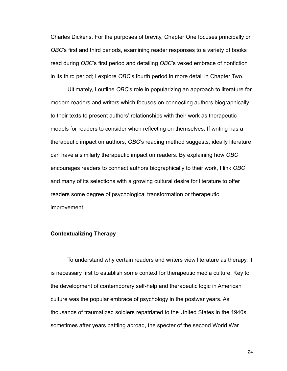Charles Dickens. For the purposes of brevity, Chapter One focuses principally on *OBC*'s first and third periods, examining reader responses to a variety of books read during *OBC*'s first period and detailing *OBC*'s vexed embrace of nonfiction in its third period; I explore *OBC*'s fourth period in more detail in Chapter Two.

 Ultimately, I outline *OBC*'s role in popularizing an approach to literature for modern readers and writers which focuses on connecting authors biographically to their texts to present authors' relationships with their work as therapeutic models for readers to consider when reflecting on themselves. If writing has a therapeutic impact on authors, *OBC*'s reading method suggests, ideally literature can have a similarly therapeutic impact on readers. By explaining how *OBC* encourages readers to connect authors biographically to their work, I link *OBC* and many of its selections with a growing cultural desire for literature to offer readers some degree of psychological transformation or therapeutic improvement.

#### **Contextualizing Therapy**

 To understand why certain readers and writers view literature as therapy, it is necessary first to establish some context for therapeutic media culture. Key to the development of contemporary self-help and therapeutic logic in American culture was the popular embrace of psychology in the postwar years. As thousands of traumatized soldiers repatriated to the United States in the 1940s, sometimes after years battling abroad, the specter of the second World War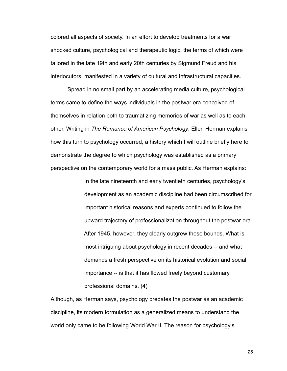colored all aspects of society. In an effort to develop treatments for a war shocked culture, psychological and therapeutic logic, the terms of which were tailored in the late 19th and early 20th centuries by Sigmund Freud and his interlocutors, manifested in a variety of cultural and infrastructural capacities.

 Spread in no small part by an accelerating media culture, psychological terms came to define the ways individuals in the postwar era conceived of themselves in relation both to traumatizing memories of war as well as to each other. Writing in *The Romance of American Psychology*, Ellen Herman explains how this turn to psychology occurred, a history which I will outline briefly here to demonstrate the degree to which psychology was established as a primary perspective on the contemporary world for a mass public. As Herman explains:

> In the late nineteenth and early twentieth centuries, psychology's development as an academic discipline had been circumscribed for important historical reasons and experts continued to follow the upward trajectory of professionalization throughout the postwar era. After 1945, however, they clearly outgrew these bounds. What is most intriguing about psychology in recent decades -- and what demands a fresh perspective on its historical evolution and social importance -- is that it has flowed freely beyond customary professional domains. (4)

Although, as Herman says, psychology predates the postwar as an academic discipline, its modern formulation as a generalized means to understand the world only came to be following World War II. The reason for psychology's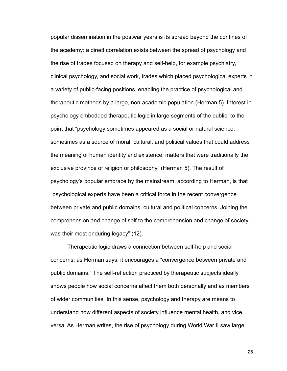popular dissemination in the postwar years is its spread beyond the confines of the academy: a direct correlation exists between the spread of psychology and the rise of trades focused on therapy and self-help, for example psychiatry, clinical psychology, and social work, trades which placed psychological experts in a variety of public-facing positions, enabling the practice of psychological and therapeutic methods by a large, non-academic population (Herman 5). Interest in psychology embedded therapeutic logic in large segments of the public, to the point that "psychology sometimes appeared as a social or natural science, sometimes as a source of moral, cultural, and political values that could address the meaning of human identity and existence, matters that were traditionally the exclusive province of religion or philosophy" (Herman 5). The result of psychology's popular embrace by the mainstream, according to Herman, is that "psychological experts have been a critical force in the recent convergence between private and public domains, cultural and political concerns. Joining the comprehension and change of self to the comprehension and change of society was their most enduring legacy" (12).

 Therapeutic logic draws a connection between self-help and social concerns: as Herman says, it encourages a "convergence between private and public domains." The self-reflection practiced by therapeutic subjects ideally shows people how social concerns affect them both personally and as members of wider communities. In this sense, psychology and therapy are means to understand how different aspects of society influence mental health, and vice versa. As Herman writes, the rise of psychology during World War II saw large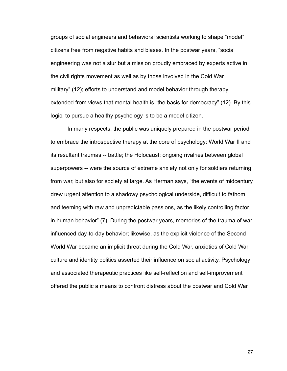groups of social engineers and behavioral scientists working to shape "model" citizens free from negative habits and biases. In the postwar years, "social engineering was not a slur but a mission proudly embraced by experts active in the civil rights movement as well as by those involved in the Cold War military" (12); efforts to understand and model behavior through therapy extended from views that mental health is "the basis for democracy" (12). By this logic, to pursue a healthy psychology is to be a model citizen.

 In many respects, the public was uniquely prepared in the postwar period to embrace the introspective therapy at the core of psychology: World War II and its resultant traumas -- battle; the Holocaust; ongoing rivalries between global superpowers -- were the source of extreme anxiety not only for soldiers returning from war, but also for society at large. As Herman says, "the events of midcentury drew urgent attention to a shadowy psychological underside, difficult to fathom and teeming with raw and unpredictable passions, as the likely controlling factor in human behavior" (7). During the postwar years, memories of the trauma of war influenced day-to-day behavior; likewise, as the explicit violence of the Second World War became an implicit threat during the Cold War, anxieties of Cold War culture and identity politics asserted their influence on social activity. Psychology and associated therapeutic practices like self-reflection and self-improvement offered the public a means to confront distress about the postwar and Cold War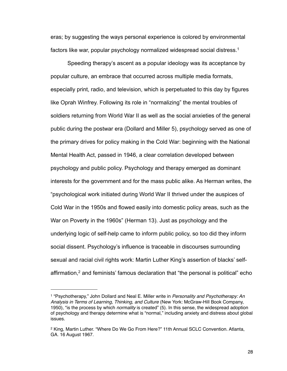eras; by suggesting the ways personal experience is colored by environmental factors like war, popular psychology normalized widespread social distress[.1](#page-33-0)

 Speeding therapy's ascent as a popular ideology was its acceptance by popular culture, an embrace that occurred across multiple media formats, especially print, radio, and television, which is perpetuated to this day by figures like Oprah Winfrey. Following its role in "normalizing" the mental troubles of soldiers returning from World War II as well as the social anxieties of the general public during the postwar era (Dollard and Miller 5), psychology served as one of the primary drives for policy making in the Cold War: beginning with the National Mental Health Act, passed in 1946, a clear correlation developed between psychology and public policy. Psychology and therapy emerged as dominant interests for the government and for the mass public alike. As Herman writes, the "psychological work initiated during World War II thrived under the auspices of Cold War in the 1950s and flowed easily into domestic policy areas, such as the War on Poverty in the 1960s" (Herman 13). Just as psychology and the underlying logic of self-help came to inform public policy, so too did they inform social dissent. Psychology's influence is traceable in discourses surrounding sexual and racial civil rights work: Martin Luther King's assertion of blacks' selfaffirmation,<sup>2</sup> and feminists' famous declaration that "the personal is political" echo

<span id="page-33-0"></span><sup>1 &</sup>quot;Psychotherapy," John Dollard and Neal E. Miller write in *Personality and Psychotherapy: An Analysis in Terms of Learning, Thinking, and Culture* (New York: McGraw-Hill Book Company, 1950), "is the process by which *normality* is created" (5). In this sense, the widespread adoption of psychology and therapy determine what is "normal," including anxiety and distress about global issues.

<span id="page-33-1"></span><sup>2</sup> King, Martin Luther. "Where Do We Go From Here?" 11th Annual SCLC Convention. Atlanta, GA. 16 August 1967.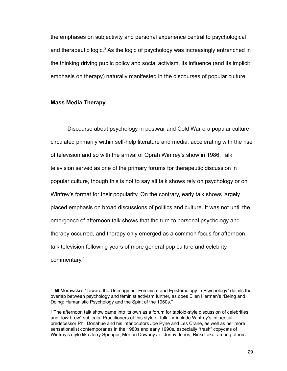the emphases on subjectivity and personal experience central to psychological and therapeutic logic.<sup>3</sup> As the logic of psychology was increasingly entrenched in the thinking driving public policy and social activism, its influence (and its implicit emphasis on therapy) naturally manifested in the discourses of popular culture.

#### **Mass Media Therapy**

 Discourse about psychology in postwar and Cold War era popular culture circulated primarily within self-help literature and media, accelerating with the rise of television and so with the arrival of Oprah Winfrey's show in 1986. Talk television served as one of the primary forums for therapeutic discussion in popular culture, though this is not to say all talk shows rely on psychology or on Winfrey's format for their popularity. On the contrary, early talk shows largely placed emphasis on broad discussions of politics and culture. It was not until the emergence of afternoon talk shows that the turn to personal psychology and therapy occurred, and therapy only emerged as a common focus for afternoon talk television following years of more general pop culture and celebrity commentary[.4](#page-34-1)

<span id="page-34-0"></span><sup>3</sup> Jill Morawski's "Toward the Unimagined: Feminism and Epistemology in Psychology" details the overlap between psychology and feminist activism further, as does Ellen Herman's "Being and Doing: Humanistic Psychology and the Spirit of the 1960s."

<span id="page-34-1"></span><sup>4</sup> The afternoon talk show came into its own as a forum for tabloid-style discussion of celebrities and "low-brow" subjects. Practitioners of this style of talk TV include Winfrey's influential predecessor Phil Donahue and his interlocutors Joe Pyne and Les Crane, as well as her more sensationalist contemporaries in the 1980s and early 1990s, especially "trash" copycats of Winfrey's style like Jerry Springer, Morton Downey Jr., Jenny Jones, Ricki Lake, among others.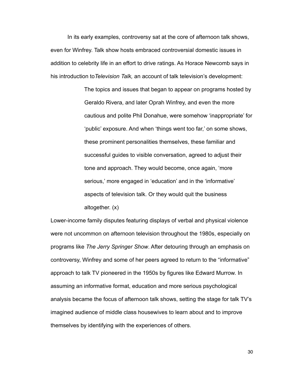In its early examples, controversy sat at the core of afternoon talk shows, even for Winfrey. Talk show hosts embraced controversial domestic issues in addition to celebrity life in an effort to drive ratings. As Horace Newcomb says in his introduction to*Television Talk,* an account of talk television's development:

> The topics and issues that began to appear on programs hosted by Geraldo Rivera, and later Oprah Winfrey, and even the more cautious and polite Phil Donahue, were somehow 'inappropriate' for 'public' exposure. And when 'things went too far,' on some shows, these prominent personalities themselves, these familiar and successful guides to visible conversation, agreed to adjust their tone and approach. They would become, once again, 'more serious,' more engaged in 'education' and in the 'informative' aspects of television talk. Or they would quit the business altogether. (x)

Lower-income family disputes featuring displays of verbal and physical violence were not uncommon on afternoon television throughout the 1980s, especially on programs like *The Jerry Springer Show*. After detouring through an emphasis on controversy, Winfrey and some of her peers agreed to return to the "informative" approach to talk TV pioneered in the 1950s by figures like Edward Murrow. In assuming an informative format, education and more serious psychological analysis became the focus of afternoon talk shows, setting the stage for talk TV's imagined audience of middle class housewives to learn about and to improve themselves by identifying with the experiences of others.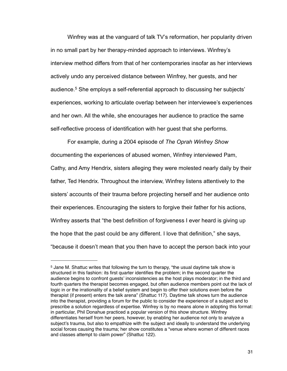Winfrey was at the vanguard of talk TV's reformation, her popularity driven in no small part by her therapy-minded approach to interviews. Winfrey's interview method differs from that of her contemporaries insofar as her interviews actively undo any perceived distance between Winfrey, her guests, and her audience.<sup>5</sup> She employs a self-referential approach to discussing her subjects' experiences, working to articulate overlap between her interviewee's experiences and her own. All the while, she encourages her audience to practice the same self-reflective process of identification with her guest that she performs.

 For example, during a 2004 episode of *The Oprah Winfrey Show*  documenting the experiences of abused women, Winfrey interviewed Pam, Cathy, and Amy Hendrix, sisters alleging they were molested nearly daily by their father, Ted Hendrix. Throughout the interview, Winfrey listens attentively to the sisters' accounts of their trauma before projecting herself and her audience onto their experiences. Encouraging the sisters to forgive their father for his actions, Winfrey asserts that "the best definition of forgiveness I ever heard is giving up the hope that the past could be any different. I love that definition," she says, "because it doesn't mean that you then have to accept the person back into your

<span id="page-36-0"></span><sup>5</sup> Jane M. Shattuc writes that following the turn to therapy, "the usual daytime talk show is structured in this fashion: its first quarter identifies the problem; in the second quarter the audience begins to confront guests' inconsistencies as the host plays moderator; in the third and fourth quarters the therapist becomes engaged, but often audience members point out the lack of logic in or the irrationality of a belief system and begin to offer their solutions even before the therapist (if present) enters the talk arena" (Shattuc 117). Daytime talk shows turn the audience into the therapist, providing a forum for the public to consider the experience of a subject and to prescribe a solution regardless of expertise. Winfrey is by no means alone in adopting this format: in particular, Phil Donahue practiced a popular version of this show structure. Winfrey differentiates herself from her peers, however, by enabling her audience not only to analyze a subject's trauma, but also to empathize with the subject and ideally to understand the underlying social forces causing the trauma; her show constitutes a "venue where women of different races and classes attempt to claim power" (Shattuc 122).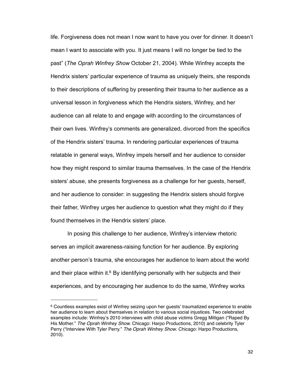life. Forgiveness does not mean I now want to have you over for dinner. It doesn't mean I want to associate with you. It just means I will no longer be tied to the past" (*The Oprah Winfrey Show* October 21, 2004). While Winfrey accepts the Hendrix sisters' particular experience of trauma as uniquely theirs, she responds to their descriptions of suffering by presenting their trauma to her audience as a universal lesson in forgiveness which the Hendrix sisters, Winfrey, and her audience can all relate to and engage with according to the circumstances of their own lives. Winfrey's comments are generalized, divorced from the specifics of the Hendrix sisters' trauma. In rendering particular experiences of trauma relatable in general ways, Winfrey impels herself and her audience to consider how they might respond to similar trauma themselves. In the case of the Hendrix sisters' abuse, she presents forgiveness as a challenge for her guests, herself, and her audience to consider: in suggesting the Hendrix sisters should forgive their father, Winfrey urges her audience to question what they might do if they found themselves in the Hendrix sisters' place.

 In posing this challenge to her audience, Winfrey's interview rhetoric serves an implicit awareness-raising function for her audience. By exploring another person's trauma, she encourages her audience to learn about the world and their place within it. $6$  By identifying personally with her subjects and their experiences, and by encouraging her audience to do the same, Winfrey works

<span id="page-37-0"></span><sup>6</sup> Countless examples exist of Winfrey seizing upon her guests' traumatized experience to enable her audience to learn about themselves in relation to various social injustices. Two celebrated examples include: Winfrey's 2010 interviews with child abuse victims Gregg Milligan ("Raped By His Mother." *The Oprah Winfrey Show.* Chicago: Harpo Productions, 2010) and celebrity Tyler Perry ("Interview With Tyler Perry." *The Oprah Winfrey Show*. Chicago: Harpo Productions, 2010).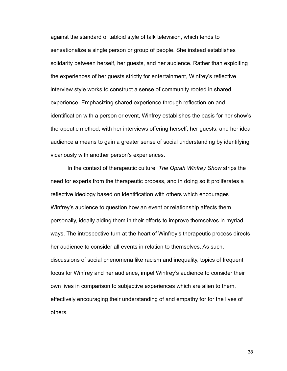against the standard of tabloid style of talk television, which tends to sensationalize a single person or group of people. She instead establishes solidarity between herself, her guests, and her audience. Rather than exploiting the experiences of her guests strictly for entertainment, Winfrey's reflective interview style works to construct a sense of community rooted in shared experience. Emphasizing shared experience through reflection on and identification with a person or event, Winfrey establishes the basis for her show's therapeutic method, with her interviews offering herself, her guests, and her ideal audience a means to gain a greater sense of social understanding by identifying vicariously with another person's experiences.

 In the context of therapeutic culture, *The Oprah Winfrey Show* strips the need for experts from the therapeutic process, and in doing so it proliferates a reflective ideology based on identification with others which encourages Winfrey's audience to question how an event or relationship affects them personally, ideally aiding them in their efforts to improve themselves in myriad ways. The introspective turn at the heart of Winfrey's therapeutic process directs her audience to consider all events in relation to themselves. As such, discussions of social phenomena like racism and inequality, topics of frequent focus for Winfrey and her audience, impel Winfrey's audience to consider their own lives in comparison to subjective experiences which are alien to them, effectively encouraging their understanding of and empathy for for the lives of others.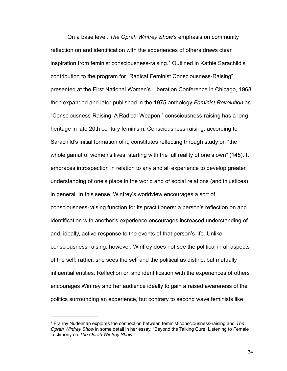On a base level, *The Oprah Winfrey Show*'s emphasis on community reflection on and identification with the experiences of others draws clear inspiration from feminist consciousness-raising[.7](#page-39-0) Outlined in Kathie Sarachild's contribution to the program for "Radical Feminist Consciousness-Raising" presented at the First National Women's Liberation Conference in Chicago, 1968, then expanded and later published in the 1975 anthology *Feminist Revolution* as "Consciousness-Raising: A Radical Weapon," consciousness-raising has a long heritage in late 20th century feminism. Consciousness-raising, according to Sarachild's initial formation of it, constitutes reflecting through study on "the whole gamut of women's lives, starting with the full reality of one's own" (145). It embraces introspection in relation to any and all experience to develop greater understanding of one's place in the world and of social relations (and injustices) in general. In this sense, Winfrey's worldview encourages a sort of consciousness-raising function for its practitioners: a person's reflection on and identification with another's experience encourages increased understanding of and, ideally, active response to the events of that person's life. Unlike consciousness-raising, however, Winfrey does not see the political in all aspects of the self; rather, she sees the self and the political as distinct but mutually influential entities. Reflection on and identification with the experiences of others encourages Winfrey and her audience ideally to gain a raised awareness of the politics surrounding an experience, but contrary to second wave feminists like

<span id="page-39-0"></span><sup>7</sup> Franny Nudelman explores the connection between feminist consciousness-raising and *The Oprah Winfrey Show* in some detail in her essay, "Beyond the Talking Cure: Listening to Female Testimony on *The Oprah Winfrey Show*."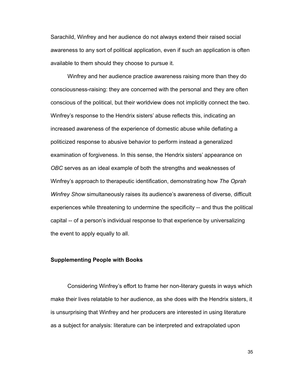Sarachild, Winfrey and her audience do not always extend their raised social awareness to any sort of political application, even if such an application is often available to them should they choose to pursue it.

 Winfrey and her audience practice awareness raising more than they do consciousness-raising: they are concerned with the personal and they are often conscious of the political, but their worldview does not implicitly connect the two. Winfrey's response to the Hendrix sisters' abuse reflects this, indicating an increased awareness of the experience of domestic abuse while deflating a politicized response to abusive behavior to perform instead a generalized examination of forgiveness. In this sense, the Hendrix sisters' appearance on *OBC* serves as an ideal example of both the strengths and weaknesses of Winfrey's approach to therapeutic identification, demonstrating how *The Oprah Winfrey Show* simultaneously raises its audience's awareness of diverse, difficult experiences while threatening to undermine the specificity -- and thus the political capital -- of a person's individual response to that experience by universalizing the event to apply equally to all.

#### **Supplementing People with Books**

 Considering Winfrey's effort to frame her non-literary guests in ways which make their lives relatable to her audience, as she does with the Hendrix sisters, it is unsurprising that Winfrey and her producers are interested in using literature as a subject for analysis: literature can be interpreted and extrapolated upon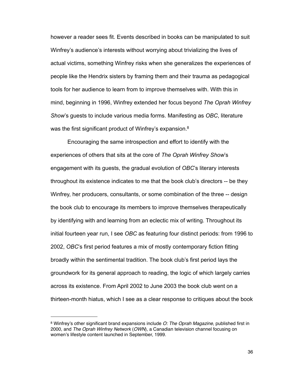however a reader sees fit. Events described in books can be manipulated to suit Winfrey's audience's interests without worrying about trivializing the lives of actual victims, something Winfrey risks when she generalizes the experiences of people like the Hendrix sisters by framing them and their trauma as pedagogical tools for her audience to learn from to improve themselves with. With this in mind, beginning in 1996, Winfrey extended her focus beyond *The Oprah Winfrey Show*'s guests to include various media forms. Manifesting as *OBC*, literature was the first significant product of Winfrey's expansion.<sup>8</sup>

Encouraging the same introspection and effort to identify with the experiences of others that sits at the core of *The Oprah Winfrey Show*'s engagement with its guests, the gradual evolution of *OBC*'s literary interests throughout its existence indicates to me that the book club's directors -- be they Winfrey, her producers, consultants, or some combination of the three -- design the book club to encourage its members to improve themselves therapeutically by identifying with and learning from an eclectic mix of writing. Throughout its initial fourteen year run, I see *OBC* as featuring four distinct periods: from 1996 to 2002, *OBC*'s first period features a mix of mostly contemporary fiction fitting broadly within the sentimental tradition. The book club's first period lays the groundwork for its general approach to reading, the logic of which largely carries across its existence. From April 2002 to June 2003 the book club went on a thirteen-month hiatus, which I see as a clear response to critiques about the book

<span id="page-41-0"></span><sup>8</sup> Winfrey's other significant brand expansions include *O: The Oprah Magazine*, published first in 2000, and *The Oprah Winfrey Network* (*OWN*), a Canadian television channel focusing on women's lifestyle content launched in September, 1999.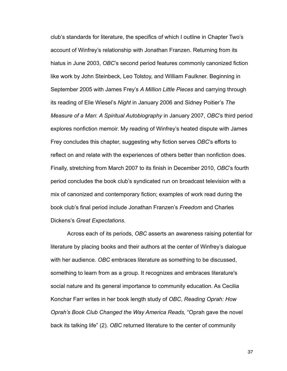club's standards for literature, the specifics of which I outline in Chapter Two's account of Winfrey's relationship with Jonathan Franzen. Returning from its hiatus in June 2003, *OBC*'s second period features commonly canonized fiction like work by John Steinbeck, Leo Tolstoy, and William Faulkner. Beginning in September 2005 with James Frey's *A Million Little Pieces* and carrying through its reading of Elie Wiesel's *Night* in January 2006 and Sidney Poitier's *The Measure of a Man*: *A Spiritual Autobiography* in January 2007, *OBC*'s third period explores nonfiction memoir. My reading of Winfrey's heated dispute with James Frey concludes this chapter, suggesting why fiction serves *OBC*'s efforts to reflect on and relate with the experiences of others better than nonfiction does. Finally, stretching from March 2007 to its finish in December 2010, *OBC*'s fourth period concludes the book club's syndicated run on broadcast television with a mix of canonized and contemporary fiction; examples of work read during the book club's final period include Jonathan Franzen's *Freedom* and Charles Dickens's *Great Expectations*.

 Across each of its periods, *OBC* asserts an awareness raising potential for literature by placing books and their authors at the center of Winfrey's dialogue with her audience. *OBC* embraces literature as something to be discussed, something to learn from as a group. It recognizes and embraces literature's social nature and its general importance to community education. As Cecilia Konchar Farr writes in her book length study of *OBC*, *Reading Oprah: How Oprah's Book Club Changed the Way America Reads,* "Oprah gave the novel back its talking life" (2). *OBC* returned literature to the center of community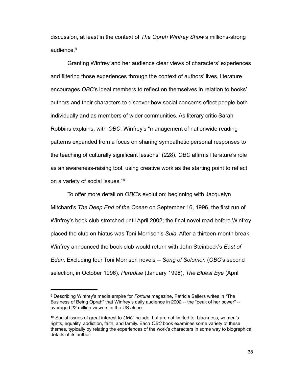discussion, at least in the context of *The Oprah Winfrey Show'*s millions-strong audience.<sup>9</sup>

 Granting Winfrey and her audience clear views of characters' experiences and filtering those experiences through the context of authors' lives, literature encourages *OBC*'s ideal members to reflect on themselves in relation to books' authors and their characters to discover how social concerns effect people both individually and as members of wider communities. As literary critic Sarah Robbins explains, with *OBC*, Winfrey's "management of nationwide reading patterns expanded from a focus on sharing sympathetic personal responses to the teaching of culturally significant lessons" (228). *OBC* affirms literature's role as an awareness-raising tool, using creative work as the starting point to reflect on a variety of social issues.<sup>10</sup>

 To offer more detail on *OBC*'s evolution: beginning with Jacquelyn Mitchard's *The Deep End of the Ocean* on September 16, 1996, the first run of Winfrey's book club stretched until April 2002; the final novel read before Winfrey placed the club on hiatus was Toni Morrison's *Sula*. After a thirteen-month break, Winfrey announced the book club would return with John Steinbeck's *East of Eden*. Excluding four Toni Morrison novels -- *Song of Solomon* (*OBC*'s second selection, in October 1996)*, Paradise* (January 1998), *The Bluest Eye* (April

<span id="page-43-0"></span><sup>9</sup> Describing Winfrey's media empire for *Fortune* magazine, Patricia Sellers writes in "The Business of Being Oprah" that Winfrey's daily audience in 2002 -- the "peak of her power" - averaged 22 million viewers in the US alone.

<span id="page-43-1"></span><sup>10</sup> Social issues of great interest to *OBC* include, but are not limited to: blackness, women's rights, equality, addiction, faith, and family. Each *OBC* book examines some variety of these themes, typically by relating the experiences of the work's characters in some way to biographical details of its author.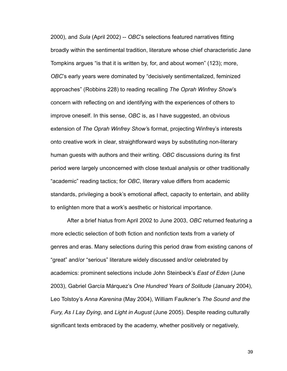2000), and *Sula* (April 2002) -- *OBC*'s selections featured narratives fitting broadly within the sentimental tradition, literature whose chief characteristic Jane Tompkins argues "is that it is written by, for, and about women" (123); more, *OBC*'s early years were dominated by "decisively sentimentalized, feminized approaches" (Robbins 228) to reading recalling *The Oprah Winfrey Show*'s concern with reflecting on and identifying with the experiences of others to improve oneself. In this sense, *OBC* is, as I have suggested, an obvious extension of *The Oprah Winfrey Show'*s format, projecting Winfrey's interests onto creative work in clear, straightforward ways by substituting non-literary human guests with authors and their writing. *OBC* discussions during its first period were largely unconcerned with close textual analysis or other traditionally "academic" reading tactics; for *OBC*, literary value differs from academic standards, privileging a book's emotional affect, capacity to entertain, and ability to enlighten more that a work's aesthetic or historical importance.

 After a brief hiatus from April 2002 to June 2003, *OBC* returned featuring a more eclectic selection of both fiction and nonfiction texts from a variety of genres and eras. Many selections during this period draw from existing canons of "great" and/or "serious" literature widely discussed and/or celebrated by academics: prominent selections include John Steinbeck's *East of Eden* (June 2003), Gabriel García Márquez's *One Hundred Years of Solitude* (January 2004), Leo Tolstoy's *Anna Karenina* (May 2004), William Faulkner's *The Sound and the Fury, As I Lay Dying*, and *Light in August* (June 2005). Despite reading culturally significant texts embraced by the academy, whether positively or negatively,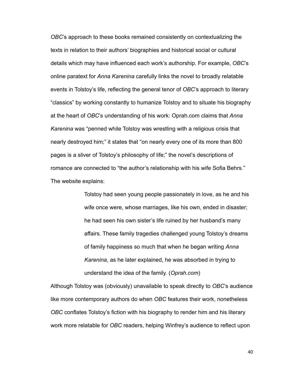*OBC*'s approach to these books remained consistently on contextualizing the texts in relation to their authors' biographies and historical social or cultural details which may have influenced each work's authorship. For example, *OBC*'s online paratext for *Anna Karenina* carefully links the novel to broadly relatable events in Tolstoy's life, reflecting the general tenor of *OBC*'s approach to literary "classics" by working constantly to humanize Tolstoy and to situate his biography at the heart of *OBC*'s understanding of his work: Oprah.com claims that *Anna Karenina* was "penned while Tolstoy was wrestling with a religious crisis that nearly destroyed him;" it states that "on nearly every one of its more than 800 pages is a sliver of Tolstoy's philosophy of life;" the novel's descriptions of romance are connected to "the author's relationship with his wife Sofia Behrs." The website explains:

> Tolstoy had seen young people passionately in love, as he and his wife once were, whose marriages, like his own, ended in disaster; he had seen his own sister's life ruined by her husband's many affairs. These family tragedies challenged young Tolstoy's dreams of family happiness so much that when he began writing *Anna Karenina*, as he later explained, he was absorbed in trying to understand the idea of the family. (*Oprah.com*)

Although Tolstoy was (obviously) unavailable to speak directly to *OBC*'s audience like more contemporary authors do when *OBC* features their work, nonetheless *OBC* conflates Tolstoy's fiction with his biography to render him and his literary work more relatable for *OBC* readers, helping Winfrey's audience to reflect upon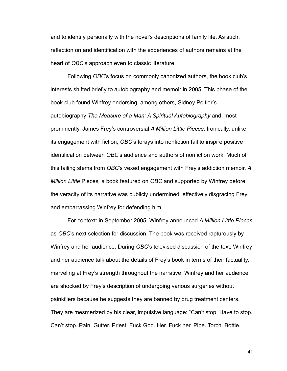and to identify personally with the novel's descriptions of family life. As such, reflection on and identification with the experiences of authors remains at the heart of *OBC*'s approach even to classic literature.

 Following *OBC*'s focus on commonly canonized authors, the book club's interests shifted briefly to autobiography and memoir in 2005. This phase of the book club found Winfrey endorsing, among others, Sidney Poitier's autobiography *The Measure of a Man: A Spiritual Autobiography* and, most prominently, James Frey's controversial *A Million Little Pieces*. Ironically, unlike its engagement with fiction, *OBC*'s forays into nonfiction fail to inspire positive identification between *OBC*'s audience and authors of nonfiction work. Much of this failing stems from *OBC*'s vexed engagement with Frey's addiction memoir, *A Million Little* Pieces*,* a book featured on *OBC* and supported by Winfrey before the veracity of its narrative was publicly undermined, effectively disgracing Frey and embarrassing Winfrey for defending him.

 For context: in September 2005, Winfrey announced *A Million Little Pieces* as *OBC*'s next selection for discussion. The book was received rapturously by Winfrey and her audience. During *OBC*'s televised discussion of the text, Winfrey and her audience talk about the details of Frey's book in terms of their factuality, marveling at Frey's strength throughout the narrative. Winfrey and her audience are shocked by Frey's description of undergoing various surgeries without painkillers because he suggests they are banned by drug treatment centers. They are mesmerized by his clear, impulsive language: "Can't stop. Have to stop. Can't stop. Pain. Gutter. Priest. Fuck God. Her. Fuck her. Pipe. Torch. Bottle.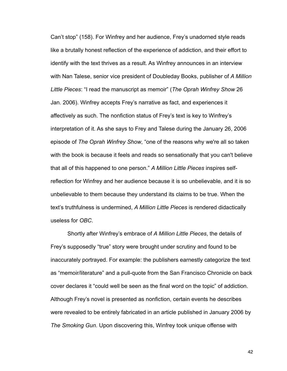Can't stop" (158). For Winfrey and her audience, Frey's unadorned style reads like a brutally honest reflection of the experience of addiction, and their effort to identify with the text thrives as a result. As Winfrey announces in an interview with Nan Talese, senior vice president of Doubleday Books, publisher of *A Million Little Pieces*: "I read the manuscript as memoir" (*The Oprah Winfrey Show* 26 Jan. 2006). Winfrey accepts Frey's narrative as fact, and experiences it affectively as such. The nonfiction status of Frey's text is key to Winfrey's interpretation of it. As she says to Frey and Talese during the January 26, 2006 episode of *The Oprah Winfrey Show*, "one of the reasons why we're all so taken with the book is because it feels and reads so sensationally that you can't believe that all of this happened to one person." *A Million Little Pieces* inspires selfreflection for Winfrey and her audience because it is so unbelievable, and it is so unbelievable to them because they understand its claims to be true. When the text's truthfulness is undermined, *A Million Little Pieces* is rendered didactically useless for *OBC*.

 Shortly after Winfrey's embrace of *A Million Little Pieces*, the details of Frey's supposedly "true" story were brought under scrutiny and found to be inaccurately portrayed. For example: the publishers earnestly categorize the text as "memoir/literature" and a pull-quote from the San Francisco Chronicle on back cover declares it "could well be seen as the final word on the topic" of addiction. Although Frey's novel is presented as nonfiction, certain events he describes were revealed to be entirely fabricated in an article published in January 2006 by *The Smoking Gun*. Upon discovering this, Winfrey took unique offense with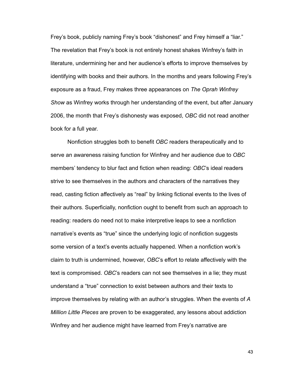Frey's book, publicly naming Frey's book "dishonest" and Frey himself a "liar." The revelation that Frey's book is not entirely honest shakes Winfrey's faith in literature, undermining her and her audience's efforts to improve themselves by identifying with books and their authors. In the months and years following Frey's exposure as a fraud, Frey makes three appearances on *The Oprah Winfrey Show* as Winfrey works through her understanding of the event, but after January 2006, the month that Frey's dishonesty was exposed, *OBC* did not read another book for a full year.

 Nonfiction struggles both to benefit *OBC* readers therapeutically and to serve an awareness raising function for Winfrey and her audience due to *OBC* members' tendency to blur fact and fiction when reading: *OBC*'s ideal readers strive to see themselves in the authors and characters of the narratives they read, casting fiction affectively as "real" by linking fictional events to the lives of their authors. Superficially, nonfiction ought to benefit from such an approach to reading: readers do need not to make interpretive leaps to see a nonfiction narrative's events as "true" since the underlying logic of nonfiction suggests some version of a text's events actually happened. When a nonfiction work's claim to truth is undermined, however, *OBC*'s effort to relate affectively with the text is compromised. *OBC*'s readers can not see themselves in a lie; they must understand a "true" connection to exist between authors and their texts to improve themselves by relating with an author's struggles. When the events of *A Million Little Pieces* are proven to be exaggerated, any lessons about addiction Winfrey and her audience might have learned from Frey's narrative are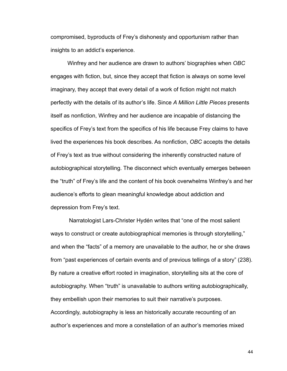compromised, byproducts of Frey's dishonesty and opportunism rather than insights to an addict's experience.

 Winfrey and her audience are drawn to authors' biographies when *OBC* engages with fiction, but, since they accept that fiction is always on some level imaginary, they accept that every detail of a work of fiction might not match perfectly with the details of its author's life. Since *A Million Little Pieces* presents itself as nonfiction, Winfrey and her audience are incapable of distancing the specifics of Frey's text from the specifics of his life because Frey claims to have lived the experiences his book describes. As nonfiction, *OBC* accepts the details of Frey's text as true without considering the inherently constructed nature of autobiographical storytelling. The disconnect which eventually emerges between the "truth" of Frey's life and the content of his book overwhelms Winfrey's and her audience's efforts to glean meaningful knowledge about addiction and depression from Frey's text.

 Narratologist Lars-Christer Hydén writes that "one of the most salient ways to construct or create autobiographical memories is through storytelling," and when the "facts" of a memory are unavailable to the author, he or she draws from "past experiences of certain events and of previous tellings of a story" (238). By nature a creative effort rooted in imagination, storytelling sits at the core of autobiography. When "truth" is unavailable to authors writing autobiographically, they embellish upon their memories to suit their narrative's purposes. Accordingly, autobiography is less an historically accurate recounting of an author's experiences and more a constellation of an author's memories mixed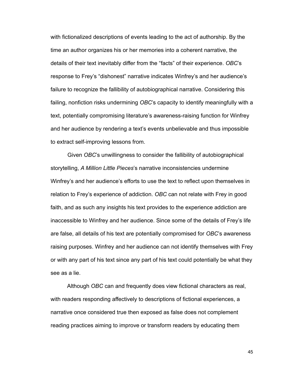with fictionalized descriptions of events leading to the act of authorship. By the time an author organizes his or her memories into a coherent narrative, the details of their text inevitably differ from the "facts" of their experience. *OBC*'s response to Frey's "dishonest" narrative indicates Winfrey's and her audience's failure to recognize the fallibility of autobiographical narrative. Considering this failing, nonfiction risks undermining *OBC*'s capacity to identify meaningfully with a text, potentially compromising literature's awareness-raising function for Winfrey and her audience by rendering a text's events unbelievable and thus impossible to extract self-improving lessons from.

 Given *OBC*'s unwillingness to consider the fallibility of autobiographical storytelling, *A Million Little Pieces*'s narrative inconsistencies undermine Winfrey's and her audience's efforts to use the text to reflect upon themselves in relation to Frey's experience of addiction. *OBC* can not relate with Frey in good faith, and as such any insights his text provides to the experience addiction are inaccessible to Winfrey and her audience. Since some of the details of Frey's life are false, all details of his text are potentially compromised for *OBC*'s awareness raising purposes. Winfrey and her audience can not identify themselves with Frey or with any part of his text since any part of his text could potentially be what they see as a lie.

 Although *OBC* can and frequently does view fictional characters as real, with readers responding affectively to descriptions of fictional experiences, a narrative once considered true then exposed as false does not complement reading practices aiming to improve or transform readers by educating them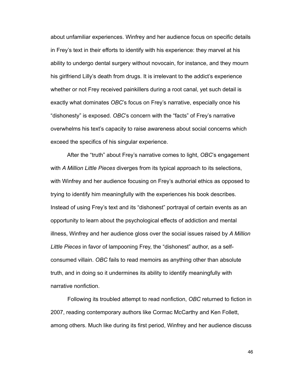about unfamiliar experiences. Winfrey and her audience focus on specific details in Frey's text in their efforts to identify with his experience: they marvel at his ability to undergo dental surgery without novocain, for instance, and they mourn his girlfriend Lilly's death from drugs. It is irrelevant to the addict's experience whether or not Frey received painkillers during a root canal, yet such detail is exactly what dominates *OBC*'s focus on Frey's narrative, especially once his "dishonesty" is exposed. *OBC*'s concern with the "facts" of Frey's narrative overwhelms his text's capacity to raise awareness about social concerns which exceed the specifics of his singular experience.

 After the "truth" about Frey's narrative comes to light, *OBC*'s engagement with *A Million Little Pieces* diverges from its typical approach to its selections, with Winfrey and her audience focusing on Frey's authorial ethics as opposed to trying to identify him meaningfully with the experiences his book describes. Instead of using Frey's text and its "dishonest" portrayal of certain events as an opportunity to learn about the psychological effects of addiction and mental illness, Winfrey and her audience gloss over the social issues raised by *A Million Little Pieces* in favor of lampooning Frey, the "dishonest" author, as a selfconsumed villain. *OBC* fails to read memoirs as anything other than absolute truth, and in doing so it undermines its ability to identify meaningfully with narrative nonfiction.

 Following its troubled attempt to read nonfiction, *OBC* returned to fiction in 2007, reading contemporary authors like Cormac McCarthy and Ken Follett, among others. Much like during its first period, Winfrey and her audience discuss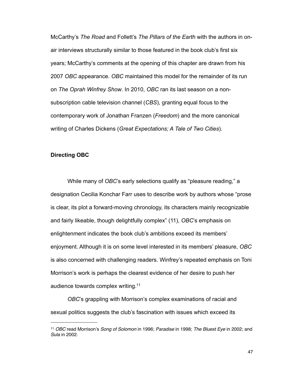McCarthy's *The Road* and Follett's *The Pillars of the Earth* with the authors in onair interviews structurally similar to those featured in the book club's first six years; McCarthy's comments at the opening of this chapter are drawn from his 2007 *OBC* appearance. *OBC* maintained this model for the remainder of its run on *The Oprah Winfrey Show*. In 2010, *OBC* ran its last season on a nonsubscription cable television channel (*CBS*), granting equal focus to the contemporary work of Jonathan Franzen (*Freedom*) and the more canonical writing of Charles Dickens (*Great Expectations; A Tale of Two Cities*).

## **Directing OBC**

 While many of *OBC*'s early selections qualify as "pleasure reading," a designation Cecilia Konchar Farr uses to describe work by authors whose "prose is clear, its plot a forward-moving chronology, its characters mainly recognizable and fairly likeable, though delightfully complex" (11), *OBC*'s emphasis on enlightenment indicates the book club's ambitions exceed its members' enjoyment. Although it is on some level interested in its members' pleasure, *OBC* is also concerned with challenging readers. Winfrey's repeated emphasis on Toni Morrison's work is perhaps the clearest evidence of her desire to push her audience towards complex writing[.11](#page-52-0)

*OBC*'s grappling with Morrison's complex examinations of racial and sexual politics suggests the club's fascination with issues which exceed its

<span id="page-52-0"></span><sup>11</sup> *OBC* read Morrison's *Song of Solomon* in 1996; *Paradise* in 1998; *The Bluest Eye* in 2002; and *Sula* in 2002.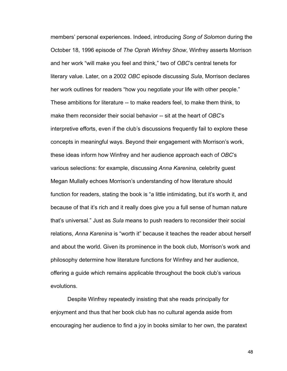members' personal experiences. Indeed, introducing *Song of Solomon* during the October 18, 1996 episode of *The Oprah Winfrey Show*, Winfrey asserts Morrison and her work "will make you feel and think," two of *OBC*'s central tenets for literary value. Later, on a 2002 *OBC* episode discussing *Sula*, Morrison declares her work outlines for readers "how you negotiate your life with other people." These ambitions for literature -- to make readers feel, to make them think, to make them reconsider their social behavior -- sit at the heart of *OBC*'s interpretive efforts, even if the club's discussions frequently fail to explore these concepts in meaningful ways. Beyond their engagement with Morrison's work, these ideas inform how Winfrey and her audience approach each of *OBC*'s various selections: for example, discussing *Anna Karenina,* celebrity guest Megan Mullally echoes Morrison's understanding of how literature should function for readers, stating the book is "a little intimidating, but it's worth it, and because of that it's rich and it really does give you a full sense of human nature that's universal." Just as *Sula* means to push readers to reconsider their social relations, *Anna Karenina* is "worth it" because it teaches the reader about herself and about the world. Given its prominence in the book club, Morrison's work and philosophy determine how literature functions for Winfrey and her audience, offering a guide which remains applicable throughout the book club's various evolutions.

 Despite Winfrey repeatedly insisting that she reads principally for enjoyment and thus that her book club has no cultural agenda aside from encouraging her audience to find a joy in books similar to her own, the paratext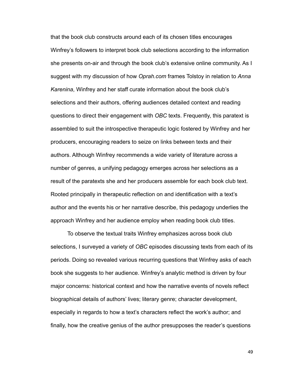that the book club constructs around each of its chosen titles encourages Winfrey's followers to interpret book club selections according to the information she presents on-air and through the book club's extensive online community. As I suggest with my discussion of how *Oprah.com* frames Tolstoy in relation to *Anna Karenina*, Winfrey and her staff curate information about the book club's selections and their authors, offering audiences detailed context and reading questions to direct their engagement with *OBC* texts. Frequently, this paratext is assembled to suit the introspective therapeutic logic fostered by Winfrey and her producers, encouraging readers to seize on links between texts and their authors. Although Winfrey recommends a wide variety of literature across a number of genres, a unifying pedagogy emerges across her selections as a result of the paratexts she and her producers assemble for each book club text. Rooted principally in therapeutic reflection on and identification with a text's author and the events his or her narrative describe, this pedagogy underlies the approach Winfrey and her audience employ when reading book club titles.

 To observe the textual traits Winfrey emphasizes across book club selections, I surveyed a variety of *OBC* episodes discussing texts from each of its periods. Doing so revealed various recurring questions that Winfrey asks of each book she suggests to her audience. Winfrey's analytic method is driven by four major concerns: historical context and how the narrative events of novels reflect biographical details of authors' lives; literary genre; character development, especially in regards to how a text's characters reflect the work's author; and finally, how the creative genius of the author presupposes the reader's questions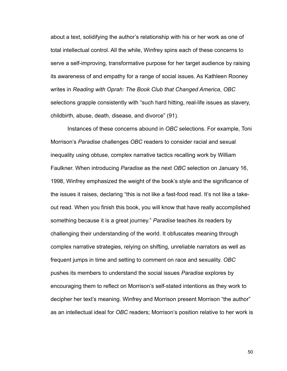about a text, solidifying the author's relationship with his or her work as one of total intellectual control. All the while, Winfrey spins each of these concerns to serve a self-improving, transformative purpose for her target audience by raising its awareness of and empathy for a range of social issues. As Kathleen Rooney writes in *Reading with Oprah: The Book Club that Changed America*, *OBC* selections grapple consistently with "such hard hitting, real-life issues as slavery, childbirth, abuse, death, disease, and divorce" (91).

 Instances of these concerns abound in *OBC* selections. For example, Toni Morrison's *Paradise* challenges *OBC* readers to consider racial and sexual inequality using obtuse, complex narrative tactics recalling work by William Faulkner. When introducing *Paradise* as the next *OBC* selection on January 16, 1998, Winfrey emphasized the weight of the book's style and the significance of the issues it raises, declaring "this is not like a fast-food read. It's not like a takeout read. When you finish this book, you will know that have really accomplished something because it is a great journey." *Paradise* teaches its readers by challenging their understanding of the world. It obfuscates meaning through complex narrative strategies, relying on shifting, unreliable narrators as well as frequent jumps in time and setting to comment on race and sexuality. *OBC* pushes its members to understand the social issues *Paradise* explores by encouraging them to reflect on Morrison's self-stated intentions as they work to decipher her text's meaning. Winfrey and Morrison present Morrison "the author" as an intellectual ideal for *OBC* readers; Morrison's position relative to her work is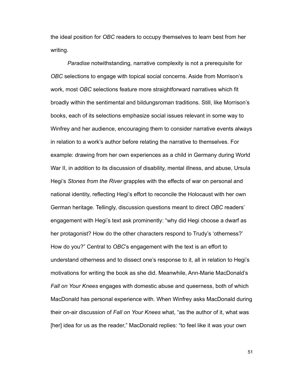the ideal position for *OBC* readers to occupy themselves to learn best from her writing.

*Paradise* notwithstanding, narrative complexity is not a prerequisite for *OBC* selections to engage with topical social concerns. Aside from Morrison's work, most *OBC* selections feature more straightforward narratives which fit broadly within the sentimental and bildungsroman traditions. Still, like Morrison's books, each of its selections emphasize social issues relevant in some way to Winfrey and her audience, encouraging them to consider narrative events always in relation to a work's author before relating the narrative to themselves. For example: drawing from her own experiences as a child in Germany during World War II, in addition to its discussion of disability, mental illness, and abuse, Ursula Hegi's *Stones from the River* grapples with the effects of war on personal and national identity, reflecting Hegi's effort to reconcile the Holocaust with her own German heritage. Tellingly, discussion questions meant to direct *OBC* readers' engagement with Hegi's text ask prominently: "why did Hegi choose a dwarf as her protagonist? How do the other characters respond to Trudy's 'otherness?' How do you?" Central to *OBC*'s engagement with the text is an effort to understand otherness and to dissect one's response to it, all in relation to Hegi's motivations for writing the book as she did. Meanwhile, Ann-Marie MacDonald's *Fall on Your Knees* engages with domestic abuse and queerness, both of which MacDonald has personal experience with. When Winfrey asks MacDonald during their on-air discussion of *Fall on Your Knees* what, "as the author of it, what was [her] idea for us as the reader," MacDonald replies: "to feel like it was your own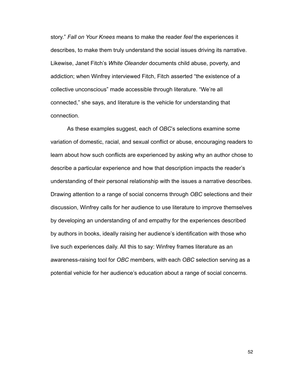story." *Fall on Your Knees* means to make the reader *feel* the experiences it describes, to make them truly understand the social issues driving its narrative. Likewise, Janet Fitch's *White Oleander* documents child abuse, poverty, and addiction; when Winfrey interviewed Fitch, Fitch asserted "the existence of a collective unconscious" made accessible through literature. "We're all connected," she says, and literature is the vehicle for understanding that connection.

 As these examples suggest, each of *OBC*'s selections examine some variation of domestic, racial, and sexual conflict or abuse, encouraging readers to learn about how such conflicts are experienced by asking why an author chose to describe a particular experience and how that description impacts the reader's understanding of their personal relationship with the issues a narrative describes. Drawing attention to a range of social concerns through *OBC* selections and their discussion, Winfrey calls for her audience to use literature to improve themselves by developing an understanding of and empathy for the experiences described by authors in books, ideally raising her audience's identification with those who live such experiences daily. All this to say: Winfrey frames literature as an awareness-raising tool for *OBC* members, with each *OBC* selection serving as a potential vehicle for her audience's education about a range of social concerns.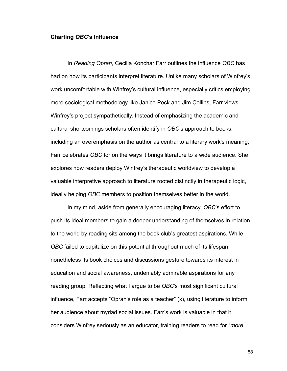#### **Charting** *OBC***'s Influence**

 In *Reading Oprah*, Cecilia Konchar Farr outlines the influence *OBC* has had on how its participants interpret literature. Unlike many scholars of Winfrey's work uncomfortable with Winfrey's cultural influence, especially critics employing more sociological methodology like Janice Peck and Jim Collins, Farr views Winfrey's project sympathetically. Instead of emphasizing the academic and cultural shortcomings scholars often identify in *OBC*'s approach to books, including an overemphasis on the author as central to a literary work's meaning, Farr celebrates *OBC* for on the ways it brings literature to a wide audience. She explores how readers deploy Winfrey's therapeutic worldview to develop a valuable interpretive approach to literature rooted distinctly in therapeutic logic, ideally helping *OBC* members to position themselves better in the world.

 In my mind, aside from generally encouraging literacy, *OBC*'s effort to push its ideal members to gain a deeper understanding of themselves in relation to the world by reading sits among the book club's greatest aspirations. While *OBC* failed to capitalize on this potential throughout much of its lifespan, nonetheless its book choices and discussions gesture towards its interest in education and social awareness, undeniably admirable aspirations for any reading group. Reflecting what I argue to be *OBC*'s most significant cultural influence, Farr accepts "Oprah's role as a teacher" (x), using literature to inform her audience about myriad social issues. Farr's work is valuable in that it considers Winfrey seriously as an educator, training readers to read for "*more*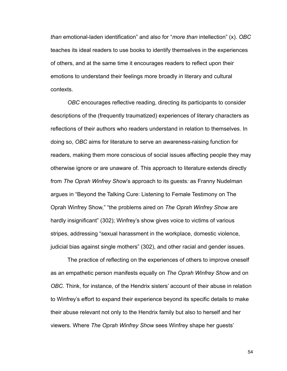*than* emotional-laden identification" and also for "*more than* intellection" (x). *OBC* teaches its ideal readers to use books to identify themselves in the experiences of others, and at the same time it encourages readers to reflect upon their emotions to understand their feelings more broadly in literary and cultural contexts.

*OBC* encourages reflective reading, directing its participants to consider descriptions of the (frequently traumatized) experiences of literary characters as reflections of their authors who readers understand in relation to themselves. In doing so, *OBC* aims for literature to serve an awareness-raising function for readers, making them more conscious of social issues affecting people they may otherwise ignore or are unaware of. This approach to literature extends directly from *The Oprah Winfrey Show*'s approach to its guests*:* as Franny Nudelman argues in "Beyond the Talking Cure: Listening to Female Testimony on The Oprah Winfrey Show," "the problems aired on *The Oprah Winfrey Show* are hardly insignificant" (302); Winfrey's show gives voice to victims of various stripes, addressing "sexual harassment in the workplace, domestic violence, judicial bias against single mothers" (302), and other racial and gender issues.

The practice of reflecting on the experiences of others to improve oneself as an empathetic person manifests equally on *The Oprah Winfrey Show* and on *OBC*. Think, for instance, of the Hendrix sisters' account of their abuse in relation to Winfrey's effort to expand their experience beyond its specific details to make their abuse relevant not only to the Hendrix family but also to herself and her viewers. Where *The Oprah Winfrey Show* sees Winfrey shape her guests'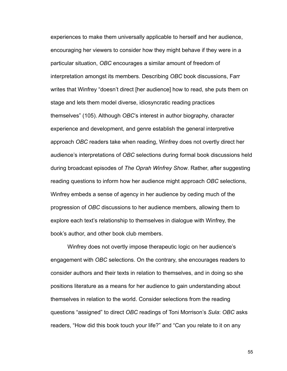experiences to make them universally applicable to herself and her audience, encouraging her viewers to consider how they might behave if they were in a particular situation, *OBC* encourages a similar amount of freedom of interpretation amongst its members. Describing *OBC* book discussions, Farr writes that Winfrey "doesn't direct [her audience] how to read, she puts them on stage and lets them model diverse, idiosyncratic reading practices themselves" (105). Although *OBC*'s interest in author biography, character experience and development, and genre establish the general interpretive approach *OBC* readers take when reading, Winfrey does not overtly direct her audience's interpretations of *OBC* selections during formal book discussions held during broadcast episodes of *The Oprah Winfrey Show*. Rather, after suggesting reading questions to inform how her audience might approach *OBC* selections, Winfrey embeds a sense of agency in her audience by ceding much of the progression of *OBC* discussions to her audience members, allowing them to explore each text's relationship to themselves in dialogue with Winfrey, the book's author, and other book club members.

 Winfrey does not overtly impose therapeutic logic on her audience's engagement with *OBC* selections. On the contrary, she encourages readers to consider authors and their texts in relation to themselves, and in doing so she positions literature as a means for her audience to gain understanding about themselves in relation to the world. Consider selections from the reading questions "assigned" to direct *OBC* readings of Toni Morrison's *Sula*: *OBC* asks readers, "How did this book touch your life?" and "Can you relate to it on any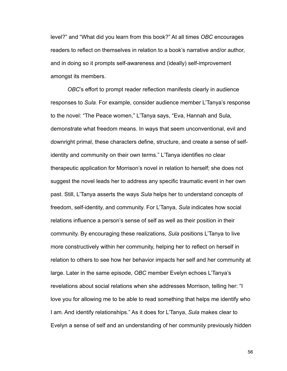level?" and "What did you learn from this book?" At all times *OBC* encourages readers to reflect on themselves in relation to a book's narrative and/or author, and in doing so it prompts self-awareness and (ideally) self-improvement amongst its members.

*OBC*'s effort to prompt reader reflection manifests clearly in audience responses to *Sula.* For example, consider audience member L'Tanya's response to the novel: "The Peace women," L'Tanya says, "Eva, Hannah and Sula, demonstrate what freedom means. In ways that seem unconventional, evil and downright primal, these characters define, structure, and create a sense of selfidentity and community on their own terms." L'Tanya identifies no clear therapeutic application for Morrison's novel in relation to herself; she does not suggest the novel leads her to address any specific traumatic event in her own past. Still, L'Tanya asserts the ways *Sula* helps her to understand concepts of freedom, self-identity, and community. For L'Tanya, *Sula* indicates how social relations influence a person's sense of self as well as their position in their community. By encouraging these realizations, *Sula* positions L'Tanya to live more constructively within her community, helping her to reflect on herself in relation to others to see how her behavior impacts her self and her community at large. Later in the same episode, *OBC* member Evelyn echoes L'Tanya's revelations about social relations when she addresses Morrison, telling her: "I love you for allowing me to be able to read something that helps me identify who I am. And identify relationships." As it does for L'Tanya, *Sula* makes clear to Evelyn a sense of self and an understanding of her community previously hidden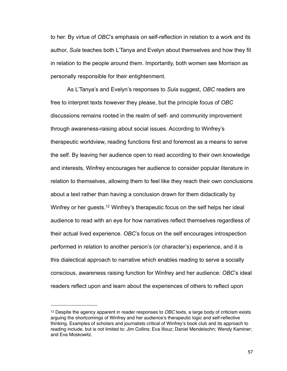to her. By virtue of *OBC*'s emphasis on self-reflection in relation to a work and its author, *Sula* teaches both L'Tanya and Evelyn about themselves and how they fit in relation to the people around them. Importantly, both women see Morrison as personally responsible for their enlightenment.

 As L'Tanya's and Evelyn's responses to *Sula* suggest, *OBC* readers are free to interpret texts however they please, but the principle focus of *OBC* discussions remains rooted in the realm of self- and community improvement through awareness-raising about social issues. According to Winfrey's therapeutic worldview, reading functions first and foremost as a means to serve the self. By leaving her audience open to read according to their own knowledge and interests, Winfrey encourages her audience to consider popular literature in relation to themselves, allowing them to feel like they reach their own conclusions about a text rather than having a conclusion drawn for them didactically by Winfrey or her guests.<sup>12</sup> Winfrey's therapeutic focus on the self helps her ideal audience to read with an eye for how narratives reflect themselves regardless of their actual lived experience. *OBC*'s focus on the self encourages introspection performed in relation to another person's (or character's) experience, and it is this dialectical approach to narrative which enables reading to serve a socially conscious, awareness raising function for Winfrey and her audience: *OBC*'s ideal readers reflect upon and learn about the experiences of others to reflect upon

<span id="page-62-0"></span><sup>12</sup> Despite the agency apparent in reader responses to *OBC* texts, a large body of criticism exists arguing the shortcomings of Winfrey and her audience's therapeutic logic and self-reflective thinking. Examples of scholars and journalists critical of Winfrey's book club and its approach to reading include, but is not limited to: Jim Collins; Eva Illouz; Daniel Mendelsohn; Wendy Kaminer; and Eva Moskowitz.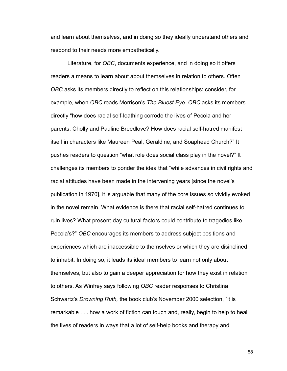and learn about themselves, and in doing so they ideally understand others and respond to their needs more empathetically.

 Literature, for *OBC*, documents experience, and in doing so it offers readers a means to learn about about themselves in relation to others. Often *OBC* asks its members directly to reflect on this relationships: consider, for example, when *OBC* reads Morrison's *The Bluest Eye. OBC* asks its members directly "how does racial self-loathing corrode the lives of Pecola and her parents, Cholly and Pauline Breedlove? How does racial self-hatred manifest itself in characters like Maureen Peal, Geraldine, and Soaphead Church?" It pushes readers to question "what role does social class play in the novel?" It challenges its members to ponder the idea that "while advances in civil rights and racial attitudes have been made in the intervening years [since the novel's publication in 1970], it is arguable that many of the core issues so vividly evoked in the novel remain. What evidence is there that racial self-hatred continues to ruin lives? What present-day cultural factors could contribute to tragedies like Pecola's?" *OBC* encourages its members to address subject positions and experiences which are inaccessible to themselves or which they are disinclined to inhabit. In doing so, it leads its ideal members to learn not only about themselves, but also to gain a deeper appreciation for how they exist in relation to others. As Winfrey says following *OBC* reader responses to Christina Schwartz's *Drowning Ruth,* the book club's November 2000 selection, "it is remarkable . . . how a work of fiction can touch and, really, begin to help to heal the lives of readers in ways that a lot of self-help books and therapy and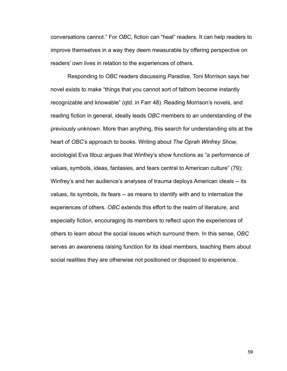conversations cannot." For *OBC*, fiction can "heal" readers. It can help readers to improve themselves in a way they deem measurable by offering perspective on readers' own lives in relation to the experiences of others.

Responding to *OBC* readers discussing *Paradise*, Toni Morrison says her novel exists to make "things that you cannot sort of fathom become instantly recognizable and knowable" (qtd. in Farr 48). Reading Morrison's novels, and reading fiction in general, ideally leads *OBC* members to an understanding of the previously unknown. More than anything, this search for understanding sits at the heart of *OBC*'s approach to books. Writing about *The Oprah Winfrey Show*, sociologist Eva Illouz argues that Winfrey's show functions as "a performance of values, symbols, ideas, fantasies, and fears central to American culture" (79); Winfrey's and her audience's analyses of trauma deploys American ideals -- its values, its symbols, its fears -- as means to identify with and to internalize the experiences of others. *OBC* extends this effort to the realm of literature, and especially fiction, encouraging its members to reflect upon the experiences of others to learn about the social issues which surround them. In this sense, *OBC* serves an awareness raising function for its ideal members, teaching them about social realities they are otherwise not positioned or disposed to experience.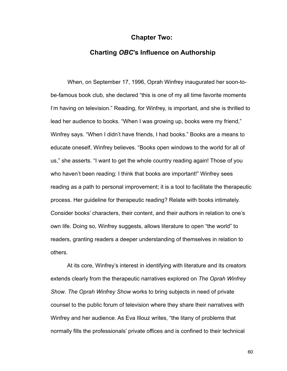# **Chapter Two:**

# **Charting** *OBC***'s Influence on Authorship**

 When, on September 17, 1996, Oprah Winfrey inaugurated her soon-tobe-famous book club, she declared "this is one of my all time favorite moments I'm having on television." Reading, for Winfrey, is important, and she is thrilled to lead her audience to books. "When I was growing up, books were my friend," Winfrey says. "When I didn't have friends, I had books." Books are a means to educate oneself, Winfrey believes. "Books open windows to the world for all of us," she asserts. "I want to get the whole country reading again! Those of you who haven't been reading: I think that books are important!" Winfrey sees reading as a path to personal improvement; it is a tool to facilitate the therapeutic process. Her guideline for therapeutic reading? Relate with books intimately. Consider books' characters, their content, and their authors in relation to one's own life. Doing so, Winfrey suggests, allows literature to open "the world" to readers, granting readers a deeper understanding of themselves in relation to others.

 At its core, Winfrey's interest in identifying with literature and its creators extends clearly from the therapeutic narratives explored on *The Oprah Winfrey Show*. *The Oprah Winfrey Show* works to bring subjects in need of private counsel to the public forum of television where they share their narratives with Winfrey and her audience. As Eva Illouz writes, "the litany of problems that normally fills the professionals' private offices and is confined to their technical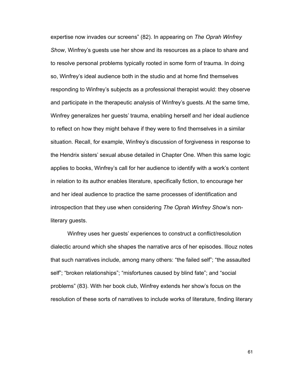expertise now invades our screens" (82). In appearing on *The Oprah Winfrey Show*, Winfrey's guests use her show and its resources as a place to share and to resolve personal problems typically rooted in some form of trauma. In doing so, Winfrey's ideal audience both in the studio and at home find themselves responding to Winfrey's subjects as a professional therapist would: they observe and participate in the therapeutic analysis of Winfrey's guests. At the same time, Winfrey generalizes her guests' trauma, enabling herself and her ideal audience to reflect on how they might behave if they were to find themselves in a similar situation. Recall, for example, Winfrey's discussion of forgiveness in response to the Hendrix sisters' sexual abuse detailed in Chapter One. When this same logic applies to books, Winfrey's call for her audience to identify with a work's content in relation to its author enables literature, specifically fiction, to encourage her and her ideal audience to practice the same processes of identification and introspection that they use when considering *The Oprah Winfrey Show*'s nonliterary guests.

 Winfrey uses her guests' experiences to construct a conflict/resolution dialectic around which she shapes the narrative arcs of her episodes. Illouz notes that such narratives include, among many others: "the failed self"; "the assaulted self"; "broken relationships"; "misfortunes caused by blind fate"; and "social problems" (83). With her book club, Winfrey extends her show's focus on the resolution of these sorts of narratives to include works of literature, finding literary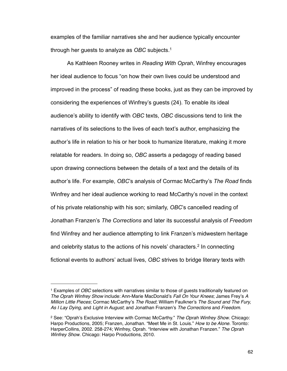examples of the familiar narratives she and her audience typically encounter through her guests to analyze as *OBC* subjects[.1](#page-67-0)

 As Kathleen Rooney writes in *Reading With Oprah*, Winfrey encourages her ideal audience to focus "on how their own lives could be understood and improved in the process" of reading these books, just as they can be improved by considering the experiences of Winfrey's guests (24). To enable its ideal audience's ability to identify with *OBC* texts, *OBC* discussions tend to link the narratives of its selections to the lives of each text's author, emphasizing the author's life in relation to his or her book to humanize literature, making it more relatable for readers. In doing so, *OBC* asserts a pedagogy of reading based upon drawing connections between the details of a text and the details of its author's life. For example, *OBC*'s analysis of Cormac McCarthy's *The Road* finds Winfrey and her ideal audience working to read McCarthy's novel in the context of his private relationship with his son; similarly, *OBC*'s cancelled reading of Jonathan Franzen's *The Corrections* and later its successful analysis of *Freedom*  find Winfrey and her audience attempting to link Franzen's midwestern heritage and celebrity status to the actions of his novels' characters.<sup>2</sup> In connecting fictional events to authors' actual lives, *OBC* strives to bridge literary texts with

<span id="page-67-0"></span><sup>1</sup> Examples of *OBC* selections with narratives similar to those of guests traditionally featured on *The Oprah Winfrey Show* include: Ann-Marie MacDonald's *Fall On Your Knees*; James Frey's *A Million Little Pieces*; Cormac McCarthy's *The Road*; William Faulkner's *The Sound and The Fury, As I Lay Dying*, and *Light in August*; and Jonathan Franzen's *The Corrections* and *Freedom*.

<span id="page-67-1"></span><sup>2</sup> See: "Oprah's Exclusive Interview with Cormac McCarthy." *The Oprah Winfrey Show*. Chicago: Harpo Productions, 2005; Franzen, Jonathan. "Meet Me in St. Louis." *How to be Alone*. Toronto: HarperCollins, 2002. 258-274; Winfrey, Oprah. "Interview with Jonathan Franzen." *The Oprah Winfrey Show*. Chicago: Harpo Productions, 2010.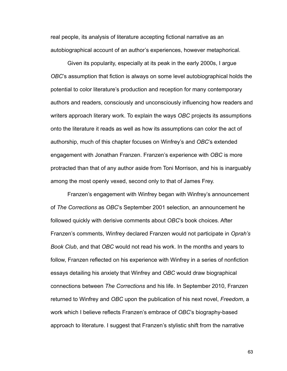real people, its analysis of literature accepting fictional narrative as an autobiographical account of an author's experiences, however metaphorical.

 Given its popularity, especially at its peak in the early 2000s, I argue *OBC*'s assumption that fiction is always on some level autobiographical holds the potential to color literature's production and reception for many contemporary authors and readers, consciously and unconsciously influencing how readers and writers approach literary work. To explain the ways *OBC* projects its assumptions onto the literature it reads as well as how its assumptions can color the act of authorship, much of this chapter focuses on Winfrey's and *OBC*'s extended engagement with Jonathan Franzen. Franzen's experience with *OBC* is more protracted than that of any author aside from Toni Morrison, and his is inarguably among the most openly vexed, second only to that of James Frey.

 Franzen's engagement with Winfrey began with Winfrey's announcement of *The Corrections* as *OBC*'s September 2001 selection, an announcement he followed quickly with derisive comments about *OBC*'s book choices. After Franzen's comments, Winfrey declared Franzen would not participate in *Oprah's Book Club*, and that *OBC* would not read his work. In the months and years to follow, Franzen reflected on his experience with Winfrey in a series of nonfiction essays detailing his anxiety that Winfrey and *OBC* would draw biographical connections between *The Corrections* and his life. In September 2010, Franzen returned to Winfrey and *OBC* upon the publication of his next novel, *Freedom*, a work which I believe reflects Franzen's embrace of *OBC*'s biography-based approach to literature. I suggest that Franzen's stylistic shift from the narrative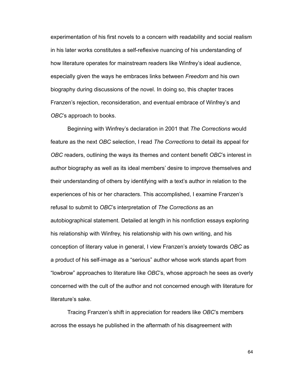experimentation of his first novels to a concern with readability and social realism in his later works constitutes a self-reflexive nuancing of his understanding of how literature operates for mainstream readers like Winfrey's ideal audience, especially given the ways he embraces links between *Freedom* and his own biography during discussions of the novel. In doing so, this chapter traces Franzen's rejection, reconsideration, and eventual embrace of Winfrey's and *OBC*'s approach to books.

 Beginning with Winfrey's declaration in 2001 that *The Corrections* would feature as the next *OBC* selection, I read *The Corrections* to detail its appeal for *OBC* readers, outlining the ways its themes and content benefit *OBC*'s interest in author biography as well as its ideal members' desire to improve themselves and their understanding of others by identifying with a text's author in relation to the experiences of his or her characters. This accomplished, I examine Franzen's refusal to submit to *OBC*'s interpretation of *The Corrections* as an autobiographical statement. Detailed at length in his nonfiction essays exploring his relationship with Winfrey, his relationship with his own writing, and his conception of literary value in general, I view Franzen's anxiety towards *OBC* as a product of his self-image as a "serious" author whose work stands apart from "lowbrow" approaches to literature like *OBC*'s, whose approach he sees as overly concerned with the cult of the author and not concerned enough with literature for literature's sake.

 Tracing Franzen's shift in appreciation for readers like *OBC*'s members across the essays he published in the aftermath of his disagreement with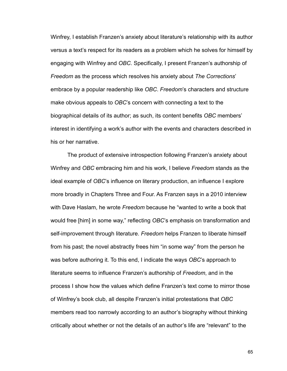Winfrey, I establish Franzen's anxiety about literature's relationship with its author versus a text's respect for its readers as a problem which he solves for himself by engaging with Winfrey and *OBC*. Specifically, I present Franzen's authorship of *Freedom* as the process which resolves his anxiety about *The Corrections*' embrace by a popular readership like *OBC*. *Freedom*'s characters and structure make obvious appeals to *OBC*'s concern with connecting a text to the biographical details of its author; as such, its content benefits *OBC* members' interest in identifying a work's author with the events and characters described in his or her narrative.

 The product of extensive introspection following Franzen's anxiety about Winfrey and *OBC* embracing him and his work, I believe *Freedom* stands as the ideal example of *OBC*'s influence on literary production, an influence I explore more broadly in Chapters Three and Four. As Franzen says in a 2010 interview with Dave Haslam, he wrote *Freedom* because he "wanted to write a book that would free [him] in some way," reflecting *OBC*'s emphasis on transformation and self-improvement through literature. *Freedom* helps Franzen to liberate himself from his past; the novel abstractly frees him "in some way" from the person he was before authoring it. To this end, I indicate the ways *OBC*'s approach to literature seems to influence Franzen's authorship of *Freedom*, and in the process I show how the values which define Franzen's text come to mirror those of Winfrey's book club, all despite Franzen's initial protestations that *OBC* members read too narrowly according to an author's biography without thinking critically about whether or not the details of an author's life are "relevant" to the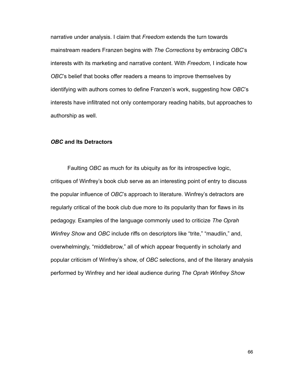narrative under analysis. I claim that *Freedom* extends the turn towards mainstream readers Franzen begins with *The Corrections* by embracing *OBC*'s interests with its marketing and narrative content. With *Freedom*, I indicate how *OBC*'s belief that books offer readers a means to improve themselves by identifying with authors comes to define Franzen's work, suggesting how *OBC*'s interests have infiltrated not only contemporary reading habits, but approaches to authorship as well.

### *OBC* **and Its Detractors**

 Faulting *OBC* as much for its ubiquity as for its introspective logic, critiques of Winfrey's book club serve as an interesting point of entry to discuss the popular influence of *OBC*'s approach to literature. Winfrey's detractors are regularly critical of the book club due more to its popularity than for flaws in its pedagogy. Examples of the language commonly used to criticize *The Oprah Winfrey Show* and *OBC* include riffs on descriptors like "trite," "maudlin," and, overwhelmingly, "middlebrow," all of which appear frequently in scholarly and popular criticism of Winfrey's show, of *OBC* selections, and of the literary analysis performed by Winfrey and her ideal audience during *The Oprah Winfrey Show*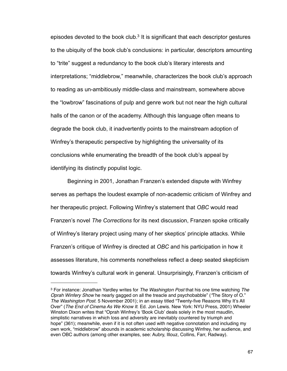episodes devoted to the book club.<sup>3</sup> It is significant that each descriptor gestures to the ubiquity of the book club's conclusions: in particular, descriptors amounting to "trite" suggest a redundancy to the book club's literary interests and interpretations; "middlebrow," meanwhile, characterizes the book club's approach to reading as un-ambitiously middle-class and mainstream, somewhere above the "lowbrow" fascinations of pulp and genre work but not near the high cultural halls of the canon or of the academy. Although this language often means to degrade the book club, it inadvertently points to the mainstream adoption of Winfrey's therapeutic perspective by highlighting the universality of its conclusions while enumerating the breadth of the book club's appeal by identifying its distinctly populist logic.

 Beginning in 2001, Jonathan Franzen's extended dispute with Winfrey serves as perhaps the loudest example of non-academic criticism of Winfrey and her therapeutic project. Following Winfrey's statement that *OBC* would read Franzen's novel *The Corrections* for its next discussion, Franzen spoke critically of Winfrey's literary project using many of her skeptics' principle attacks. While Franzen's critique of Winfrey is directed at *OBC* and his participation in how it assesses literature, his comments nonetheless reflect a deep seated skepticism towards Winfrey's cultural work in general. Unsurprisingly, Franzen's criticism of

<span id="page-72-0"></span><sup>3</sup> For instance: Jonathan Yardley writes for *The Washington Post* that his one time watching *The Oprah Winfery Show* he nearly gagged on all the treacle and psychobabble" (*"*The Story of O." *The Washington Post.* 5 November 2001); in an essay titled "Twenty-five Reasons Why It's All Over" (*The End of Cinema As We Know It*. Ed. Jon Lewis. New York: NYU Press, 2001) Wheeler Winston Dixon writes that "Oprah Winfrey's ʻBook Club' deals solely in the most maudlin, simplistic narratives in which loss and adversity are inevitably countered by triumph and hope" (361); meanwhile, even if it is not often used with negative connotation and including my own work, "middlebrow" abounds in academic scholarship discussing Winfrey, her audience, and even OBC authors (among other examples, see: Aubry, Illouz, Collins, Farr, Radway).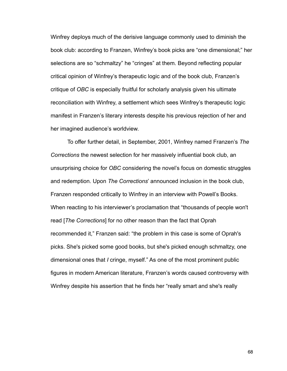Winfrey deploys much of the derisive language commonly used to diminish the book club: according to Franzen, Winfrey's book picks are "one dimensional;" her selections are so "schmaltzy" he "cringes" at them. Beyond reflecting popular critical opinion of Winfrey's therapeutic logic and of the book club, Franzen's critique of *OBC* is especially fruitful for scholarly analysis given his ultimate reconciliation with Winfrey, a settlement which sees Winfrey's therapeutic logic manifest in Franzen's literary interests despite his previous rejection of her and her imagined audience's worldview.

 To offer further detail, in September, 2001, Winfrey named Franzen's *The Corrections* the newest selection for her massively influential book club, an unsurprising choice for *OBC* considering the novel's focus on domestic struggles and redemption. Upon *The Corrections*' announced inclusion in the book club, Franzen responded critically to Winfrey in an interview with Powell's Books. When reacting to his interviewer's proclamation that "thousands of people won't read [*The Corrections*] for no other reason than the fact that Oprah recommended it," Franzen said: "the problem in this case is some of Oprah's picks. She's picked some good books, but she's picked enough schmaltzy, one dimensional ones that *I* cringe, myself." As one of the most prominent public figures in modern American literature, Franzen's words caused controversy with Winfrey despite his assertion that he finds her "really smart and she's really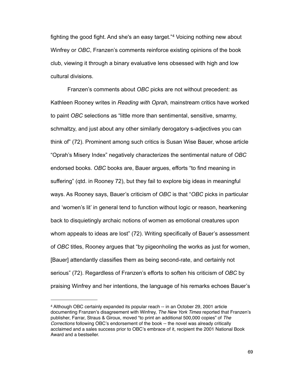fighting the good fight. And she's an easy target."[4](#page-74-0) Voicing nothing new about Winfrey or *OBC*, Franzen's comments reinforce existing opinions of the book club, viewing it through a binary evaluative lens obsessed with high and low cultural divisions.

 Franzen's comments about *OBC* picks are not without precedent: as Kathleen Rooney writes in *Reading with Oprah,* mainstream critics have worked to paint *OBC* selections as "little more than sentimental, sensitive, smarmy, schmaltzy, and just about any other similarly derogatory s-adjectives you can think of" (72). Prominent among such critics is Susan Wise Bauer, whose article "Oprah's Misery Index" negatively characterizes the sentimental nature of *OBC* endorsed books. *OBC* books are, Bauer argues, efforts "to find meaning in suffering" (qtd. in Rooney 72), but they fail to explore big ideas in meaningful ways. As Rooney says, Bauer's criticism of *OBC* is that "*OBC* picks in particular and 'women's lit' in general tend to function without logic or reason, hearkening back to disquietingly archaic notions of women as emotional creatures upon whom appeals to ideas are lost" (72). Writing specifically of Bauer's assessment of *OBC* titles, Rooney argues that "by pigeonholing the works as just for women, [Bauer] attendantly classifies them as being second-rate, and certainly not serious" (72). Regardless of Franzen's efforts to soften his criticism of *OBC* by praising Winfrey and her intentions, the language of his remarks echoes Bauer's

<span id="page-74-0"></span><sup>4</sup> Although OBC certainly expanded its popular reach -- in an October 29, 2001 article documenting Franzen's disagreement with Winfrey, *The New York Times* reported that Franzen's publisher, Farrar, Straus & Giroux, moved "to print an additional 500,000 copies" of *The Corrections* following OBC's endorsement of the book -- the novel was already critically acclaimed and a sales success prior to OBC's embrace of it, recipient the 2001 National Book Award and a bestseller.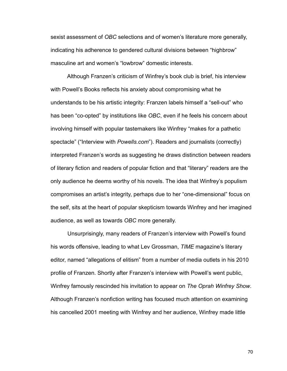sexist assessment of *OBC* selections and of women's literature more generally, indicating his adherence to gendered cultural divisions between "highbrow" masculine art and women's "lowbrow" domestic interests.

 Although Franzen's criticism of Winfrey's book club is brief, his interview with Powell's Books reflects his anxiety about compromising what he understands to be his artistic integrity: Franzen labels himself a "sell-out" who has been "co-opted" by institutions like *OBC*, even if he feels his concern about involving himself with popular tastemakers like Winfrey "makes for a pathetic spectacle" ("Interview with *Powells.com*"). Readers and journalists (correctly) interpreted Franzen's words as suggesting he draws distinction between readers of literary fiction and readers of popular fiction and that "literary" readers are the only audience he deems worthy of his novels. The idea that Winfrey's populism compromises an artist's integrity, perhaps due to her "one-dimensional" focus on the self, sits at the heart of popular skepticism towards Winfrey and her imagined audience, as well as towards *OBC* more generally.

 Unsurprisingly, many readers of Franzen's interview with Powell's found his words offensive, leading to what Lev Grossman, *TIME* magazine's literary editor, named "allegations of elitism" from a number of media outlets in his 2010 profile of Franzen. Shortly after Franzen's interview with Powell's went public, Winfrey famously rescinded his invitation to appear on *The Oprah Winfrey Show*. Although Franzen's nonfiction writing has focused much attention on examining his cancelled 2001 meeting with Winfrey and her audience, Winfrey made little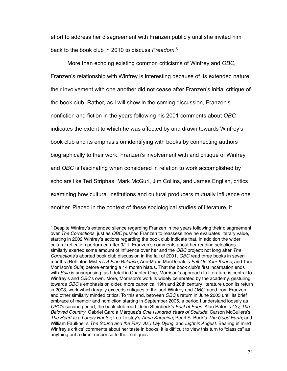effort to address her disagreement with Franzen publicly until she invited him back to the book club in 2010 to discuss *Freedom*. [5](#page-76-0)

 More than echoing existing common criticisms of Winfrey and *OBC*, Franzen's relationship with Winfrey is interesting because of its extended nature: their involvement with one another did not cease after Franzen's initial critique of the book club. Rather, as I will show in the coming discussion, Franzen's nonfiction and fiction in the years following his 2001 comments about *OBC* indicates the extent to which he was affected by and drawn towards Winfrey's book club and its emphasis on identifying with books by connecting authors biographically to their work. Franzen's involvement with and critique of Winfrey and *OBC* is fascinating when considered in relation to work accomplished by scholars like Ted Striphas, Mark McGurl, Jim Collins, and James English, critics examining how cultural institutions and cultural producers mutually influence one another. Placed in the context of these sociological studies of literature, it

<span id="page-76-0"></span><sup>5</sup> Despite Winfrey's extended silence regarding Franzen in the years following their disagreement over *The Corrections*, just as *OBC* pushed Franzen to reassess how he evaluates literary value, starting in 2002 Winfrey's actions regarding the book club indicate that, in addition the wider cultural reflection performed after 9/11, Franzen's comments about her reading selections similarly exerted some amount of influence over her and the *OBC* project: not long after *The Corrections*'s aborted book club discussion in the fall of 2001, *OBC* read three books in seven months (Rohinton Mistry's *A Fine Balance*; Ann-Marie MacDonald's *Fall On Your Knees*; and Toni Morrison's *Sula*) before entering a 14 month hiatus. That the book club's first incarnation ends with *Sula* is unsurprising: as I detail in Chapter One, Morrison's approach to literature is central to Winfrey's and *OBC*'s own. More, Morrison's work is widely celebrated by the academy, gesturing towards *OBC*'s emphasis on older, more canonical 19th and 20th century literature upon its return in 2003, work which largely exceeds critiques of the sort Winfrey and *OBC* faced from Franzen and other similarly minded critics. To this end, between *OBC*'s return in June 2003 until its brief embrace of memoir and nonfiction starting in September 2005, a period I understand loosely as *OBC*'s second period, the book club read: John Steinbeck's *East of Eden*; Alan Paton's *Cry, The Beloved Country*; Gabriel García Márquez's *One Hundred Years of Solitude*; Carson McCullers's *The Heart Is a Lonely Hunter*; Leo Tolstoy's *Anna Karenina*; Pearl S. Buck's *The Good Earth*; and William Faulkner's *The Sound and the Fury*, *As I Lay Dying*, and *Light in August*. Bearing in mind Winfrey's critics' comments about her taste in books, it is difficult to view this turn to "classics" as anything but a direct response to their critiques.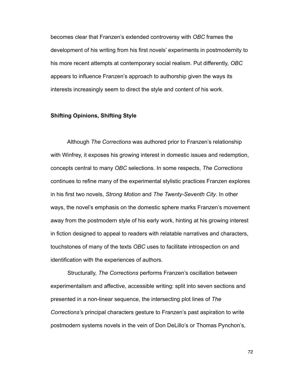becomes clear that Franzen's extended controversy with *OBC* frames the development of his writing from his first novels' experiments in postmodernity to his more recent attempts at contemporary social realism. Put differently, *OBC* appears to influence Franzen's approach to authorship given the ways its interests increasingly seem to direct the style and content of his work.

### **Shifting Opinions, Shifting Style**

 Although *The Corrections* was authored prior to Franzen's relationship with Winfrey, it exposes his growing interest in domestic issues and redemption, concepts central to many *OBC* selections. In some respects, *The Corrections*  continues to refine many of the experimental stylistic practices Franzen explores in his first two novels, *Strong Motion* and *The Twenty-Seventh City*. In other ways, the novel's emphasis on the domestic sphere marks Franzen's movement away from the postmodern style of his early work, hinting at his growing interest in fiction designed to appeal to readers with relatable narratives and characters, touchstones of many of the texts *OBC* uses to facilitate introspection on and identification with the experiences of authors.

 Structurally, *The Corrections* performs Franzen's oscillation between experimentalism and affective, accessible writing: split into seven sections and presented in a non-linear sequence, the intersecting plot lines of *The Corrections'*s principal characters gesture to Franzen's past aspiration to write postmodern systems novels in the vein of Don DeLillo's or Thomas Pynchon's,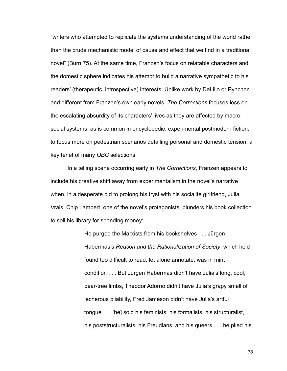"writers who attempted to replicate the systems understanding of the world rather than the crude mechanistic model of cause and effect that we find in a traditional novel" (Burn 75). At the same time, Franzen's focus on relatable characters and the domestic sphere indicates his attempt to build a narrative sympathetic to his readers' (therapeutic, introspective) interests. Unlike work by DeLillo or Pynchon and different from Franzen's own early novels, *The Corrections* focuses less on the escalating absurdity of its characters' lives as they are affected by macrosocial systems, as is common in encyclopedic, experimental postmodern fiction, to focus more on pedestrian scenarios detailing personal and domestic tension, a key tenet of many *OBC* selections.

 In a telling scene occurring early in *The Corrections*, Franzen appears to include his creative shift away from experimentalism in the novel's narrative when, in a desperate bid to prolong his tryst with his socialite girlfriend, Julia Vrais, Chip Lambert, one of the novel's protagonists, plunders his book collection to sell his library for spending money:

> He purged the Marxists from his bookshelves . . . Jürgen Habermas's *Reason and the Rationalization of Society*, which he'd found too difficult to read, let alone annotate, was in mint condition . . . But Jürgen Habermas didn't have Julia's long, cool, pear-tree limbs, Theodor Adorno didn't have Julia's grapy smell of lecherous pliability, Fred Jameson didn't have Julia's artful tongue . . . [he] sold his feminists, his formalists, his structuralist, his poststructuralists, his Freudians, and his queers . . . he plied his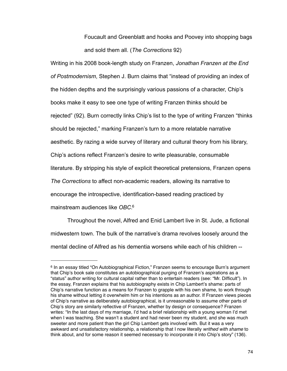Foucault and Greenblatt and hooks and Poovey into shopping bags and sold them all. (*The Corrections* 92)

Writing in his 2008 book-length study on Franzen, *Jonathan Franzen at the End of Postmodernism*, Stephen J. Burn claims that "instead of providing an index of the hidden depths and the surprisingly various passions of a character, Chip's books make it easy to see one type of writing Franzen thinks should be rejected" (92). Burn correctly links Chip's list to the type of writing Franzen "thinks should be rejected," marking Franzen's turn to a more relatable narrative aesthetic. By razing a wide survey of literary and cultural theory from his library, Chip's actions reflect Franzen's desire to write pleasurable, consumable literature. By stripping his style of explicit theoretical pretensions, Franzen opens *The Corrections* to affect non-academic readers, allowing its narrative to encourage the introspective, identification-based reading practiced by mainstream audiences like *OBC*. [6](#page-79-0)

 Throughout the novel, Alfred and Enid Lambert live in St. Jude, a fictional midwestern town. The bulk of the narrative's drama revolves loosely around the mental decline of Alfred as his dementia worsens while each of his children --

<span id="page-79-0"></span><sup>6</sup> In an essay titled "On Autobiographical Fiction," Franzen seems to encourage Burn's argument that Chip's book sale constitutes an autobiographical purging of Franzen's aspirations as a "status" author writing for cultural capital rather than to entertain readers (see: "Mr. Difficult"). In the essay, Franzen explains that his autobiography exists in Chip Lambert's shame: parts of Chip's narrative function as a means for Franzen to grapple with his own shame, to work through his shame without letting it overwhelm him or his intentions as an author. If Franzen views pieces of Chip's narrative as deliberately autobiographical, is it unreasonable to assume other parts of Chip's story are similarly reflective of Franzen, whether by design or consequence? Franzen writes: "In the last days of my marriage, I'd had a brief relationship with a young woman I'd met when I was teaching. She wasn't a student and had never been my student, and she was much sweeter and more patient than the girl Chip Lambert gets involved with. But it was a very awkward and unsatisfactory relationship, a relationship that I now literally *writhed with shame* to think about, and for some reason it seemed necessary to incorporate it into Chip's story" (136).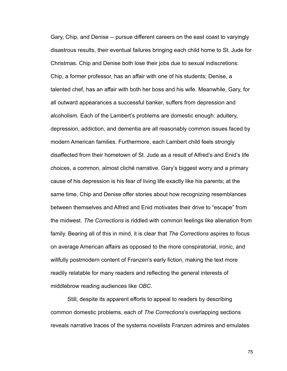Gary, Chip, and Denise -- pursue different careers on the east coast to varyingly disastrous results, their eventual failures bringing each child home to St. Jude for Christmas. Chip and Denise both lose their jobs due to sexual indiscretions: Chip, a former professor, has an affair with one of his students; Denise, a talented chef, has an affair with both her boss and his wife. Meanwhile, Gary, for all outward appearances a successful banker, suffers from depression and alcoholism. Each of the Lambert's problems are domestic enough: adultery, depression, addiction, and dementia are all reasonably common issues faced by modern American families. Furthermore, each Lambert child feels strongly disaffected from their hometown of St. Jude as a result of Alfred's and Enid's life choices, a common, almost cliché narrative. Gary's biggest worry and a primary cause of his depression is his fear of living life exactly like his parents; at the same time, Chip and Denise offer stories about how recognizing resemblances between themselves and Alfred and Enid motivates their drive to "escape" from the midwest. *The Corrections* is riddled with common feelings like alienation from family. Bearing all of this in mind, it is clear that *The Corrections* aspires to focus on average American affairs as opposed to the more conspiratorial, ironic, and willfully postmodern content of Franzen's early fiction, making the text more readily relatable for many readers and reflecting the general interests of middlebrow reading audiences like *OBC*.

 Still, despite its apparent efforts to appeal to readers by describing common domestic problems, each of *The Corrections*'s overlapping sections reveals narrative traces of the systems novelists Franzen admires and emulates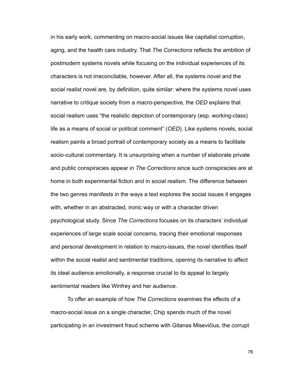in his early work, commenting on macro-social issues like capitalist corruption, aging, and the health care industry. That *The Corrections* reflects the ambition of postmodern systems novels while focusing on the individual experiences of its characters is not irreconcilable, however. After all, the systems novel and the social realist novel are, by definition, quite similar: where the systems novel uses narrative to critique society from a macro-perspective, the *OED* explains that social realism uses "the realistic depiction of contemporary (esp. working-class) life as a means of social or political comment" (*OED*). Like systems novels, social realism paints a broad portrait of contemporary society as a means to facilitate socio-cultural commentary. It is unsurprising when a number of elaborate private and public conspiracies appear in *The Corrections* since such conspiracies are at home in both experimental fiction and in social realism. The difference between the two genres manifests in the ways a text explores the social issues it engages with, whether in an abstracted, ironic way or with a character driven psychological study. Since *The Corrections* focuses on its characters' individual experiences of large scale social concerns, tracing their emotional responses and personal development in relation to macro-issues, the novel identifies itself within the social realist and sentimental traditions, opening its narrative to affect its ideal audience emotionally, a response crucial to its appeal to largely sentimental readers like Winfrey and her audience.

 To offer an example of how *The Corrections* examines the effects of a macro-social issue on a single character, Chip spends much of the novel participating in an investment fraud scheme with Gitanas Misevičius, the corrupt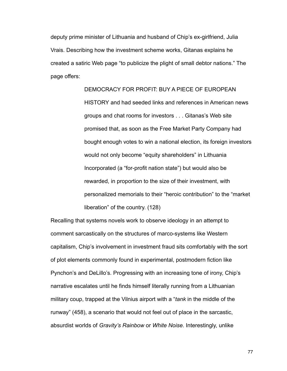deputy prime minister of Lithuania and husband of Chip's ex-girlfriend, Julia Vrais. Describing how the investment scheme works, Gitanas explains he created a satiric Web page "to publicize the plight of small debtor nations." The page offers:

## DEMOCRACY FOR PROFIT: BUY A PIECE OF EUROPEAN

 HISTORY and had seeded links and references in American news groups and chat rooms for investors . . . Gitanas's Web site promised that, as soon as the Free Market Party Company had bought enough votes to win a national election, its foreign investors would not only become "equity shareholders" in Lithuania Incorporated (a "for-profit nation state") but would also be rewarded, in proportion to the size of their investment, with personalized memorials to their "heroic contribution" to the "market liberation" of the country. (128)

Recalling that systems novels work to observe ideology in an attempt to comment sarcastically on the structures of marco-systems like Western capitalism, Chip's involvement in investment fraud sits comfortably with the sort of plot elements commonly found in experimental, postmodern fiction like Pynchon's and DeLillo's. Progressing with an increasing tone of irony, Chip's narrative escalates until he finds himself literally running from a Lithuanian military coup, trapped at the Vilnius airport with a "*tank* in the middle of the runway" (458), a scenario that would not feel out of place in the sarcastic, absurdist worlds of *Gravity's Rainbow* or *White Noise*. Interestingly, unlike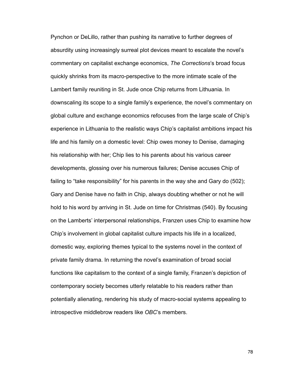Pynchon or DeLillo, rather than pushing its narrative to further degrees of absurdity using increasingly surreal plot devices meant to escalate the novel's commentary on capitalist exchange economics, *The Corrections*'s broad focus quickly shrinks from its macro-perspective to the more intimate scale of the Lambert family reuniting in St. Jude once Chip returns from Lithuania. In downscaling its scope to a single family's experience, the novel's commentary on global culture and exchange economics refocuses from the large scale of Chip's experience in Lithuania to the realistic ways Chip's capitalist ambitions impact his life and his family on a domestic level: Chip owes money to Denise, damaging his relationship with her; Chip lies to his parents about his various career developments, glossing over his numerous failures; Denise accuses Chip of failing to "take responsibility" for his parents in the way she and Gary do (502); Gary and Denise have no faith in Chip, always doubting whether or not he will hold to his word by arriving in St. Jude on time for Christmas (540). By focusing on the Lamberts' interpersonal relationships, Franzen uses Chip to examine how Chip's involvement in global capitalist culture impacts his life in a localized, domestic way, exploring themes typical to the systems novel in the context of private family drama. In returning the novel's examination of broad social functions like capitalism to the context of a single family, Franzen's depiction of contemporary society becomes utterly relatable to his readers rather than potentially alienating, rendering his study of macro-social systems appealing to introspective middlebrow readers like *OBC*'s members.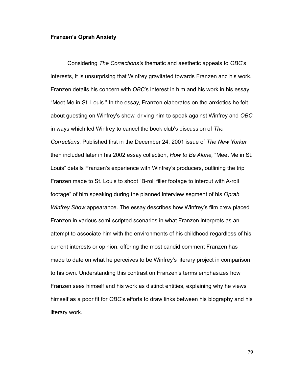#### **Franzen's Oprah Anxiety**

 Considering *The Corrections'*s thematic and aesthetic appeals to *OBC*'s interests, it is unsurprising that Winfrey gravitated towards Franzen and his work. Franzen details his concern with *OBC*'s interest in him and his work in his essay "Meet Me in St. Louis." In the essay, Franzen elaborates on the anxieties he felt about guesting on Winfrey's show, driving him to speak against Winfrey and *OBC* in ways which led Winfrey to cancel the book club's discussion of *The Corrections*. Published first in the December 24, 2001 issue of *The New Yorker*  then included later in his 2002 essay collection, *How to Be Alone,* "Meet Me in St. Louis" details Franzen's experience with Winfrey's producers, outlining the trip Franzen made to St. Louis to shoot "B-roll filler footage to intercut with A-roll footage" of him speaking during the planned interview segment of his *Oprah Winfrey Show* appearance. The essay describes how Winfrey's film crew placed Franzen in various semi-scripted scenarios in what Franzen interprets as an attempt to associate him with the environments of his childhood regardless of his current interests or opinion, offering the most candid comment Franzen has made to date on what he perceives to be Winfrey's literary project in comparison to his own. Understanding this contrast on Franzen's terms emphasizes how Franzen sees himself and his work as distinct entities, explaining why he views himself as a poor fit for *OBC*'s efforts to draw links between his biography and his literary work.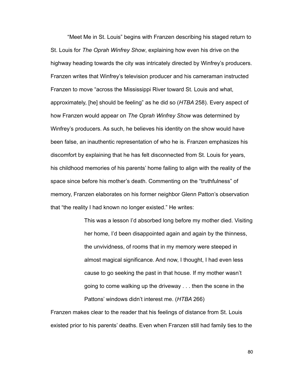"Meet Me in St. Louis" begins with Franzen describing his staged return to St. Louis for *The Oprah Winfrey Show*, explaining how even his drive on the highway heading towards the city was intricately directed by Winfrey's producers. Franzen writes that Winfrey's television producer and his cameraman instructed Franzen to move "across the Mississippi River toward St. Louis and what, approximately, [he] should be feeling" as he did so (*HTBA* 258). Every aspect of how Franzen would appear on *The Oprah Winfrey Show* was determined by Winfrey's producers. As such, he believes his identity on the show would have been false, an inauthentic representation of who he is. Franzen emphasizes his discomfort by explaining that he has felt disconnected from St. Louis for years, his childhood memories of his parents' home failing to align with the reality of the space since before his mother's death. Commenting on the "truthfulness" of memory, Franzen elaborates on his former neighbor Glenn Patton's observation that "the reality I had known no longer existed." He writes:

> This was a lesson I'd absorbed long before my mother died. Visiting her home, I'd been disappointed again and again by the thinness, the unvividness, of rooms that in my memory were steeped in almost magical significance. And now, I thought, I had even less cause to go seeking the past in that house. If my mother wasn't going to come walking up the driveway . . . then the scene in the Pattons' windows didn't interest me. (*HTBA* 266)

Franzen makes clear to the reader that his feelings of distance from St. Louis existed prior to his parents' deaths. Even when Franzen still had family ties to the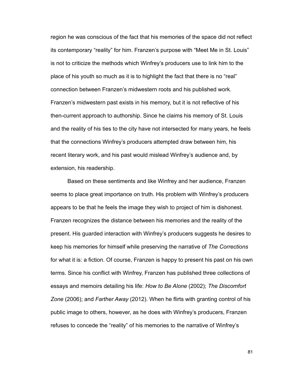region he was conscious of the fact that his memories of the space did not reflect its contemporary "reality" for him. Franzen's purpose with "Meet Me in St. Louis" is not to criticize the methods which Winfrey's producers use to link him to the place of his youth so much as it is to highlight the fact that there is no "real" connection between Franzen's midwestern roots and his published work. Franzen's midwestern past exists in his memory, but it is not reflective of his then-current approach to authorship. Since he claims his memory of St. Louis and the reality of his ties to the city have not intersected for many years, he feels that the connections Winfrey's producers attempted draw between him, his recent literary work, and his past would mislead Winfrey's audience and, by extension, his readership.

 Based on these sentiments and like Winfrey and her audience, Franzen seems to place great importance on truth. His problem with Winfrey's producers appears to be that he feels the image they wish to project of him is dishonest. Franzen recognizes the distance between his memories and the reality of the present. His guarded interaction with Winfrey's producers suggests he desires to keep his memories for himself while preserving the narrative of *The Corrections*  for what it is: a fiction. Of course, Franzen is happy to present his past on his own terms. Since his conflict with Winfrey, Franzen has published three collections of essays and memoirs detailing his life: *How to Be Alone* (2002); *The Discomfort Zone* (2006); and *Farther Away* (2012). When he flirts with granting control of his public image to others, however, as he does with Winfrey's producers, Franzen refuses to concede the "reality" of his memories to the narrative of Winfrey's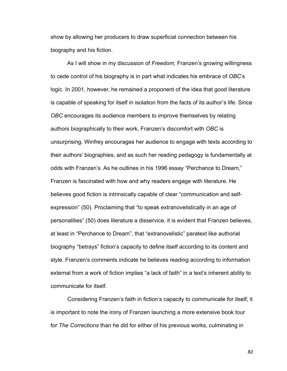show by allowing her producers to draw superficial connection between his biography and his fiction.

 As I will show in my discussion of *Freedom,* Franzen's growing willingness to cede control of his biography is in part what indicates his embrace of *OBC*'s logic. In 2001, however, he remained a proponent of the idea that good literature is capable of speaking for itself in isolation from the facts of its author's life. Since *OBC* encourages its audience members to improve themselves by relating authors biographically to their work, Franzen's discomfort with *OBC* is unsurprising. Winfrey encourages her audience to engage with texts according to their authors' biographies, and as such her reading pedagogy is fundamentally at odds with Franzen's. As he outlines in his 1996 essay "Perchance to Dream," Franzen is fascinated with how and why readers engage with literature. He believes good fiction is intrinsically capable of clear "communication and selfexpression" (50). Proclaiming that "to speak extranovelistically in an age of personalities" (50) does literature a disservice, it is evident that Franzen believes, at least in "Perchance to Dream", that "extranovelistic" paratext like authorial biography "betrays" fiction's capacity to define itself according to its content and style. Franzen's comments indicate he believes reading according to information external from a work of fiction implies "a lack of faith" in a text's inherent ability to communicate for itself.

 Considering Franzen's faith in fiction's capacity to communicate for itself, it is important to note the irony of Franzen launching a more extensive book tour for *The Corrections* than he did for either of his previous works, culminating in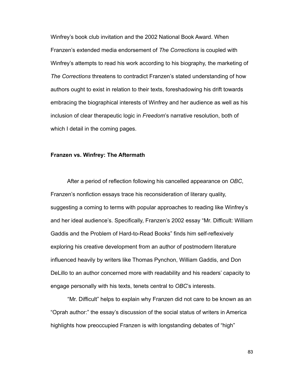Winfrey's book club invitation and the 2002 National Book Award. When Franzen's extended media endorsement of *The Corrections* is coupled with Winfrey's attempts to read his work according to his biography, the marketing of *The Corrections* threatens to contradict Franzen's stated understanding of how authors ought to exist in relation to their texts, foreshadowing his drift towards embracing the biographical interests of Winfrey and her audience as well as his inclusion of clear therapeutic logic in *Freedom*'s narrative resolution, both of which I detail in the coming pages.

### **Franzen vs. Winfrey: The Aftermath**

 After a period of reflection following his cancelled appearance on *OBC*, Franzen's nonfiction essays trace his reconsideration of literary quality, suggesting a coming to terms with popular approaches to reading like Winfrey's and her ideal audience's. Specifically, Franzen's 2002 essay "Mr. Difficult: William Gaddis and the Problem of Hard-to-Read Books" finds him self-reflexively exploring his creative development from an author of postmodern literature influenced heavily by writers like Thomas Pynchon, William Gaddis, and Don DeLillo to an author concerned more with readability and his readers' capacity to engage personally with his texts, tenets central to *OBC*'s interests.

 "Mr. Difficult" helps to explain why Franzen did not care to be known as an "Oprah author:" the essay's discussion of the social status of writers in America highlights how preoccupied Franzen is with longstanding debates of "high"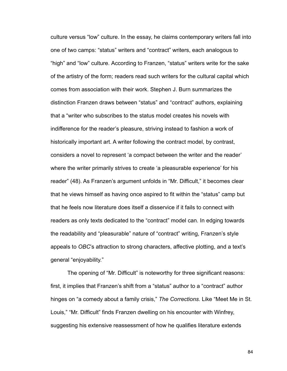culture versus "low" culture. In the essay, he claims contemporary writers fall into one of two camps: "status" writers and "contract" writers, each analogous to "high" and "low" culture. According to Franzen, "status" writers write for the sake of the artistry of the form; readers read such writers for the cultural capital which comes from association with their work. Stephen J. Burn summarizes the distinction Franzen draws between "status" and "contract" authors, explaining that a "writer who subscribes to the status model creates his novels with indifference for the reader's pleasure, striving instead to fashion a work of historically important art. A writer following the contract model, by contrast, considers a novel to represent 'a compact between the writer and the reader' where the writer primarily strives to create 'a pleasurable experience' for his reader" (48). As Franzen's argument unfolds in "Mr. Difficult," it becomes clear that he views himself as having once aspired to fit within the "status" camp but that he feels now literature does itself a disservice if it fails to connect with readers as only texts dedicated to the "contract" model can. In edging towards the readability and "pleasurable" nature of "contract" writing, Franzen's style appeals to *OBC*'s attraction to strong characters, affective plotting, and a text's general "enjoyability."

 The opening of "Mr. Difficult" is noteworthy for three significant reasons: first, it implies that Franzen's shift from a "status" author to a "contract" author hinges on "a comedy about a family crisis," *The Corrections*. Like "Meet Me in St. Louis," "Mr. Difficult" finds Franzen dwelling on his encounter with Winfrey, suggesting his extensive reassessment of how he qualifies literature extends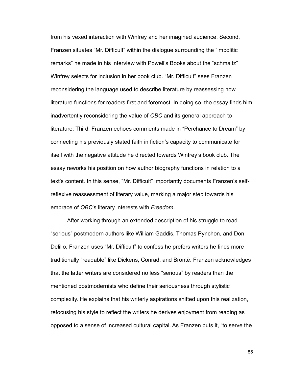from his vexed interaction with Winfrey and her imagined audience. Second, Franzen situates "Mr. Difficult" within the dialogue surrounding the "impolitic remarks" he made in his interview with Powell's Books about the "schmaltz" Winfrey selects for inclusion in her book club. "Mr. Difficult" sees Franzen reconsidering the language used to describe literature by reassessing how literature functions for readers first and foremost. In doing so, the essay finds him inadvertently reconsidering the value of *OBC* and its general approach to literature. Third, Franzen echoes comments made in "Perchance to Dream" by connecting his previously stated faith in fiction's capacity to communicate for itself with the negative attitude he directed towards Winfrey's book club. The essay reworks his position on how author biography functions in relation to a text's content. In this sense, "Mr. Difficult" importantly documents Franzen's selfreflexive reassessment of literary value, marking a major step towards his embrace of *OBC*'s literary interests with *Freedom*.

 After working through an extended description of his struggle to read "serious" postmodern authors like William Gaddis, Thomas Pynchon, and Don Delillo, Franzen uses "Mr. Difficult" to confess he prefers writers he finds more traditionally "readable" like Dickens, Conrad, and Brontë. Franzen acknowledges that the latter writers are considered no less "serious" by readers than the mentioned postmodernists who define their seriousness through stylistic complexity. He explains that his writerly aspirations shifted upon this realization, refocusing his style to reflect the writers he derives enjoyment from reading as opposed to a sense of increased cultural capital. As Franzen puts it, "to serve the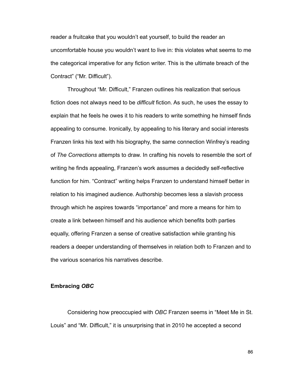reader a fruitcake that you wouldn't eat yourself, to build the reader an uncomfortable house you wouldn't want to live in: this violates what seems to me the categorical imperative for any fiction writer. This is the ultimate breach of the Contract" ("Mr. Difficult").

 Throughout "Mr. Difficult," Franzen outlines his realization that serious fiction does not always need to be *difficult* fiction. As such, he uses the essay to explain that he feels he owes it to his readers to write something he himself finds appealing to consume. Ironically, by appealing to his literary and social interests Franzen links his text with his biography, the same connection Winfrey's reading of *The Corrections* attempts to draw. In crafting his novels to resemble the sort of writing he finds appealing, Franzen's work assumes a decidedly self-reflective function for him. "Contract" writing helps Franzen to understand himself better in relation to his imagined audience. Authorship becomes less a slavish process through which he aspires towards "importance" and more a means for him to create a link between himself and his audience which benefits both parties equally, offering Franzen a sense of creative satisfaction while granting his readers a deeper understanding of themselves in relation both to Franzen and to the various scenarios his narratives describe.

#### **Embracing** *OBC*

 Considering how preoccupied with *OBC* Franzen seems in "Meet Me in St. Louis" and "Mr. Difficult," it is unsurprising that in 2010 he accepted a second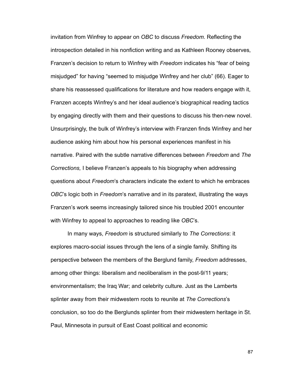invitation from Winfrey to appear on *OBC* to discuss *Freedom*. Reflecting the introspection detailed in his nonfiction writing and as Kathleen Rooney observes*,*  Franzen's decision to return to Winfrey with *Freedom* indicates his "fear of being misjudged" for having "seemed to misjudge Winfrey and her club" (66). Eager to share his reassessed qualifications for literature and how readers engage with it, Franzen accepts Winfrey's and her ideal audience's biographical reading tactics by engaging directly with them and their questions to discuss his then-new novel. Unsurprisingly, the bulk of Winfrey's interview with Franzen finds Winfrey and her audience asking him about how his personal experiences manifest in his narrative. Paired with the subtle narrative differences between *Freedom* and *The Corrections,* I believe Franzen's appeals to his biography when addressing questions about *Freedom*'s characters indicate the extent to which he embraces *OBC*'s logic both in *Freedom*'s narrative and in its paratext, illustrating the ways Franzen's work seems increasingly tailored since his troubled 2001 encounter with Winfrey to appeal to approaches to reading like *OBC*'s.

 In many ways, *Freedom* is structured similarly to *The Corrections*: it explores macro-social issues through the lens of a single family. Shifting its perspective between the members of the Berglund family, *Freedom* addresses, among other things: liberalism and neoliberalism in the post-9/11 years; environmentalism; the Iraq War; and celebrity culture. Just as the Lamberts splinter away from their midwestern roots to reunite at *The Corrections*'s conclusion, so too do the Berglunds splinter from their midwestern heritage in St. Paul, Minnesota in pursuit of East Coast political and economic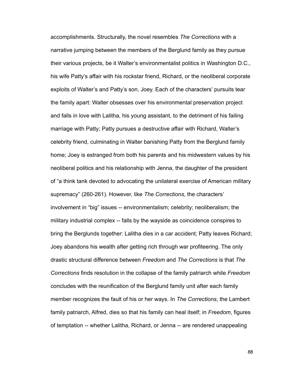accomplishments. Structurally, the novel resembles *The Corrections* with a narrative jumping between the members of the Berglund family as they pursue their various projects, be it Walter's environmentalist politics in Washington D.C., his wife Patty's affair with his rockstar friend, Richard, or the neoliberal corporate exploits of Walter's and Patty's son, Joey. Each of the characters' pursuits tear the family apart: Walter obsesses over his environmental preservation project and falls in love with Lalitha, his young assistant, to the detriment of his failing marriage with Patty; Patty pursues a destructive affair with Richard, Walter's celebrity friend, culminating in Walter banishing Patty from the Berglund family home; Joey is estranged from both his parents and his midwestern values by his neoliberal politics and his relationship with Jenna, the daughter of the president of "a think tank devoted to advocating the unilateral exercise of American military supremacy" (260-261). However, like *The Corrections*, the characters' involvement in "big" issues -- environmentalism; celebrity; neoliberalism; the military industrial complex -- falls by the wayside as coincidence conspires to bring the Berglunds together: Lalitha dies in a car accident; Patty leaves Richard; Joey abandons his wealth after getting rich through war profiteering. The only drastic structural difference between *Freedom* and *The Corrections* is that *The Corrections* finds resolution in the collapse of the family patriarch while *Freedom*  concludes with the reunification of the Berglund family unit after each family member recognizes the fault of his or her ways. In *The Corrections*, the Lambert family patriarch, Alfred, dies so that his family can heal itself; in *Freedom*, figures of temptation -- whether Lalitha, Richard, or Jenna -- are rendered unappealing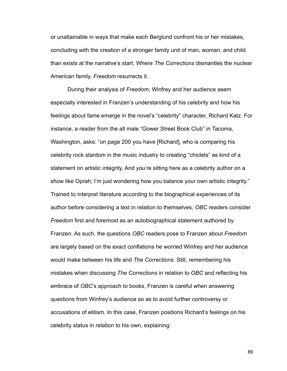or unattainable in ways that make each Berglund confront his or her mistakes, concluding with the creation of a stronger family unit of man, woman, and child than exists at the narrative's start. Where *The Corrections* dismantles the nuclear American family, *Freedom* resurrects it.

 During their analysis of *Freedom*, Winfrey and her audience seem especially interested in Franzen's understanding of his celebrity and how his feelings about fame emerge in the novel's "celebrity" character, Richard Katz. For instance, a reader from the all male "Gower Street Book Club" in Tacoma, Washington, asks: "on page 200 you have [Richard], who is comparing his celebrity rock stardom in the music industry to creating "chiclets" as kind of a statement on artistic integrity. And you're sitting here as a celebrity author on a show like Oprah; I'm just wondering how you balance your own artistic integrity." Trained to interpret literature according to the biographical experiences of its author before considering a text in relation to themselves, *OBC* readers consider *Freedom* first and foremost as an autobiographical statement authored by Franzen. As such, the questions *OBC* readers pose to Franzen about *Freedom*  are largely based on the exact conflations he worried Winfrey and her audience would make between his life and *The Corrections*. Still, remembering his mistakes when discussing *The Corrections* in relation to *OBC* and reflecting his embrace of *OBC*'s approach to books, Franzen is careful when answering questions from Winfrey's audience so as to avoid further controversy or accusations of elitism. In this case, Franzen positions Richard's feelings on his celebrity status in relation to his own, explaining: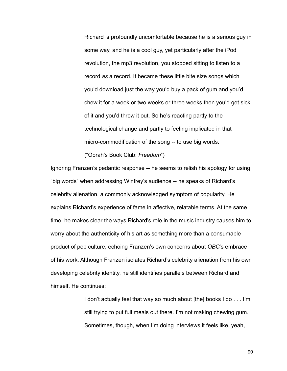Richard is profoundly uncomfortable because he is a serious guy in some way, and he is a cool guy, yet particularly after the iPod revolution, the mp3 revolution, you stopped sitting to listen to a record *as* a record. It became these little bite size songs which you'd download just the way you'd buy a pack of gum and you'd chew it for a week or two weeks or three weeks then you'd get sick of it and you'd throw it out. So he's reacting partly to the technological change and partly to feeling implicated in that micro-commodification of the song -- to use big words.

("Oprah's Book Club: *Freedom*")

Ignoring Franzen's pedantic response -- he seems to relish his apology for using "big words" when addressing Winfrey's audience -- he speaks of Richard's celebrity alienation, a commonly acknowledged symptom of popularity. He explains Richard's experience of fame in affective, relatable terms. At the same time, he makes clear the ways Richard's role in the music industry causes him to worry about the authenticity of his art as something more than a consumable product of pop culture, echoing Franzen's own concerns about *OBC*'s embrace of his work. Although Franzen isolates Richard's celebrity alienation from his own developing celebrity identity, he still identifies parallels between Richard and himself. He continues:

> I don't actually feel that way so much about [the] books I do . . . I'm still trying to put full meals out there. I'm not making chewing gum. Sometimes, though, when I'm doing interviews it feels like, yeah,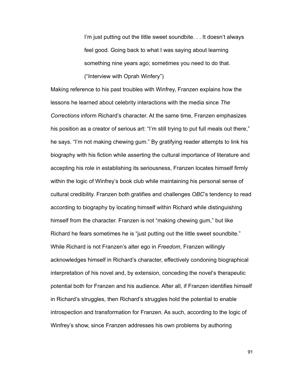I'm just putting out the little sweet soundbite. . . It doesn't always feel good. Going back to what I was saying about learning something nine years ago; sometimes you need to do that. ("Interview with Oprah Winfery")

Making reference to his past troubles with Winfrey, Franzen explains how the lessons he learned about celebrity interactions with the media since *The Corrections* inform Richard's character. At the same time, Franzen emphasizes his position as a creator of serious art: "I'm still trying to put full meals out there," he says. "I'm not making chewing gum." By gratifying reader attempts to link his biography with his fiction while asserting the cultural importance of literature and accepting his role in establishing its seriousness, Franzen locates himself firmly within the logic of Winfrey's book club while maintaining his personal sense of cultural credibility. Franzen both gratifies and challenges *OBC*'s tendency to read according to biography by locating himself within Richard while distinguishing himself from the character. Franzen is not "making chewing gum," but like Richard he fears sometimes he is "just putting out the little sweet soundbite." While Richard is not Franzen's alter ego in *Freedom*, Franzen willingly acknowledges himself in Richard's character, effectively condoning biographical interpretation of his novel and, by extension, conceding the novel's therapeutic potential both for Franzen and his audience. After all, if Franzen identifies himself in Richard's struggles, then Richard's struggles hold the potential to enable introspection and transformation for Franzen. As such, according to the logic of Winfrey's show, since Franzen addresses his own problems by authoring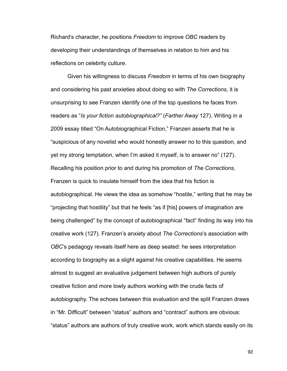Richard's character, he positions *Freedom* to improve *OBC* readers by developing their understandings of themselves in relation to him and his reflections on celebrity culture.

 Given his willingness to discuss *Freedom* in terms of his own biography and considering his past anxieties about doing so with *The Corrections*, it is unsurprising to see Franzen identify one of the top questions he faces from readers as "*Is your fiction autobiographical?"* (*Farther Away* 127). Writing in a 2009 essay titled "On Autobiographical Fiction," Franzen asserts that he is "suspicious of any novelist who would honestly answer no to this question, and yet my strong temptation, when I'm asked it myself, is to answer no" (127). Recalling his position prior to and during his promotion of *The Corrections*, Franzen is quick to insulate himself from the idea that his fiction is autobiographical. He views the idea as somehow "hostile," writing that he may be "projecting that hostility" but that he feels "as if [his] powers of imagination are being challenged" by the concept of autobiographical "fact" finding its way into his creative work (127). Franzen's anxiety about *The Corrections*'s association with *OBC*'s pedagogy reveals itself here as deep seated: he sees interpretation according to biography as a slight against his creative capabilities. He seems almost to suggest an evaluative judgement between high authors of purely creative fiction and more lowly authors working with the crude facts of autobiography. The echoes between this evaluation and the split Franzen draws in "Mr. Difficult" between "status" authors and "contract" authors are obvious: "status" authors are authors of truly creative work, work which stands easily on its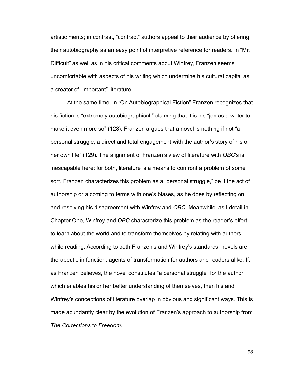artistic merits; in contrast, "contract" authors appeal to their audience by offering their autobiography as an easy point of interpretive reference for readers. In "Mr. Difficult" as well as in his critical comments about Winfrey, Franzen seems uncomfortable with aspects of his writing which undermine his cultural capital as a creator of "important" literature.

 At the same time, in "On Autobiographical Fiction" Franzen recognizes that his fiction is "extremely autobiographical," claiming that it is his "job as a writer to make it even more so" (128). Franzen argues that a novel is nothing if not "a personal struggle, a direct and total engagement with the author's story of his or her own life" (129). The alignment of Franzen's view of literature with *OBC*'s is inescapable here: for both, literature is a means to confront a problem of some sort. Franzen characterizes this problem as a "personal struggle," be it the act of authorship or a coming to terms with one's biases, as he does by reflecting on and resolving his disagreement with Winfrey and *OBC*. Meanwhile, as I detail in Chapter One, Winfrey and *OBC* characterize this problem as the reader's effort to learn about the world and to transform themselves by relating with authors while reading. According to both Franzen's and Winfrey's standards, novels are therapeutic in function, agents of transformation for authors and readers alike. If, as Franzen believes, the novel constitutes "a personal struggle" for the author which enables his or her better understanding of themselves, then his and Winfrey's conceptions of literature overlap in obvious and significant ways. This is made abundantly clear by the evolution of Franzen's approach to authorship from *The Corrections* to *Freedom*.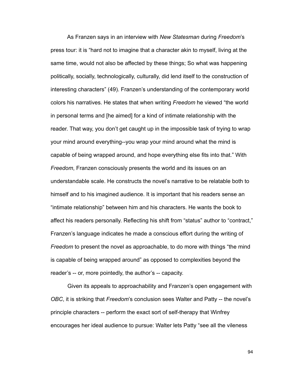As Franzen says in an interview with *New Statesman* during *Freedom*'s press tour: it is "hard not to imagine that a character akin to myself, living at the same time, would not also be affected by these things; So what was happening politically, socially, technologically, culturally, did lend itself to the construction of interesting characters" (49). Franzen's understanding of the contemporary world colors his narratives. He states that when writing *Freedom* he viewed "the world in personal terms and [he aimed] for a kind of intimate relationship with the reader. That way, you don't get caught up in the impossible task of trying to wrap your mind around everything--you wrap your mind around what the mind is capable of being wrapped around, and hope everything else fits into that." With *Freedom*, Franzen consciously presents the world and its issues on an understandable scale. He constructs the novel's narrative to be relatable both to himself and to his imagined audience. It is important that his readers sense an "intimate relationship" between him and his characters. He wants the book to affect his readers personally. Reflecting his shift from "status" author to "contract," Franzen's language indicates he made a conscious effort during the writing of *Freedom* to present the novel as approachable, to do more with things "the mind is capable of being wrapped around" as opposed to complexities beyond the reader's -- or, more pointedly, the author's -- capacity.

 Given its appeals to approachability and Franzen's open engagement with *OBC*, it is striking that *Freedom*'s conclusion sees Walter and Patty -- the novel's principle characters -- perform the exact sort of self-therapy that Winfrey encourages her ideal audience to pursue: Walter lets Patty "see all the vileness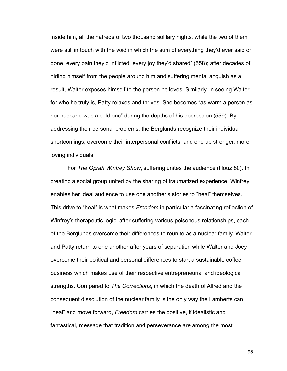inside him, all the hatreds of two thousand solitary nights, while the two of them were still in touch with the void in which the sum of everything they'd ever said or done, every pain they'd inflicted, every joy they'd shared" (558); after decades of hiding himself from the people around him and suffering mental anguish as a result, Walter exposes himself to the person he loves. Similarly, in seeing Walter for who he truly is, Patty relaxes and thrives. She becomes "as warm a person as her husband was a cold one" during the depths of his depression (559). By addressing their personal problems, the Berglunds recognize their individual shortcomings, overcome their interpersonal conflicts, and end up stronger, more loving individuals.

 For *The Oprah Winfrey Show*, suffering unites the audience (Illouz 80). In creating a social group united by the sharing of traumatized experience, Winfrey enables her ideal audience to use one another's stories to "heal" themselves. This drive to "heal" is what makes *Freedom* in particular a fascinating reflection of Winfrey's therapeutic logic: after suffering various poisonous relationships, each of the Berglunds overcome their differences to reunite as a nuclear family. Walter and Patty return to one another after years of separation while Walter and Joey overcome their political and personal differences to start a sustainable coffee business which makes use of their respective entrepreneurial and ideological strengths. Compared to *The Corrections*, in which the death of Alfred and the consequent dissolution of the nuclear family is the only way the Lamberts can "heal" and move forward, *Freedom* carries the positive, if idealistic and fantastical, message that tradition and perseverance are among the most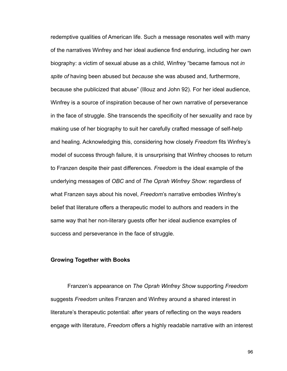redemptive qualities of American life. Such a message resonates well with many of the narratives Winfrey and her ideal audience find enduring, including her own biography: a victim of sexual abuse as a child, Winfrey "became famous not *in spite of* having been abused but *because* she was abused and, furthermore, because she publicized that abuse" (Illouz and John 92). For her ideal audience, Winfrey is a source of inspiration because of her own narrative of perseverance in the face of struggle. She transcends the specificity of her sexuality and race by making use of her biography to suit her carefully crafted message of self-help and healing. Acknowledging this, considering how closely *Freedom* fits Winfrey's model of success through failure, it is unsurprising that Winfrey chooses to return to Franzen despite their past differences. *Freedom* is the ideal example of the underlying messages of *OBC* and of *The Oprah Winfrey Show*: regardless of what Franzen says about his novel, *Freedom*'s narrative embodies Winfrey's belief that literature offers a therapeutic model to authors and readers in the same way that her non-literary guests offer her ideal audience examples of success and perseverance in the face of struggle.

#### **Growing Together with Books**

 Franzen's appearance on *The Oprah Winfrey Show* supporting *Freedom*  suggests *Freedom* unites Franzen and Winfrey around a shared interest in literature's therapeutic potential: after years of reflecting on the ways readers engage with literature, *Freedom* offers a highly readable narrative with an interest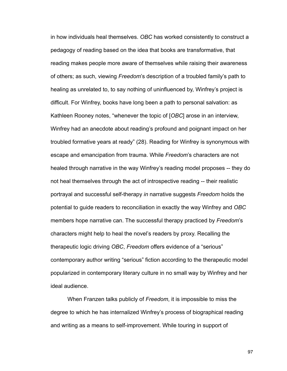in how individuals heal themselves. *OBC* has worked consistently to construct a pedagogy of reading based on the idea that books are transformative, that reading makes people more aware of themselves while raising their awareness of others; as such, viewing *Freedom*'s description of a troubled family's path to healing as unrelated to, to say nothing of uninfluenced by, Winfrey's project is difficult. For Winfrey, books have long been a path to personal salvation: as Kathleen Rooney notes, "whenever the topic of [*OBC*] arose in an interview, Winfrey had an anecdote about reading's profound and poignant impact on her troubled formative years at ready" (28). Reading for Winfrey is synonymous with escape and emancipation from trauma. While *Freedom*'s characters are not healed through narrative in the way Winfrey's reading model proposes -- they do not heal themselves through the act of introspective reading -- their realistic portrayal and successful self-therapy *in* narrative suggests *Freedom* holds the potential to guide readers to reconciliation in exactly the way Winfrey and *OBC* members hope narrative can. The successful therapy practiced by *Freedom*'s characters might help to heal the novel's readers by proxy. Recalling the therapeutic logic driving *OBC*, *Freedom* offers evidence of a "serious" contemporary author writing "serious" fiction according to the therapeutic model popularized in contemporary literary culture in no small way by Winfrey and her ideal audience.

 When Franzen talks publicly of *Freedom*, it is impossible to miss the degree to which he has internalized Winfrey's process of biographical reading and writing as a means to self-improvement. While touring in support of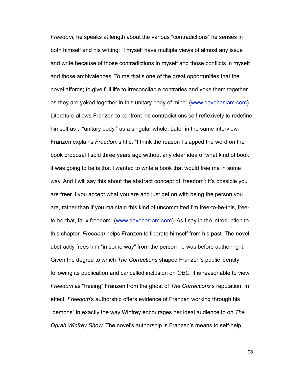*Freedom*, he speaks at length about the various "contradictions" he senses in both himself and his writing: "I myself have multiple views of almost any issue and write because of those contradictions in myself and those conflicts in myself and those ambivalences. To me that's one of the great opportunities that the novel affords; to give full life to irreconcilable contraries and yoke them together as they are yoked together in this unitary body of mine" [\(www.davehaslam.com\)](http://www.davehaslam.com). Literature allows Franzen to confront his contradictions self-reflexively to redefine himself as a "unitary body," as a singular whole. Later in the same interview, Franzen explains *Freedom*'s title: "I think the reason I slapped the word on the book proposal I sold three years ago without any clear idea of what kind of book it was going to be is that I wanted to write a book that would free me in some way. And I will say this about the abstract concept of 'freedom': it's possible you are freer if you accept what you are and just get on with being the person you are, rather than if you maintain this kind of uncommitted I'm free-to-be-this, freeto-be-that, faux freedom" [\(www.davehaslam.com\)](http://www.davehaslam.com). As I say in the introduction to this chapter, *Freedom* helps Franzen to liberate himself from his past. The novel abstractly frees him "in some way" from the person he was before authoring it. Given the degree to which *The Corrections* shaped Franzen's public identity following its publication and cancelled inclusion on *OBC*, it is reasonable to view *Freedom* as "freeing" Franzen from the ghost of *The Corrections'*s reputation. In effect, *Freedom*'s authorship offers evidence of Franzen working through his "demons" in exactly the way Winfrey encourages her ideal audience to on *The Oprah Winfrey Show*. The novel's authorship is Franzen's means to self-help.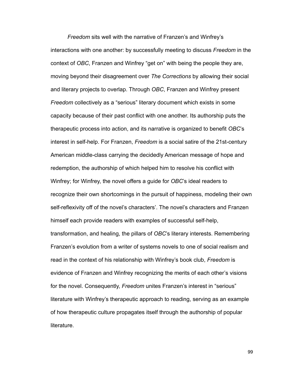*Freedom* sits well with the narrative of Franzen's and Winfrey's interactions with one another: by successfully meeting to discuss *Freedom* in the context of *OBC*, Franzen and Winfrey "get on" with being the people they are, moving beyond their disagreement over *The Corrections* by allowing their social and literary projects to overlap. Through *OBC*, Franzen and Winfrey present *Freedom* collectively as a "serious" literary document which exists in some capacity because of their past conflict with one another. Its authorship puts the therapeutic process into action, and its narrative is organized to benefit *OBC*'s interest in self-help. For Franzen, *Freedom* is a social satire of the 21st-century American middle-class carrying the decidedly American message of hope and redemption, the authorship of which helped him to resolve his conflict with Winfrey; for Winfrey, the novel offers a guide for *OBC*'s ideal readers to recognize their own shortcomings in the pursuit of happiness, modeling their own self-reflexivity off of the novel's characters'. The novel's characters and Franzen himself each provide readers with examples of successful self-help, transformation, and healing, the pillars of *OBC*'s literary interests. Remembering Franzen's evolution from a writer of systems novels to one of social realism and read in the context of his relationship with Winfrey's book club, *Freedom* is evidence of Franzen and Winfrey recognizing the merits of each other's visions for the novel. Consequently, *Freedom* unites Franzen's interest in "serious" literature with Winfrey's therapeutic approach to reading, serving as an example of how therapeutic culture propagates itself through the authorship of popular literature.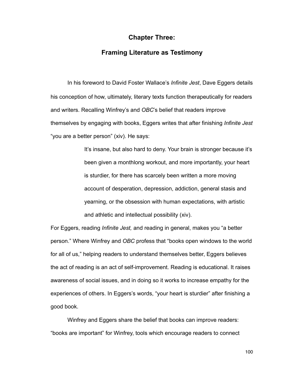## **Chapter Three:**

# **Framing Literature as Testimony**

In his foreword to David Foster Wallace's *Infinite Jest*, Dave Eggers details his conception of how, ultimately, literary texts function therapeutically for readers and writers. Recalling Winfrey's and *OBC*'s belief that readers improve themselves by engaging with books, Eggers writes that after finishing *Infinite Jest* "you are a better person" (xiv). He says:

> It's insane, but also hard to deny. Your brain is stronger because it's been given a monthlong workout, and more importantly, your heart is sturdier, for there has scarcely been written a more moving account of desperation, depression, addiction, general stasis and yearning, or the obsession with human expectations, with artistic and athletic and intellectual possibility (xiv).

For Eggers, reading *Infinite Jest,* and reading in general, makes you "a better person." Where Winfrey and *OBC* profess that "books open windows to the world for all of us," helping readers to understand themselves better, Eggers believes the act of reading is an act of self-improvement. Reading is educational. It raises awareness of social issues, and in doing so it works to increase empathy for the experiences of others. In Eggers's words, "your heart is sturdier" after finishing a good book.

 Winfrey and Eggers share the belief that books can improve readers: "books are important" for Winfrey, tools which encourage readers to connect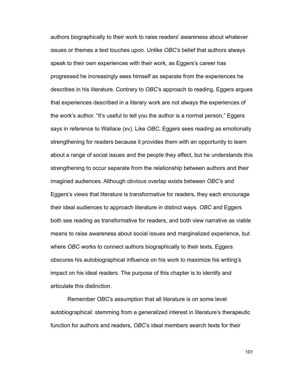authors biographically to their work to raise readers' awareness about whatever issues or themes a text touches upon. Unlike *OBC*'s belief that authors always speak to their own experiences with their work, as Eggers's career has progressed he increasingly sees himself as separate from the experiences he describes in his literature. Contrary to *OBC*'s approach to reading, Eggers argues that experiences described in a literary work are not always the experiences of the work's author. "It's useful to tell you the author is a normal person," Eggers says in reference to Wallace (xv). Like *OBC*, Eggers sees reading as emotionally strengthening for readers because it provides them with an opportunity to learn about a range of social issues and the people they affect, but he understands this strengthening to occur separate from the relationship between authors and their imagined audiences. Although obvious overlap exists between *OBC*'s and Eggers's views that literature is transformative for readers, they each encourage their ideal audiences to approach literature in distinct ways. *OBC* and Eggers both see reading as transformative for readers, and both view narrative as viable means to raise awareness about social issues and marginalized experience, but where *OBC* works to connect authors biographically to their texts, Eggers obscures his autobiographical influence on his work to maximize his writing's impact on his ideal readers. The purpose of this chapter is to identify and articulate this distinction.

 Remember *OBC*'s assumption that all literature is on some level autobiographical: stemming from a generalized interest in literature's therapeutic function for authors and readers, *OBC*'s ideal members search texts for their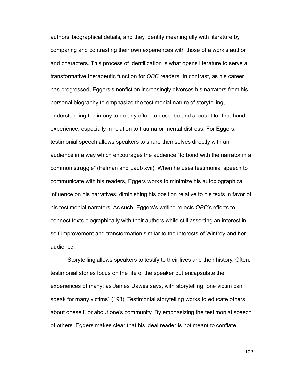authors' biographical details, and they identify meaningfully with literature by comparing and contrasting their own experiences with those of a work's author and characters. This process of identification is what opens literature to serve a transformative therapeutic function for *OBC* readers. In contrast, as his career has progressed, Eggers's nonfiction increasingly divorces his narrators from his personal biography to emphasize the testimonial nature of storytelling, understanding testimony to be any effort to describe and account for first-hand experience, especially in relation to trauma or mental distress. For Eggers, testimonial speech allows speakers to share themselves directly with an audience in a way which encourages the audience "to bond with the narrator in a common struggle" (Felman and Laub xvii). When he uses testimonial speech to communicate with his readers, Eggers works to minimize his autobiographical influence on his narratives, diminishing his position relative to his texts in favor of his testimonial narrators. As such, Eggers's writing rejects *OBC*'s efforts to connect texts biographically with their authors while still asserting an interest in self-improvement and transformation similar to the interests of Winfrey and her audience.

 Storytelling allows speakers to testify to their lives and their history. Often, testimonial stories focus on the life of the speaker but encapsulate the experiences of many: as James Dawes says, with storytelling "one victim can speak for many victims" (198). Testimonial storytelling works to educate others about oneself, or about one's community. By emphasizing the testimonial speech of others, Eggers makes clear that his ideal reader is not meant to conflate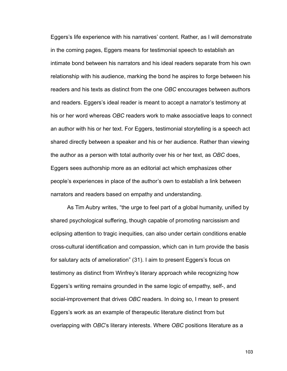Eggers's life experience with his narratives' content. Rather, as I will demonstrate in the coming pages, Eggers means for testimonial speech to establish an intimate bond between his narrators and his ideal readers separate from his own relationship with his audience, marking the bond he aspires to forge between his readers and his texts as distinct from the one *OBC* encourages between authors and readers. Eggers's ideal reader is meant to accept a narrator's testimony at his or her word whereas *OBC* readers work to make associative leaps to connect an author with his or her text. For Eggers, testimonial storytelling is a speech act shared directly between a speaker and his or her audience. Rather than viewing the author as a person with total authority over his or her text, as *OBC* does, Eggers sees authorship more as an editorial act which emphasizes other people's experiences in place of the author's own to establish a link between narrators and readers based on empathy and understanding.

As Tim Aubry writes, "the urge to feel part of a global humanity, unified by shared psychological suffering, though capable of promoting narcissism and eclipsing attention to tragic inequities, can also under certain conditions enable cross-cultural identification and compassion, which can in turn provide the basis for salutary acts of amelioration" (31). I aim to present Eggers's focus on testimony as distinct from Winfrey's literary approach while recognizing how Eggers's writing remains grounded in the same logic of empathy, self-, and social-improvement that drives *OBC* readers. In doing so, I mean to present Eggers's work as an example of therapeutic literature distinct from but overlapping with *OBC*'s literary interests. Where *OBC* positions literature as a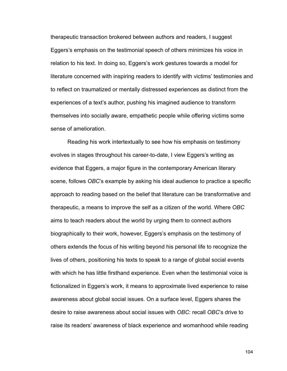therapeutic transaction brokered between authors and readers, I suggest Eggers's emphasis on the testimonial speech of others minimizes his voice in relation to his text. In doing so, Eggers's work gestures towards a model for literature concerned with inspiring readers to identify with victims' testimonies and to reflect on traumatized or mentally distressed experiences as distinct from the experiences of a text's author, pushing his imagined audience to transform themselves into socially aware, empathetic people while offering victims some sense of amelioration.

 Reading his work intertextually to see how his emphasis on testimony evolves in stages throughout his career-to-date, I view Eggers's writing as evidence that Eggers, a major figure in the contemporary American literary scene, follows *OBC*'s example by asking his ideal audience to practice a specific approach to reading based on the belief that literature can be transformative and therapeutic, a means to improve the self as a citizen of the world. Where *OBC* aims to teach readers about the world by urging them to connect authors biographically to their work, however, Eggers's emphasis on the testimony of others extends the focus of his writing beyond his personal life to recognize the lives of others, positioning his texts to speak to a range of global social events with which he has little firsthand experience. Even when the testimonial voice is fictionalized in Eggers's work, it means to approximate lived experience to raise awareness about global social issues. On a surface level, Eggers shares the desire to raise awareness about social issues with *OBC*: recall *OBC*'s drive to raise its readers' awareness of black experience and womanhood while reading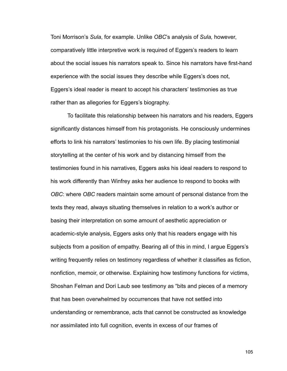Toni Morrison's *Sula*, for example. Unlike *OBC*'s analysis of *Sula,* however, comparatively little interpretive work is required of Eggers's readers to learn about the social issues his narrators speak to. Since his narrators have first-hand experience with the social issues they describe while Eggers's does not, Eggers's ideal reader is meant to accept his characters' testimonies as true rather than as allegories for Eggers's biography.

 To facilitate this relationship between his narrators and his readers, Eggers significantly distances himself from his protagonists. He consciously undermines efforts to link his narrators' testimonies to his own life. By placing testimonial storytelling at the center of his work and by distancing himself from the testimonies found in his narratives, Eggers asks his ideal readers to respond to his work differently than Winfrey asks her audience to respond to books with *OBC*: where *OBC* readers maintain some amount of personal distance from the texts they read, always situating themselves in relation to a work's author or basing their interpretation on some amount of aesthetic appreciation or academic-style analysis, Eggers asks only that his readers engage with his subjects from a position of empathy. Bearing all of this in mind, I argue Eggers's writing frequently relies on testimony regardless of whether it classifies as fiction, nonfiction, memoir, or otherwise. Explaining how testimony functions for victims, Shoshan Felman and Dori Laub see testimony as "bits and pieces of a memory that has been overwhelmed by occurrences that have not settled into understanding or remembrance, acts that cannot be constructed as knowledge nor assimilated into full cognition, events in excess of our frames of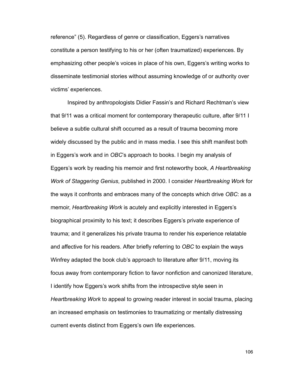reference" (5). Regardless of genre or classification, Eggers's narratives constitute a person testifying to his or her (often traumatized) experiences. By emphasizing other people's voices in place of his own, Eggers's writing works to disseminate testimonial stories without assuming knowledge of or authority over victims' experiences.

 Inspired by anthropologists Didier Fassin's and Richard Rechtman's view that 9/11 was a critical moment for contemporary therapeutic culture, after 9/11 I believe a subtle cultural shift occurred as a result of trauma becoming more widely discussed by the public and in mass media. I see this shift manifest both in Eggers's work and in *OBC*'s approach to books. I begin my analysis of Eggers's work by reading his memoir and first noteworthy book, *A Heartbreaking Work of Staggering Genius*, published in 2000. I consider *Heartbreaking Work* for the ways it confronts and embraces many of the concepts which drive *OBC*: as a memoir, *Heartbreaking Work* is acutely and explicitly interested in Eggers's biographical proximity to his text; it describes Eggers's private experience of trauma; and it generalizes his private trauma to render his experience relatable and affective for his readers. After briefly referring to *OBC* to explain the ways Winfrey adapted the book club's approach to literature after 9/11, moving its focus away from contemporary fiction to favor nonfiction and canonized literature, I identify how Eggers's work shifts from the introspective style seen in *Heartbreaking Work* to appeal to growing reader interest in social trauma, placing an increased emphasis on testimonies to traumatizing or mentally distressing current events distinct from Eggers's own life experiences.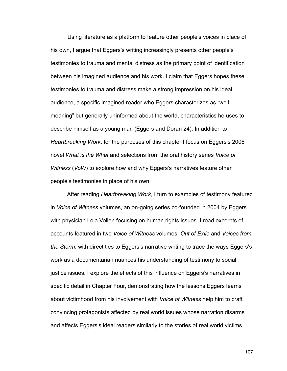Using literature as a platform to feature other people's voices in place of his own, I argue that Eggers's writing increasingly presents other people's testimonies to trauma and mental distress as the primary point of identification between his imagined audience and his work. I claim that Eggers hopes these testimonies to trauma and distress make a strong impression on his ideal audience, a specific imagined reader who Eggers characterizes as "well meaning" but generally uninformed about the world, characteristics he uses to describe himself as a young man (Eggers and Doran 24). In addition to *Heartbreaking Work*, for the purposes of this chapter I focus on Eggers's 2006 novel *What is the What* and selections from the oral history series *Voice of Witness* (*VoW*) to explore how and why Eggers's narratives feature other people's testimonies in place of his own.

 After reading *Heartbreaking Work*, I turn to examples of testimony featured in *Voice of Witness* volumes, an on-going series co-founded in 2004 by Eggers with physician Lola Vollen focusing on human rights issues. I read excerpts of accounts featured in two *Voice of Witness* volumes, *Out of Exile* and *Voices from the Storm*, with direct ties to Eggers's narrative writing to trace the ways Eggers's work as a documentarian nuances his understanding of testimony to social justice issues. I explore the effects of this influence on Eggers's narratives in specific detail in Chapter Four, demonstrating how the lessons Eggers learns about victimhood from his involvement with *Voice of Witness* help him to craft convincing protagonists affected by real world issues whose narration disarms and affects Eggers's ideal readers similarly to the stories of real world victims.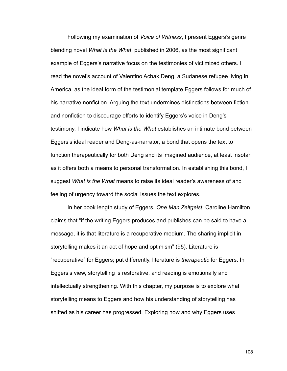Following my examination of *Voice of Witness*, I present Eggers's genre blending novel *What is the What*, published in 2006, as the most significant example of Eggers's narrative focus on the testimonies of victimized others. I read the novel's account of Valentino Achak Deng, a Sudanese refugee living in America, as the ideal form of the testimonial template Eggers follows for much of his narrative nonfiction. Arguing the text undermines distinctions between fiction and nonfiction to discourage efforts to identify Eggers's voice in Deng's testimony, I indicate how *What is the What* establishes an intimate bond between Eggers's ideal reader and Deng-as-narrator, a bond that opens the text to function therapeutically for both Deng and its imagined audience, at least insofar as it offers both a means to personal transformation. In establishing this bond, I suggest *What is the What* means to raise its ideal reader's awareness of and feeling of urgency toward the social issues the text explores.

 In her book length study of Eggers, *One Man Zeitgeist*, Caroline Hamilton claims that "if the writing Eggers produces and publishes can be said to have a message, it is that literature is a recuperative medium. The sharing implicit in storytelling makes it an act of hope and optimism" (95). Literature is "recuperative" for Eggers; put differently, literature is *therapeutic* for Eggers. In Eggers's view, storytelling is restorative, and reading is emotionally and intellectually strengthening. With this chapter, my purpose is to explore what storytelling means to Eggers and how his understanding of storytelling has shifted as his career has progressed. Exploring how and why Eggers uses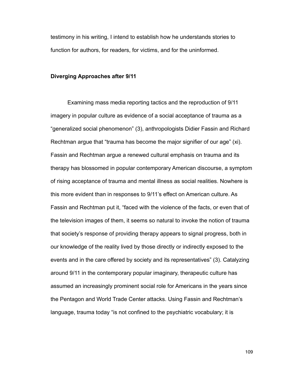testimony in his writing, I intend to establish how he understands stories to function for authors, for readers, for victims, and for the uninformed.

## **Diverging Approaches after 9/11**

 Examining mass media reporting tactics and the reproduction of 9/11 imagery in popular culture as evidence of a social acceptance of trauma as a "generalized social phenomenon" (3), anthropologists Didier Fassin and Richard Rechtman argue that "trauma has become the major signifier of our age" (xi). Fassin and Rechtman argue a renewed cultural emphasis on trauma and its therapy has blossomed in popular contemporary American discourse, a symptom of rising acceptance of trauma and mental illness as social realities. Nowhere is this more evident than in responses to 9/11's effect on American culture. As Fassin and Rechtman put it, "faced with the violence of the facts, or even that of the television images of them, it seems so natural to invoke the notion of trauma that society's response of providing therapy appears to signal progress, both in our knowledge of the reality lived by those directly or indirectly exposed to the events and in the care offered by society and its representatives" (3). Catalyzing around 9/11 in the contemporary popular imaginary, therapeutic culture has assumed an increasingly prominent social role for Americans in the years since the Pentagon and World Trade Center attacks. Using Fassin and Rechtman's language, trauma today "is not confined to the psychiatric vocabulary; it is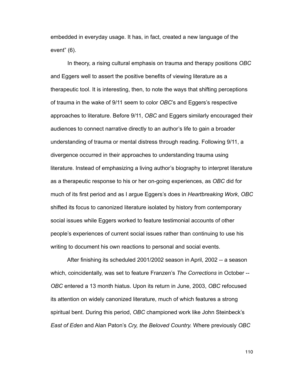embedded in everyday usage. It has, in fact, created a new language of the event" (6).

 In theory, a rising cultural emphasis on trauma and therapy positions *OBC* and Eggers well to assert the positive benefits of viewing literature as a therapeutic tool. It is interesting, then, to note the ways that shifting perceptions of trauma in the wake of 9/11 seem to color *OBC*'s and Eggers's respective approaches to literature. Before 9/11, *OBC* and Eggers similarly encouraged their audiences to connect narrative directly to an author's life to gain a broader understanding of trauma or mental distress through reading. Following 9/11, a divergence occurred in their approaches to understanding trauma using literature. Instead of emphasizing a living author's biography to interpret literature as a therapeutic response to his or her on-going experiences, as *OBC* did for much of its first period and as I argue Eggers's does in *Heartbreaking Work*, *OBC* shifted its focus to canonized literature isolated by history from contemporary social issues while Eggers worked to feature testimonial accounts of other people's experiences of current social issues rather than continuing to use his writing to document his own reactions to personal and social events.

 After finishing its scheduled 2001/2002 season in April, 2002 -- a season which, coincidentally, was set to feature Franzen's *The Corrections* in October -- *OBC* entered a 13 month hiatus. Upon its return in June, 2003, *OBC* refocused its attention on widely canonized literature, much of which features a strong spiritual bent. During this period, *OBC* championed work like John Steinbeck's *East of Eden* and Alan Paton's *Cry, the Beloved Country.* Where previously *OBC*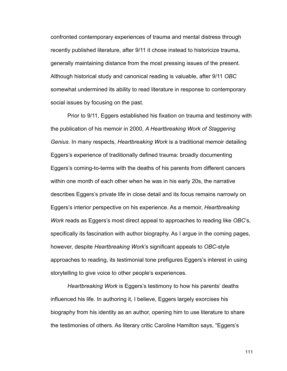confronted contemporary experiences of trauma and mental distress through recently published literature, after 9/11 it chose instead to historicize trauma, generally maintaining distance from the most pressing issues of the present. Although historical study and canonical reading is valuable, after 9/11 *OBC* somewhat undermined its ability to read literature in response to contemporary social issues by focusing on the past.

 Prior to 9/11, Eggers established his fixation on trauma and testimony with the publication of his memoir in 2000, *A Heartbreaking Work of Staggering Genius*. In many respects, *Heartbreaking Work* is a traditional memoir detailing Eggers's experience of traditionally defined trauma: broadly documenting Eggers's coming-to-terms with the deaths of his parents from different cancers within one month of each other when he was in his early 20s, the narrative describes Eggers's private life in close detail and its focus remains narrowly on Eggers's interior perspective on his experience. As a memoir, *Heartbreaking Work* reads as Eggers's most direct appeal to approaches to reading like *OBC*'s, specifically its fascination with author biography. As I argue in the coming pages, however, despite *Heartbreaking Work*'s significant appeals to *OBC*-style approaches to reading, its testimonial tone prefigures Eggers's interest in using storytelling to give voice to other people's experiences.

*Heartbreaking Work* is Eggers's testimony to how his parents' deaths influenced his life. In authoring it, I believe, Eggers largely exorcises his biography from his identity as an author, opening him to use literature to share the testimonies of others. As literary critic Caroline Hamilton says, "Eggers's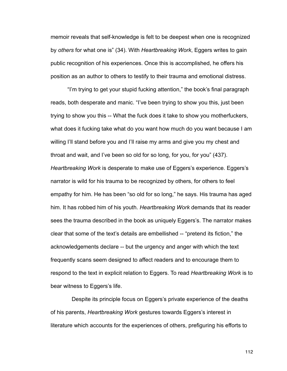memoir reveals that self-knowledge is felt to be deepest when one is recognized by *others* for what one is" (34). With *Heartbreaking Work*, Eggers writes to gain public recognition of his experiences. Once this is accomplished, he offers his position as an author to others to testify to their trauma and emotional distress.

"I'm trying to get your stupid fucking attention," the book's final paragraph reads, both desperate and manic. "I've been trying to show you this, just been trying to show you this -- What the fuck does it take to show you motherfuckers, what does it fucking take what do you want how much do you want because I am willing I'll stand before you and I'll raise my arms and give you my chest and throat and wait, and I've been so old for so long, for you, for you" (437). *Heartbreaking Work* is desperate to make use of Eggers's experience. Eggers's narrator is wild for his trauma to be recognized by others, for others to feel empathy for him. He has been "so old for so long," he says. His trauma has aged him. It has robbed him of his youth. *Heartbreaking Work* demands that its reader sees the trauma described in the book as uniquely Eggers's. The narrator makes clear that some of the text's details are embellished -- "pretend its fiction," the acknowledgements declare -- but the urgency and anger with which the text frequently scans seem designed to affect readers and to encourage them to respond to the text in explicit relation to Eggers. To read *Heartbreaking Work* is to bear witness to Eggers's life.

 Despite its principle focus on Eggers's private experience of the deaths of his parents, *Heartbreaking Work* gestures towards Eggers's interest in literature which accounts for the experiences of others, prefiguring his efforts to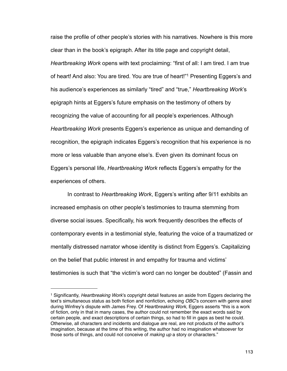raise the profile of other people's stories with his narratives. Nowhere is this more clear than in the book's epigraph. After its title page and copyright detail, *Heartbreaking Work* opens with text proclaiming: "first of all: I am tired. I am true of heart! And also: You are tired. You are true of heart!["1](#page-118-0) Presenting Eggers's and his audience's experiences as similarly "tired" and "true," *Heartbreaking Work*'s epigraph hints at Eggers's future emphasis on the testimony of others by recognizing the value of accounting for all people's experiences. Although *Heartbreaking Work* presents Eggers's experience as unique and demanding of recognition, the epigraph indicates Eggers's recognition that his experience is no more or less valuable than anyone else's. Even given its dominant focus on Eggers's personal life, *Heartbreaking Work* reflects Eggers's empathy for the experiences of others.

 In contrast to *Heartbreaking Work*, Eggers's writing after 9/11 exhibits an increased emphasis on other people's testimonies to trauma stemming from diverse social issues. Specifically, his work frequently describes the effects of contemporary events in a testimonial style, featuring the voice of a traumatized or mentally distressed narrator whose identity is distinct from Eggers's. Capitalizing on the belief that public interest in and empathy for trauma and victims' testimonies is such that "the victim's word can no longer be doubted" (Fassin and

<span id="page-118-0"></span><sup>1</sup> Significantly, *Heartbreaking Work*'s copyright detail features an aside from Eggers declaring the text's simultaneous status as both fiction and nonfiction, echoing *OBC*'s concern with genre aired during Winfrey's dispute with James Frey. Of *Heartbreaking Work*, Eggers asserts "this is a work of fiction, only in that in many cases, the author could not remember the exact words said by certain people, and exact descriptions of certain things, so had to fill in gaps as best he could. Otherwise, all characters and incidents and dialogue are real, are not products of the author's imagination, because at the time of this writing, the author had no imagination whatsoever for those sorts of things, and could not conceive of *making up* a story or characters."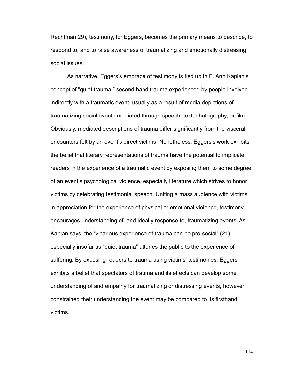Rechtman 29), testimony, for Eggers, becomes the primary means to describe, to respond to, and to raise awareness of traumatizing and emotionally distressing social issues.

 As narrative, Eggers's embrace of testimony is tied up in E. Ann Kaplan's concept of "quiet trauma," second hand trauma experienced by people involved indirectly with a traumatic event, usually as a result of media depictions of traumatizing social events mediated through speech, text, photography, or film. Obviously, mediated descriptions of trauma differ significantly from the visceral encounters felt by an event's direct victims. Nonetheless, Eggers's work exhibits the belief that literary representations of trauma have the potential to implicate readers in the experience of a traumatic event by exposing them to some degree of an event's psychological violence, especially literature which strives to honor victims by celebrating testimonial speech. Uniting a mass audience with victims in appreciation for the experience of physical or emotional violence, testimony encourages understanding of, and ideally response to, traumatizing events. As Kaplan says, the "vicarious experience of trauma can be pro-social" (21), especially insofar as "quiet trauma" attunes the public to the experience of suffering. By exposing readers to trauma using victims' testimonies, Eggers exhibits a belief that spectators of trauma and its effects can develop some understanding of and empathy for traumatizing or distressing events, however constrained their understanding the event may be compared to its firsthand victims.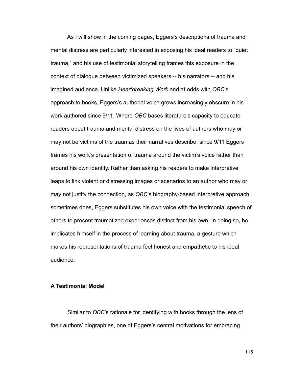As I will show in the coming pages, Eggers's descriptions of trauma and mental distress are particularly interested in exposing his ideal readers to "quiet trauma," and his use of testimonial storytelling frames this exposure in the context of dialogue between victimized speakers -- his narrators -- and his imagined audience. Unlike *Heartbreaking Work* and at odds with *OBC*'s approach to books, Eggers's authorial voice grows increasingly obscure in his work authored since 9/11. Where *OBC* bases literature's capacity to educate readers about trauma and mental distress on the lives of authors who may or may not be victims of the traumas their narratives describe, since 9/11 Eggers frames his work's presentation of trauma around the victim's voice rather than around his own identity. Rather than asking his readers to make interpretive leaps to link violent or distressing images or scenarios to an author who may or may not justify the connection, as *OBC*'s biography-based interpretive approach sometimes does, Eggers substitutes his own voice with the testimonial speech of others to present traumatized experiences distinct from his own. In doing so, he implicates himself in the process of learning about trauma, a gesture which makes his representations of trauma feel honest and empathetic to his ideal audience.

## **A Testimonial Model**

 Similar to *OBC*'s rationale for identifying with books through the lens of their authors' biographies, one of Eggers's central motivations for embracing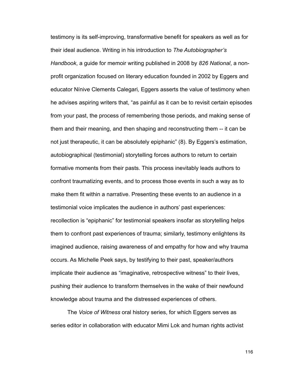testimony is its self-improving, transformative benefit for speakers as well as for their ideal audience. Writing in his introduction to *The Autobiographer's Handbook*, a guide for memoir writing published in 2008 by *826 National*, a nonprofit organization focused on literary education founded in 2002 by Eggers and educator Nínive Clements Calegari*,* Eggers asserts the value of testimony when he advises aspiring writers that, "as painful as it can be to revisit certain episodes from your past, the process of remembering those periods, and making sense of them and their meaning, and then shaping and reconstructing them -- it can be not just therapeutic, it can be absolutely epiphanic" (8). By Eggers's estimation, autobiographical (testimonial) storytelling forces authors to return to certain formative moments from their pasts. This process inevitably leads authors to confront traumatizing events, and to process those events in such a way as to make them fit within a narrative. Presenting these events to an audience in a testimonial voice implicates the audience in authors' past experiences: recollection is "epiphanic" for testimonial speakers insofar as storytelling helps them to confront past experiences of trauma; similarly, testimony enlightens its imagined audience, raising awareness of and empathy for how and why trauma occurs. As Michelle Peek says, by testifying to their past, speaker/authors implicate their audience as "imaginative, retrospective witness" to their lives, pushing their audience to transform themselves in the wake of their newfound knowledge about trauma and the distressed experiences of others.

 The *Voice of Witness* oral history series, for which Eggers serves as series editor in collaboration with educator Mimi Lok and human rights activist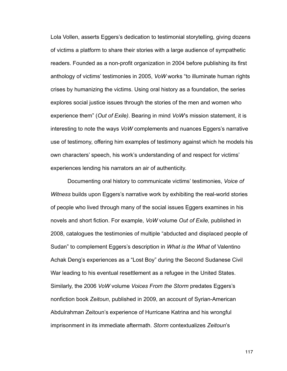Lola Vollen, asserts Eggers's dedication to testimonial storytelling, giving dozens of victims a platform to share their stories with a large audience of sympathetic readers. Founded as a non-profit organization in 2004 before publishing its first anthology of victims' testimonies in 2005, *VoW* works "to illuminate human rights crises by humanizing the victims. Using oral history as a foundation, the series explores social justice issues through the stories of the men and women who experience them" (*Out of Exile)*. Bearing in mind *VoW*'s mission statement, it is interesting to note the ways *VoW* complements and nuances Eggers's narrative use of testimony, offering him examples of testimony against which he models his own characters' speech, his work's understanding of and respect for victims' experiences lending his narrators an air of authenticity.

 Documenting oral history to communicate victims' testimonies, *Voice of Witness* builds upon Eggers's narrative work by exhibiting the real-world stories of people who lived through many of the social issues Eggers examines in his novels and short fiction. For example, *VoW* volume *Out of Exile,* published in 2008, catalogues the testimonies of multiple "abducted and displaced people of Sudan" to complement Eggers's description in *What is the What* of Valentino Achak Deng's experiences as a "Lost Boy" during the Second Sudanese Civil War leading to his eventual resettlement as a refugee in the United States. Similarly, the 2006 *VoW* volume *Voices From the Storm* predates Eggers's nonfiction book *Zeitoun*, published in 2009, an account of Syrian-American Abdulrahman Zeitoun's experience of Hurricane Katrina and his wrongful imprisonment in its immediate aftermath. *Storm* contextualizes *Zeitoun*'s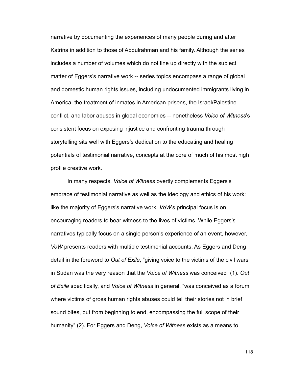narrative by documenting the experiences of many people during and after Katrina in addition to those of Abdulrahman and his family. Although the series includes a number of volumes which do not line up directly with the subject matter of Eggers's narrative work -- series topics encompass a range of global and domestic human rights issues, including undocumented immigrants living in America, the treatment of inmates in American prisons, the Israel/Palestine conflict, and labor abuses in global economies -- nonetheless *Voice of Witness*'s consistent focus on exposing injustice and confronting trauma through storytelling sits well with Eggers's dedication to the educating and healing potentials of testimonial narrative, concepts at the core of much of his most high profile creative work.

 In many respects, *Voice of Witness* overtly complements Eggers's embrace of testimonial narrative as well as the ideology and ethics of his work: like the majority of Eggers's narrative work, *VoW*'s principal focus is on encouraging readers to bear witness to the lives of victims. While Eggers's narratives typically focus on a single person's experience of an event, however, *VoW* presents readers with multiple testimonial accounts. As Eggers and Deng detail in the foreword to *Out of Exile*, "giving voice to the victims of the civil wars in Sudan was the very reason that the *Voice of Witness* was conceived" (1). *Out of Exile* specifically, and *Voice of Witness* in general, "was conceived as a forum where victims of gross human rights abuses could tell their stories not in brief sound bites, but from beginning to end, encompassing the full scope of their humanity" (2). For Eggers and Deng, *Voice of Witness* exists as a means to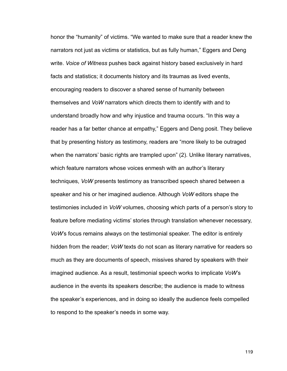honor the "humanity" of victims. "We wanted to make sure that a reader knew the narrators not just as victims or statistics, but as fully human," Eggers and Deng write. *Voice of Witness* pushes back against history based exclusively in hard facts and statistics; it documents history and its traumas as lived events, encouraging readers to discover a shared sense of humanity between themselves and *VoW* narrators which directs them to identify with and to understand broadly how and why injustice and trauma occurs. "In this way a reader has a far better chance at empathy," Eggers and Deng posit. They believe that by presenting history as testimony, readers are "more likely to be outraged when the narrators' basic rights are trampled upon" (2). Unlike literary narratives, which feature narrators whose voices enmesh with an author's literary techniques, *VoW* presents testimony as transcribed speech shared between a speaker and his or her imagined audience. Although *VoW* editors shape the testimonies included in *VoW* volumes, choosing which parts of a person's story to feature before mediating victims' stories through translation whenever necessary, *VoW*'s focus remains always on the testimonial speaker. The editor is entirely hidden from the reader; *VoW* texts do not scan as literary narrative for readers so much as they are documents of speech, missives shared by speakers with their imagined audience. As a result, testimonial speech works to implicate *VoW*'s audience in the events its speakers describe; the audience is made to witness the speaker's experiences, and in doing so ideally the audience feels compelled to respond to the speaker's needs in some way.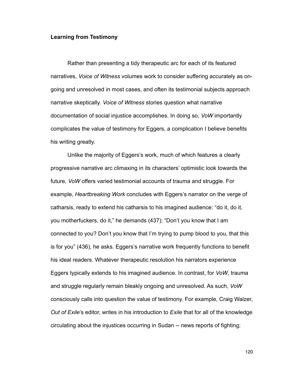## **Learning from Testimony**

 Rather than presenting a tidy therapeutic arc for each of its featured narratives, *Voice of Witness* volumes work to consider suffering accurately as ongoing and unresolved in most cases, and often its testimonial subjects approach narrative skeptically. *Voice of Witness* stories question what narrative documentation of social injustice accomplishes. In doing so, *VoW* importantly complicates the value of testimony for Eggers, a complication I believe benefits his writing greatly.

 Unlike the majority of Eggers's work, much of which features a clearly progressive narrative arc climaxing in its characters' optimistic look towards the future, *VoW* offers varied testimonial accounts of trauma and struggle. For example, *Heartbreaking Work* concludes with Eggers's narrator on the verge of catharsis, ready to extend his catharsis to his imagined audience: "do it, do it, you motherfuckers, do it," he demands (437); "Don't you know that I am connected to you? Don't you know that I'm trying to pump blood to you, that this is for you" (436), he asks. Eggers's narrative work frequently functions to benefit his ideal readers. Whatever therapeutic resolution his narrators experience Eggers typically extends to his imagined audience. In contrast, for *VoW*, trauma and struggle regularly remain bleakly ongoing and unresolved. As such, *VoW*  consciously calls into question the value of testimony. For example, Craig Walzer, *Out of Exile*'s editor, writes in his introduction to *Exile* that for all of the knowledge circulating about the injustices occurring in Sudan -- news reports of fighting;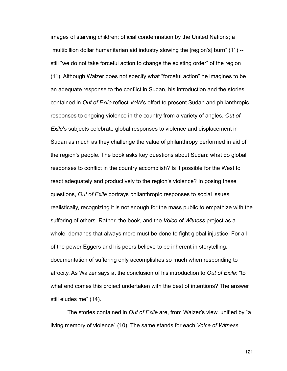images of starving children; official condemnation by the United Nations; a "multibillion dollar humanitarian aid industry slowing the [region's] burn" (11) - still "we do not take forceful action to change the existing order" of the region (11). Although Walzer does not specify what "forceful action" he imagines to be an adequate response to the conflict in Sudan, his introduction and the stories contained in *Out of Exile* reflect *VoW*'s effort to present Sudan and philanthropic responses to ongoing violence in the country from a variety of angles. *Out of Exile*'s subjects celebrate global responses to violence and displacement in Sudan as much as they challenge the value of philanthropy performed in aid of the region's people. The book asks key questions about Sudan: what do global responses to conflict in the country accomplish? Is it possible for the West to react adequately and productively to the region's violence? In posing these questions, *Out of Exile* portrays philanthropic responses to social issues realistically, recognizing it is not enough for the mass public to empathize with the suffering of others. Rather, the book, and the *Voice of Witness* project as a whole, demands that always more must be done to fight global injustice. For all of the power Eggers and his peers believe to be inherent in storytelling, documentation of suffering only accomplishes so much when responding to atrocity. As Walzer says at the conclusion of his introduction to *Out of Exile*: "to what end comes this project undertaken with the best of intentions? The answer still eludes me" (14).

 The stories contained in *Out of Exile* are, from Walzer's view, unified by "a living memory of violence" (10). The same stands for each *Voice of Witness*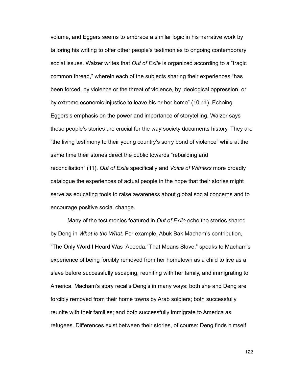volume, and Eggers seems to embrace a similar logic in his narrative work by tailoring his writing to offer other people's testimonies to ongoing contemporary social issues. Walzer writes that *Out of Exile* is organized according to a "tragic common thread," wherein each of the subjects sharing their experiences "has been forced, by violence or the threat of violence, by ideological oppression, or by extreme economic injustice to leave his or her home" (10-11). Echoing Eggers's emphasis on the power and importance of storytelling, Walzer says these people's stories are crucial for the way society documents history. They are "the living testimony to their young country's sorry bond of violence" while at the same time their stories direct the public towards "rebuilding and reconciliation" (11). *Out of Exile* specifically and *Voice of Witness* more broadly catalogue the experiences of actual people in the hope that their stories might serve as educating tools to raise awareness about global social concerns and to encourage positive social change.

 Many of the testimonies featured in *Out of Exile* echo the stories shared by Deng in *What is the What*. For example, Abuk Bak Macham's contribution, "The Only Word I Heard Was 'Abeeda.' That Means Slave," speaks to Macham's experience of being forcibly removed from her hometown as a child to live as a slave before successfully escaping, reuniting with her family, and immigrating to America. Macham's story recalls Deng's in many ways: both she and Deng are forcibly removed from their home towns by Arab soldiers; both successfully reunite with their families; and both successfully immigrate to America as refugees. Differences exist between their stories, of course: Deng finds himself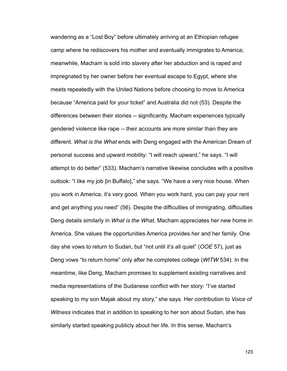wandering as a "Lost Boy" before ultimately arriving at an Ethiopian refugee camp where he rediscovers his mother and eventually immigrates to America; meanwhile, Macham is sold into slavery after her abduction and is raped and impregnated by her owner before her eventual escape to Egypt, where she meets repeatedly with the United Nations before choosing to move to America because "America paid for your ticket" and Australia did not (53). Despite the differences between their stories -- significantly, Macham experiences typically gendered violence like rape -- their accounts are more similar than they are different. *What is the What* ends with Deng engaged with the American Dream of personal success and upward mobility: "I will reach upward," he says. "I will attempt to do better" (533). Macham's narrative likewise concludes with a positive outlook: "I like my job [in Buffalo]," she says. "We have a very nice house. When you work in America, it's very good. When you work hard, you can pay your rent and get anything you need" (56). Despite the difficulties of immigrating, difficulties Deng details similarly in *What is the What*, Macham appreciates her new home in America. She values the opportunities America provides her and her family. One day she vows to return to Sudan, but "not until it's all quiet" (*OOE* 57), just as Deng vows "to return home" only after he completes college (*WITW* 534). In the meantime, like Deng, Macham promises to supplement existing narratives and media representations of the Sudanese conflict with her story: "I've started speaking to my son Majak about my story," she says. Her contribution to *Voice of Witness* indicates that in addition to speaking to her son about Sudan, she has similarly started speaking publicly about her life. In this sense, Macham's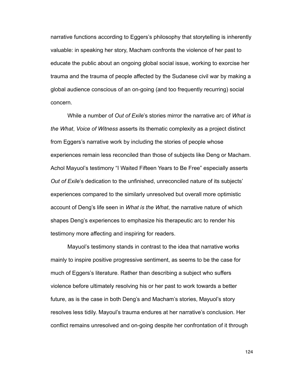narrative functions according to Eggers's philosophy that storytelling is inherently valuable: in speaking her story, Macham confronts the violence of her past to educate the public about an ongoing global social issue, working to exorcise her trauma and the trauma of people affected by the Sudanese civil war by making a global audience conscious of an on-going (and too frequently recurring) social concern.

 While a number of *Out of Exile*'s stories mirror the narrative arc of *What is the What*, *Voice of Witness* asserts its thematic complexity as a project distinct from Eggers's narrative work by including the stories of people whose experiences remain less reconciled than those of subjects like Deng or Macham. Achol Mayuol's testimony "I Waited Fifteen Years to Be Free" especially asserts *Out of Exile*'s dedication to the unfinished, unreconciled nature of its subjects' experiences compared to the similarly unresolved but overall more optimistic account of Deng's life seen in *What is the What*, the narrative nature of which shapes Deng's experiences to emphasize his therapeutic arc to render his testimony more affecting and inspiring for readers.

 Mayuol's testimony stands in contrast to the idea that narrative works mainly to inspire positive progressive sentiment, as seems to be the case for much of Eggers's literature. Rather than describing a subject who suffers violence before ultimately resolving his or her past to work towards a better future, as is the case in both Deng's and Macham's stories, Mayuol's story resolves less tidily. Mayoul's trauma endures at her narrative's conclusion. Her conflict remains unresolved and on-going despite her confrontation of it through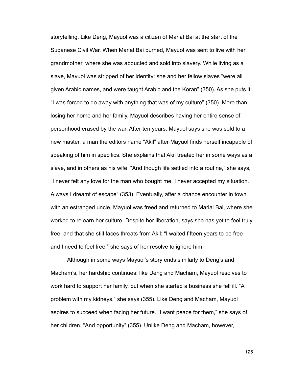storytelling. Like Deng, Mayuol was a citizen of Marial Bai at the start of the Sudanese Civil War. When Marial Bai burned, Mayuol was sent to live with her grandmother, where she was abducted and sold into slavery. While living as a slave, Mayuol was stripped of her identity: she and her fellow slaves "were all given Arabic names, and were taught Arabic and the Koran" (350). As she puts it: "I was forced to do away with anything that was of my culture" (350). More than losing her home and her family, Mayuol describes having her entire sense of personhood erased by the war. After ten years, Mayuol says she was sold to a new master, a man the editors name "Akil" after Mayuol finds herself incapable of speaking of him in specifics. She explains that Akil treated her in some ways as a slave, and in others as his wife. "And though life settled into a routine," she says, "I never felt any love for the man who bought me. I never accepted my situation. Always I dreamt of escape" (353). Eventually, after a chance encounter in town with an estranged uncle, Mayuol was freed and returned to Marial Bai, where she worked to relearn her culture. Despite her liberation, says she has yet to feel truly free, and that she still faces threats from Akil: "I waited fifteen years to be free and I need to feel free," she says of her resolve to ignore him.

 Although in some ways Mayuol's story ends similarly to Deng's and Macham's, her hardship continues: like Deng and Macham, Mayuol resolves to work hard to support her family, but when she started a business she fell ill. "A problem with my kidneys," she says (355). Like Deng and Macham, Mayuol aspires to succeed when facing her future. "I want peace for them," she says of her children. "And opportunity" (355). Unlike Deng and Macham, however,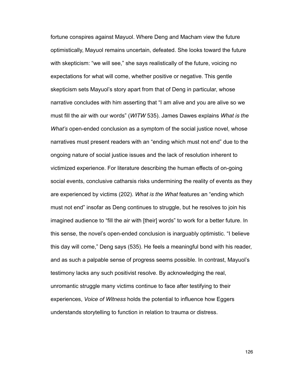fortune conspires against Mayuol. Where Deng and Macham view the future optimistically, Mayuol remains uncertain, defeated. She looks toward the future with skepticism: "we will see," she says realistically of the future, voicing no expectations for what will come, whether positive or negative. This gentle skepticism sets Mayuol's story apart from that of Deng in particular, whose narrative concludes with him asserting that "I am alive and you are alive so we must fill the air with our words" (*WITW* 535). James Dawes explains *What is the What's* open-ended conclusion as a symptom of the social justice novel, whose narratives must present readers with an "ending which must not end" due to the ongoing nature of social justice issues and the lack of resolution inherent to victimized experience. For literature describing the human effects of on-going social events, conclusive catharsis risks undermining the reality of events as they are experienced by victims (202). *What is the What* features an "ending which must not end" insofar as Deng continues to struggle, but he resolves to join his imagined audience to "fill the air with [their] words" to work for a better future. In this sense, the novel's open-ended conclusion is inarguably optimistic. "I believe this day will come," Deng says (535). He feels a meaningful bond with his reader, and as such a palpable sense of progress seems possible. In contrast, Mayuol's testimony lacks any such positivist resolve. By acknowledging the real, unromantic struggle many victims continue to face after testifying to their experiences, *Voice of Witness* holds the potential to influence how Eggers understands storytelling to function in relation to trauma or distress.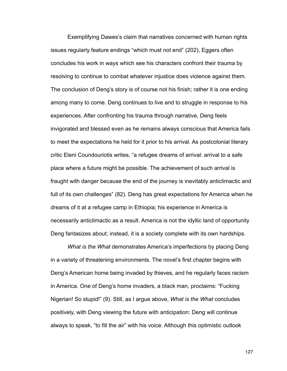Exemplifying Dawes's claim that narratives concerned with human rights issues regularly feature endings "which must not end" (202), Eggers often concludes his work in ways which see his characters confront their trauma by resolving to continue to combat whatever injustice does violence against them. The conclusion of Deng's story is of course not his finish; rather it is one ending among many to come. Deng continues to live and to struggle in response to his experiences. After confronting his trauma through narrative, Deng feels invigorated and blessed even as he remains always conscious that America fails to meet the expectations he held for it prior to his arrival. As postcolonial literary critic Eleni Coundouriotis writes, "a refugee dreams of arrival: arrival to a safe place where a future might be possible. The achievement of such arrival is fraught with danger because the end of the journey is inevitably anticlimactic and full of its own challenges" (82). Deng has great expectations for America when he dreams of it at a refugee camp in Ethiopia; his experience in America is necessarily anticlimactic as a result. America is not the idyllic land of opportunity Deng fantasizes about; instead, it is a society complete with its own hardships.

*What is the What* demonstrates America's imperfections by placing Deng in a variety of threatening environments. The novel's first chapter begins with Deng's American home being invaded by thieves, and he regularly faces racism in America. One of Deng's home invaders, a black man, proclaims: "Fucking Nigerian! So stupid!" (9). Still, as I argue above, *What is the What* concludes positively, with Deng viewing the future with anticipation: Deng will continue always to speak, "to fill the air" with his voice. Although this optimistic outlook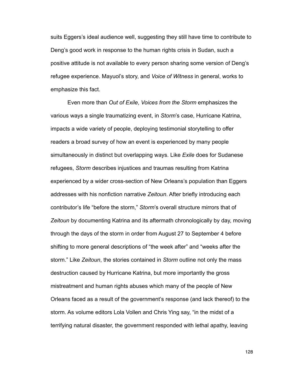suits Eggers's ideal audience well, suggesting they still have time to contribute to Deng's good work in response to the human rights crisis in Sudan, such a positive attitude is not available to every person sharing some version of Deng's refugee experience. Mayuol's story, and *Voice of Witness* in general, works to emphasize this fact.

 Even more than *Out of Exile*, *Voices from the Storm* emphasizes the various ways a single traumatizing event, in *Storm*'s case, Hurricane Katrina, impacts a wide variety of people, deploying testimonial storytelling to offer readers a broad survey of how an event is experienced by many people simultaneously in distinct but overlapping ways. Like *Exile* does for Sudanese refugees, *Storm* describes injustices and traumas resulting from Katrina experienced by a wider cross-section of New Orleans's population than Eggers addresses with his nonfiction narrative *Zeitoun*. After briefly introducing each contributor's life "before the storm," *Storm*'s overall structure mirrors that of *Zeitoun* by documenting Katrina and its aftermath chronologically by day, moving through the days of the storm in order from August 27 to September 4 before shifting to more general descriptions of "the week after" and "weeks after the storm." Like *Zeitoun*, the stories contained in *Storm* outline not only the mass destruction caused by Hurricane Katrina, but more importantly the gross mistreatment and human rights abuses which many of the people of New Orleans faced as a result of the government's response (and lack thereof) to the storm. As volume editors Lola Vollen and Chris Ying say, "in the midst of a terrifying natural disaster, the government responded with lethal apathy, leaving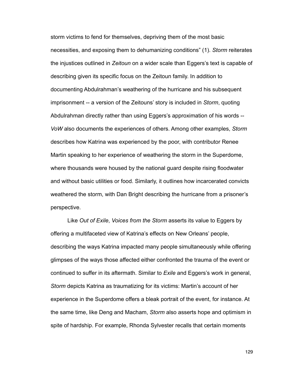storm victims to fend for themselves, depriving them of the most basic necessities, and exposing them to dehumanizing conditions" (1). *Storm* reiterates the injustices outlined in *Zeitoun* on a wider scale than Eggers's text is capable of describing given its specific focus on the Zeitoun family. In addition to documenting Abdulrahman's weathering of the hurricane and his subsequent imprisonment -- a version of the Zeitouns' story is included in *Storm*, quoting Abdulrahman directly rather than using Eggers's approximation of his words -- *VoW* also documents the experiences of others. Among other examples, *Storm* describes how Katrina was experienced by the poor, with contributor Renee Martin speaking to her experience of weathering the storm in the Superdome, where thousands were housed by the national guard despite rising floodwater and without basic utilities or food. Similarly, it outlines how incarcerated convicts weathered the storm, with Dan Bright describing the hurricane from a prisoner's perspective.

 Like *Out of Exile*, *Voices from the Storm* asserts its value to Eggers by offering a multifaceted view of Katrina's effects on New Orleans' people, describing the ways Katrina impacted many people simultaneously while offering glimpses of the ways those affected either confronted the trauma of the event or continued to suffer in its aftermath. Similar to *Exile* and Eggers's work in general, *Storm* depicts Katrina as traumatizing for its victims: Martin's account of her experience in the Superdome offers a bleak portrait of the event, for instance. At the same time, like Deng and Macham, *Storm* also asserts hope and optimism in spite of hardship. For example, Rhonda Sylvester recalls that certain moments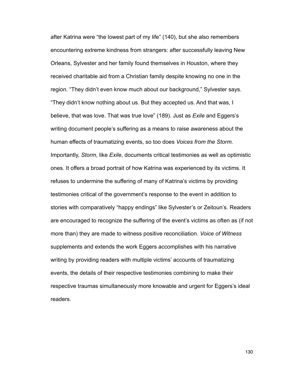after Katrina were "the lowest part of my life" (140), but she also remembers encountering extreme kindness from strangers: after successfully leaving New Orleans, Sylvester and her family found themselves in Houston, where they received charitable aid from a Christian family despite knowing no one in the region. "They didn't even know much about our background," Sylvester says. "They didn't know nothing about us. But they accepted us. And that was, I believe, that was love. That was true love" (189). Just as *Exile* and Eggers's writing document people's suffering as a means to raise awareness about the human effects of traumatizing events, so too does *Voices from the Storm.*  Importantly, *Storm,* like *Exile*, documents critical testimonies as well as optimistic ones. It offers a broad portrait of how Katrina was experienced by its victims. It refuses to undermine the suffering of many of Katrina's victims by providing testimonies critical of the government's response to the event in addition to stories with comparatively "happy endings" like Sylvester's or Zeitoun's. Readers are encouraged to recognize the suffering of the event's victims as often as (if not more than) they are made to witness positive reconciliation. *Voice of Witness*  supplements and extends the work Eggers accomplishes with his narrative writing by providing readers with multiple victims' accounts of traumatizing events, the details of their respective testimonies combining to make their respective traumas simultaneously more knowable and urgent for Eggers's ideal readers.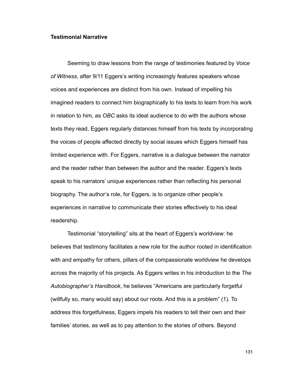## **Testimonial Narrative**

 Seeming to draw lessons from the range of testimonies featured by *Voice of Witness*, after 9/11 Eggers's writing increasingly features speakers whose voices and experiences are distinct from his own. Instead of impelling his imagined readers to connect him biographically to his texts to learn from his work in relation to him, as *OBC* asks its ideal audience to do with the authors whose texts they read, Eggers regularly distances himself from his texts by incorporating the voices of people affected directly by social issues which Eggers himself has limited experience with. For Eggers, narrative is a dialogue between the narrator and the reader rather than between the author and the reader. Eggers's texts speak to his narrators' unique experiences rather than reflecting his personal biography. The author's role, for Eggers, is to organize other people's experiences in narrative to communicate their stories effectively to his ideal readership.

 Testimonial "storytelling" sits at the heart of Eggers's worldview: he believes that testimony facilitates a new role for the author rooted in identification with and empathy for others, pillars of the compassionate worldview he develops across the majority of his projects. As Eggers writes in his introduction to the *The Autobiographer's Handbook*, he believes "Americans are particularly forgetful (willfully so, many would say) about our roots. And this is a problem" (1). To address this forgetfulness, Eggers impels his readers to tell their own and their families' stories, as well as to pay attention to the stories of others. Beyond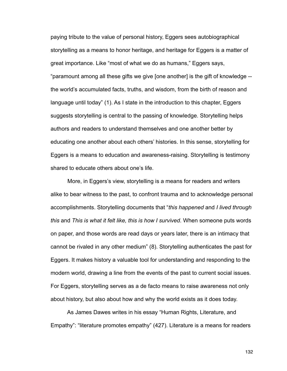paying tribute to the value of personal history, Eggers sees autobiographical storytelling as a means to honor heritage, and heritage for Eggers is a matter of great importance. Like "most of what we do as humans," Eggers says, "paramount among all these gifts we give [one another] is the gift of knowledge - the world's accumulated facts, truths, and wisdom, from the birth of reason and language until today" (1). As I state in the introduction to this chapter, Eggers suggests storytelling is central to the passing of knowledge. Storytelling helps authors and readers to understand themselves and one another better by educating one another about each others' histories. In this sense, storytelling for Eggers is a means to education and awareness-raising. Storytelling is testimony shared to educate others about one's life.

 More, in Eggers's view, storytelling is a means for readers and writers alike to bear witness to the past, to confront trauma and to acknowledge personal accomplishments. Storytelling documents that "*this happened* and *I lived through this* and *This is what it felt like, this is how I survived*. When someone puts words on paper, and those words are read days or years later, there is an intimacy that cannot be rivaled in any other medium" (8). Storytelling authenticates the past for Eggers. It makes history a valuable tool for understanding and responding to the modern world, drawing a line from the events of the past to current social issues. For Eggers, storytelling serves as a de facto means to raise awareness not only about history, but also about how and why the world exists as it does today.

 As James Dawes writes in his essay "Human Rights, Literature, and Empathy": "literature promotes empathy" (427). Literature is a means for readers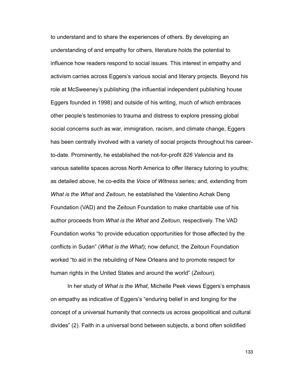to understand and to share the experiences of others. By developing an understanding of and empathy for others, literature holds the potential to influence how readers respond to social issues. This interest in empathy and activism carries across Eggers's various social and literary projects. Beyond his role at McSweeney's publishing (the influential independent publishing house Eggers founded in 1998) and outside of his writing, much of which embraces other people's testimonies to trauma and distress to explore pressing global social concerns such as war, immigration, racism, and climate change, Eggers has been centrally involved with a variety of social projects throughout his careerto-date. Prominently, he established the not-for-profit *826 Valencia* and its various satellite spaces across North America to offer literacy tutoring to youths; as detailed above, he co-edits the *Voice of Witness* series; and, extending from *What is the What* and *Zeitoun*, he established the Valentino Achak Deng Foundation (VAD) and the Zeitoun Foundation to make charitable use of his author proceeds from *What is the What* and *Zeitoun*, respectively. The VAD Foundation works "to provide education opportunities for those affected by the conflicts in Sudan" (*What is the What*); now defunct, the Zeitoun Foundation worked "to aid in the rebuilding of New Orleans and to promote respect for human rights in the United States and around the world" (*Zeitoun*).

 In her study of *What is the What*, Michelle Peek views Eggers's emphasis on empathy as indicative of Eggers's "enduring belief in and longing for the concept of a universal humanity that connects us across geopolitical and cultural divides" (2). Faith in a universal bond between subjects, a bond often solidified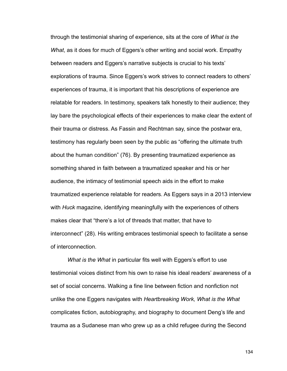through the testimonial sharing of experience, sits at the core of *What is the What*, as it does for much of Eggers's other writing and social work. Empathy between readers and Eggers's narrative subjects is crucial to his texts' explorations of trauma. Since Eggers's work strives to connect readers to others' experiences of trauma, it is important that his descriptions of experience are relatable for readers. In testimony, speakers talk honestly to their audience; they lay bare the psychological effects of their experiences to make clear the extent of their trauma or distress. As Fassin and Rechtman say, since the postwar era, testimony has regularly been seen by the public as "offering the ultimate truth about the human condition" (76). By presenting traumatized experience as something shared in faith between a traumatized speaker and his or her audience, the intimacy of testimonial speech aids in the effort to make traumatized experience relatable for readers. As Eggers says in a 2013 interview with *Huck* magazine, identifying meaningfully with the experiences of others makes clear that "there's a lot of threads that matter, that have to interconnect" (28). His writing embraces testimonial speech to facilitate a sense of interconnection.

 *What is the What* in particular fits well with Eggers's effort to use testimonial voices distinct from his own to raise his ideal readers' awareness of a set of social concerns. Walking a fine line between fiction and nonfiction not unlike the one Eggers navigates with *Heartbreaking Work, What is the What*  complicates fiction, autobiography, and biography to document Deng's life and trauma as a Sudanese man who grew up as a child refugee during the Second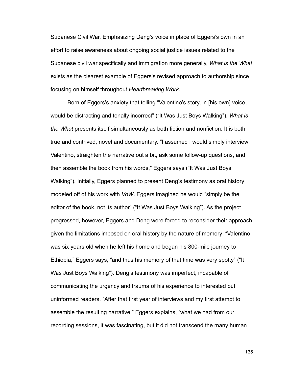Sudanese Civil War. Emphasizing Deng's voice in place of Eggers's own in an effort to raise awareness about ongoing social justice issues related to the Sudanese civil war specifically and immigration more generally, *What is the What*  exists as the clearest example of Eggers's revised approach to authorship since focusing on himself throughout *Heartbreaking Work*.

 Born of Eggers's anxiety that telling "Valentino's story, in [his own] voice, would be distracting and tonally incorrect" ("It Was Just Boys Walking"), *What is the What* presents itself simultaneously as both fiction and nonfiction. It is both true and contrived, novel and documentary. "I assumed I would simply interview Valentino, straighten the narrative out a bit, ask some follow-up questions, and then assemble the book from his words," Eggers says ("It Was Just Boys Walking"). Initially, Eggers planned to present Deng's testimony as oral history modeled off of his work with *VoW*. Eggers imagined he would "simply be the editor of the book, not its author" ("It Was Just Boys Walking"). As the project progressed, however, Eggers and Deng were forced to reconsider their approach given the limitations imposed on oral history by the nature of memory: "Valentino was six years old when he left his home and began his 800-mile journey to Ethiopia," Eggers says, "and thus his memory of that time was very spotty" ("It Was Just Boys Walking"). Deng's testimony was imperfect, incapable of communicating the urgency and trauma of his experience to interested but uninformed readers. "After that first year of interviews and my first attempt to assemble the resulting narrative," Eggers explains, "what we had from our recording sessions, it was fascinating, but it did not transcend the many human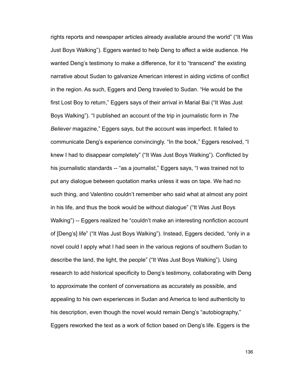rights reports and newspaper articles already available around the world" ("It Was Just Boys Walking"). Eggers wanted to help Deng to affect a wide audience. He wanted Deng's testimony to make a difference, for it to "transcend" the existing narrative about Sudan to galvanize American interest in aiding victims of conflict in the region. As such, Eggers and Deng traveled to Sudan. "He would be the first Lost Boy to return," Eggers says of their arrival in Marial Bai ("It Was Just Boys Walking"). "I published an account of the trip in journalistic form in *The Believer* magazine," Eggers says, but the account was imperfect. It failed to communicate Deng's experience convincingly. "In the book," Eggers resolved, "I knew I had to disappear completely" ("It Was Just Boys Walking"). Conflicted by his journalistic standards -- "as a journalist," Eggers says, "I was trained not to put any dialogue between quotation marks unless it was on tape. We had no such thing, and Valentino couldn't remember who said what at almost any point in his life, and thus the book would be without dialogue" ("It Was Just Boys Walking") -- Eggers realized he "couldn't make an interesting nonfiction account of [Deng's] life" ("It Was Just Boys Walking"). Instead, Eggers decided, "only in a novel could I apply what I had seen in the various regions of southern Sudan to describe the land, the light, the people" ("It Was Just Boys Walking"). Using research to add historical specificity to Deng's testimony, collaborating with Deng to approximate the content of conversations as accurately as possible, and appealing to his own experiences in Sudan and America to lend authenticity to his description, even though the novel would remain Deng's "autobiography," Eggers reworked the text as a work of fiction based on Deng's life. Eggers is the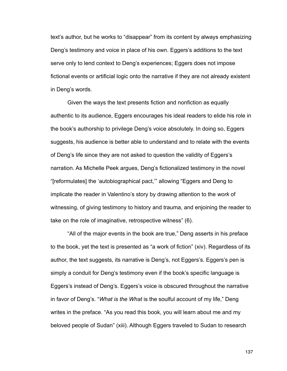text's author, but he works to "disappear" from its content by always emphasizing Deng's testimony and voice in place of his own. Eggers's additions to the text serve only to lend context to Deng's experiences; Eggers does not impose fictional events or artificial logic onto the narrative if they are not already existent in Deng's words.

 Given the ways the text presents fiction and nonfiction as equally authentic to its audience, Eggers encourages his ideal readers to elide his role in the book's authorship to privilege Deng's voice absolutely. In doing so, Eggers suggests, his audience is better able to understand and to relate with the events of Deng's life since they are not asked to question the validity of Eggers's narration. As Michelle Peek argues, Deng's fictionalized testimony in the novel "[reformulates] the 'autobiographical pact,'" allowing "Eggers and Deng to implicate the reader in Valentino's story by drawing attention to the *work* of witnessing, of giving testimony to history and trauma, and enjoining the reader to take on the role of imaginative, retrospective witness" (6).

 "All of the major events in the book are true," Deng asserts in his preface to the book, yet the text is presented as "a work of fiction" (xiv). Regardless of its author, the text suggests, its narrative is Deng's, not Eggers's. Eggers's pen is simply a conduit for Deng's testimony even if the book's specific language is Eggers's instead of Deng's. Eggers's voice is obscured throughout the narrative in favor of Deng's. "*What is the What* is the soulful account of my life," Deng writes in the preface. "As you read this book, you will learn about me and my beloved people of Sudan" (xiii). Although Eggers traveled to Sudan to research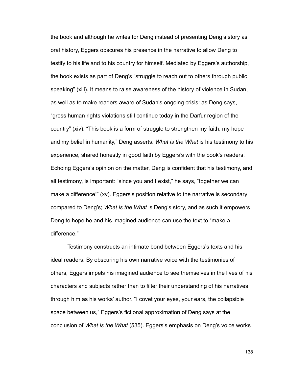the book and although he writes for Deng instead of presenting Deng's story as oral history, Eggers obscures his presence in the narrative to allow Deng to testify to his life and to his country for himself. Mediated by Eggers's authorship, the book exists as part of Deng's "struggle to reach out to others through public speaking" (xiii). It means to raise awareness of the history of violence in Sudan, as well as to make readers aware of Sudan's ongoing crisis: as Deng says, "gross human rights violations still continue today in the Darfur region of the country" (xiv). "This book is a form of struggle to strengthen my faith, my hope and my belief in humanity," Deng asserts. *What is the What* is his testimony to his experience, shared honestly in good faith by Eggers's with the book's readers. Echoing Eggers's opinion on the matter, Deng is confident that his testimony, and all testimony, is important: "since you and I exist," he says, "together we can make a difference!" (xv). Eggers's position relative to the narrative is secondary compared to Deng's; *What is the What* is Deng's story, and as such it empowers Deng to hope he and his imagined audience can use the text to "make a difference."

 Testimony constructs an intimate bond between Eggers's texts and his ideal readers. By obscuring his own narrative voice with the testimonies of others, Eggers impels his imagined audience to see themselves in the lives of his characters and subjects rather than to filter their understanding of his narratives through him as his works' author. "I covet your eyes, your ears, the collapsible space between us," Eggers's fictional approximation of Deng says at the conclusion of *What is the What* (535). Eggers's emphasis on Deng's voice works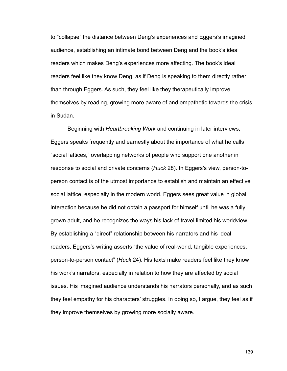to "collapse" the distance between Deng's experiences and Eggers's imagined audience, establishing an intimate bond between Deng and the book's ideal readers which makes Deng's experiences more affecting. The book's ideal readers feel like they know Deng, as if Deng is speaking to them directly rather than through Eggers. As such, they feel like they therapeutically improve themselves by reading, growing more aware of and empathetic towards the crisis in Sudan.

 Beginning with *Heartbreaking Work* and continuing in later interviews, Eggers speaks frequently and earnestly about the importance of what he calls "social lattices," overlapping networks of people who support one another in response to social and private concerns (*Huck* 28). In Eggers's view, person-toperson contact is of the utmost importance to establish and maintain an effective social lattice, especially in the modern world. Eggers sees great value in global interaction because he did not obtain a passport for himself until he was a fully grown adult, and he recognizes the ways his lack of travel limited his worldview. By establishing a "direct" relationship between his narrators and his ideal readers, Eggers's writing asserts "the value of real-world, tangible experiences, person-to-person contact" (*Huck* 24). His texts make readers feel like they know his work's narrators, especially in relation to how they are affected by social issues. His imagined audience understands his narrators personally, and as such they feel empathy for his characters' struggles. In doing so, I argue, they feel as if they improve themselves by growing more socially aware.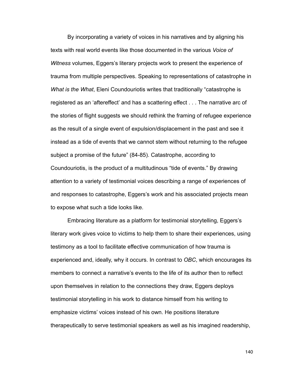By incorporating a variety of voices in his narratives and by aligning his texts with real world events like those documented in the various *Voice of Witness* volumes, Eggers's literary projects work to present the experience of trauma from multiple perspectives. Speaking to representations of catastrophe in *What is the What*, Eleni Coundouriotis writes that traditionally "catastrophe is registered as an 'aftereffect' and has a scattering effect . . . The narrative arc of the stories of flight suggests we should rethink the framing of refugee experience as the result of a single event of expulsion/displacement in the past and see it instead as a tide of events that we cannot stem without returning to the refugee subject a promise of the future" (84-85). Catastrophe, according to Coundouriotis, is the product of a multitudinous "tide of events." By drawing attention to a variety of testimonial voices describing a range of experiences of and responses to catastrophe, Eggers's work and his associated projects mean to expose what such a tide looks like.

 Embracing literature as a platform for testimonial storytelling, Eggers's literary work gives voice to victims to help them to share their experiences, using testimony as a tool to facilitate effective communication of how trauma is experienced and, ideally, why it occurs. In contrast to *OBC*, which encourages its members to connect a narrative's events to the life of its author then to reflect upon themselves in relation to the connections they draw, Eggers deploys testimonial storytelling in his work to distance himself from his writing to emphasize victims' voices instead of his own. He positions literature therapeutically to serve testimonial speakers as well as his imagined readership,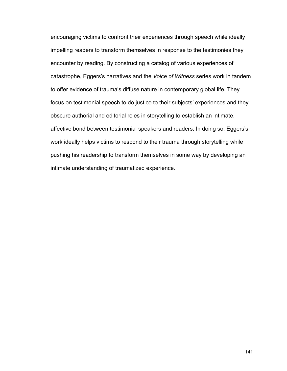encouraging victims to confront their experiences through speech while ideally impelling readers to transform themselves in response to the testimonies they encounter by reading. By constructing a catalog of various experiences of catastrophe, Eggers's narratives and the *Voice of Witness* series work in tandem to offer evidence of trauma's diffuse nature in contemporary global life. They focus on testimonial speech to do justice to their subjects' experiences and they obscure authorial and editorial roles in storytelling to establish an intimate, affective bond between testimonial speakers and readers. In doing so, Eggers's work ideally helps victims to respond to their trauma through storytelling while pushing his readership to transform themselves in some way by developing an intimate understanding of traumatized experience.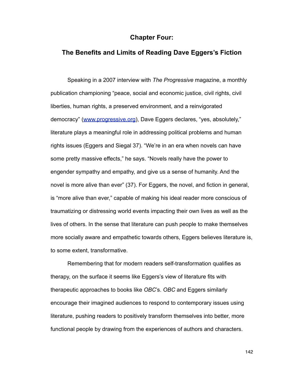## **Chapter Four:**

## **The Benefits and Limits of Reading Dave Eggers's Fiction**

 Speaking in a 2007 interview with *The Progressive* magazine, a monthly publication championing "peace, social and economic justice, civil rights, civil liberties, human rights, a preserved environment, and a reinvigorated democracy" [\(www.progressive.org](http://www.progressive.org)), Dave Eggers declares, "yes, absolutely," literature plays a meaningful role in addressing political problems and human rights issues (Eggers and Siegal 37). "We're in an era when novels can have some pretty massive effects," he says. "Novels really have the power to engender sympathy and empathy, and give us a sense of humanity. And the novel is more alive than ever" (37). For Eggers, the novel, and fiction in general, is "more alive than ever," capable of making his ideal reader more conscious of traumatizing or distressing world events impacting their own lives as well as the lives of others. In the sense that literature can push people to make themselves more socially aware and empathetic towards others, Eggers believes literature is, to some extent, transformative.

 Remembering that for modern readers self-transformation qualifies as therapy, on the surface it seems like Eggers's view of literature fits with therapeutic approaches to books like *OBC*'s. *OBC* and Eggers similarly encourage their imagined audiences to respond to contemporary issues using literature, pushing readers to positively transform themselves into better, more functional people by drawing from the experiences of authors and characters.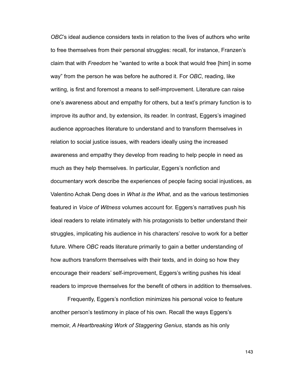*OBC*'s ideal audience considers texts in relation to the lives of authors who write to free themselves from their personal struggles: recall, for instance, Franzen's claim that with *Freedom* he "wanted to write a book that would free [him] in some way" from the person he was before he authored it. For *OBC*, reading, like writing, is first and foremost a means to self-improvement. Literature can raise one's awareness about and empathy for others, but a text's primary function is to improve its author and, by extension, its reader. In contrast, Eggers's imagined audience approaches literature to understand and to transform themselves in relation to social justice issues, with readers ideally using the increased awareness and empathy they develop from reading to help people in need as much as they help themselves. In particular, Eggers's nonfiction and documentary work describe the experiences of people facing social injustices, as Valentino Achak Deng does in *What is the What*, and as the various testimonies featured in *Voice of Witness* volumes account for. Eggers's narratives push his ideal readers to relate intimately with his protagonists to better understand their struggles, implicating his audience in his characters' resolve to work for a better future. Where *OBC* reads literature primarily to gain a better understanding of how authors transform themselves with their texts, and in doing so how they encourage their readers' self-improvement, Eggers's writing pushes his ideal readers to improve themselves for the benefit of others in addition to themselves.

 Frequently, Eggers's nonfiction minimizes his personal voice to feature another person's testimony in place of his own. Recall the ways Eggers's memoir, *A Heartbreaking Work of Staggering Genius*, stands as his only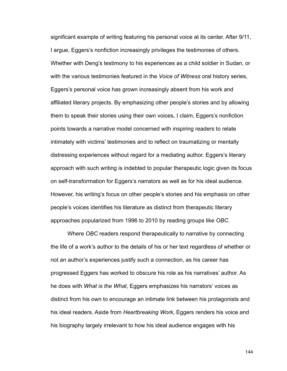significant example of writing featuring his personal voice at its center. After 9/11, I argue, Eggers's nonfiction increasingly privileges the testimonies of others. Whether with Deng's testimony to his experiences as a child soldier in Sudan, or with the various testimonies featured in the *Voice of Witness* oral history series, Eggers's personal voice has grown increasingly absent from his work and affiliated literary projects. By emphasizing other people's stories and by allowing them to speak their stories using their own voices, I claim, Eggers's nonfiction points towards a narrative model concerned with inspiring readers to relate intimately with victims' testimonies and to reflect on traumatizing or mentally distressing experiences without regard for a mediating author. Eggers's literary approach with such writing is indebted to popular therapeutic logic given its focus on self-transformation for Eggers's narrators as well as for his ideal audience. However, his writing's focus on other people's stories and his emphasis on other people's voices identifies his literature as distinct from therapeutic literary approaches popularized from 1996 to 2010 by reading groups like *OBC*.

 Where *OBC* readers respond therapeutically to narrative by connecting the life of a work's author to the details of his or her text regardless of whether or not an author's experiences justify such a connection, as his career has progressed Eggers has worked to obscure his role as his narratives' author. As he does with *What is the What*, Eggers emphasizes his narrators' voices as distinct from his own to encourage an intimate link between his protagonists and his ideal readers. Aside from *Heartbreaking Work*, Eggers renders his voice and his biography largely irrelevant to how his ideal audience engages with his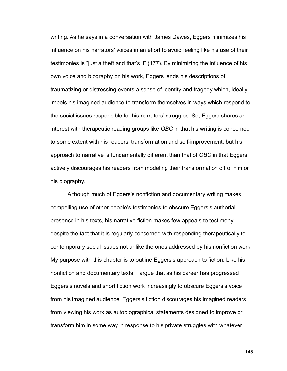writing. As he says in a conversation with James Dawes, Eggers minimizes his influence on his narrators' voices in an effort to avoid feeling like his use of their testimonies is "just a theft and that's it" (177). By minimizing the influence of his own voice and biography on his work, Eggers lends his descriptions of traumatizing or distressing events a sense of identity and tragedy which, ideally, impels his imagined audience to transform themselves in ways which respond to the social issues responsible for his narrators' struggles. So, Eggers shares an interest with therapeutic reading groups like *OBC* in that his writing is concerned to some extent with his readers' transformation and self-improvement, but his approach to narrative is fundamentally different than that of *OBC* in that Eggers actively discourages his readers from modeling their transformation off of him or his biography.

Although much of Eggers's nonfiction and documentary writing makes compelling use of other people's testimonies to obscure Eggers's authorial presence in his texts, his narrative fiction makes few appeals to testimony despite the fact that it is regularly concerned with responding therapeutically to contemporary social issues not unlike the ones addressed by his nonfiction work. My purpose with this chapter is to outline Eggers's approach to fiction. Like his nonfiction and documentary texts, I argue that as his career has progressed Eggers's novels and short fiction work increasingly to obscure Eggers's voice from his imagined audience. Eggers's fiction discourages his imagined readers from viewing his work as autobiographical statements designed to improve or transform him in some way in response to his private struggles with whatever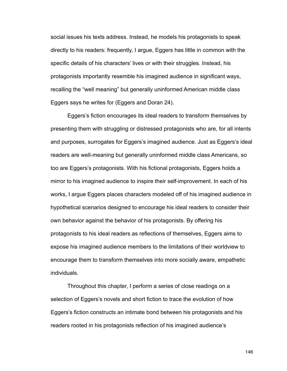social issues his texts address. Instead, he models his protagonists to speak directly to his readers: frequently, I argue, Eggers has little in common with the specific details of his characters' lives or with their struggles. Instead, his protagonists importantly resemble his imagined audience in significant ways, recalling the "well meaning" but generally uninformed American middle class Eggers says he writes for (Eggers and Doran 24).

 Eggers's fiction encourages its ideal readers to transform themselves by presenting them with struggling or distressed protagonists who are, for all intents and purposes, surrogates for Eggers's imagined audience. Just as Eggers's ideal readers are well-meaning but generally uninformed middle class Americans, so too are Eggers's protagonists. With his fictional protagonists, Eggers holds a mirror to his imagined audience to inspire their self-improvement. In each of his works, I argue Eggers places characters modeled off of his imagined audience in hypothetical scenarios designed to encourage his ideal readers to consider their own behavior against the behavior of his protagonists. By offering his protagonists to his ideal readers as reflections of themselves, Eggers aims to expose his imagined audience members to the limitations of their worldview to encourage them to transform themselves into more socially aware, empathetic individuals.

 Throughout this chapter, I perform a series of close readings on a selection of Eggers's novels and short fiction to trace the evolution of how Eggers's fiction constructs an intimate bond between his protagonists and his readers rooted in his protagonists reflection of his imagined audience's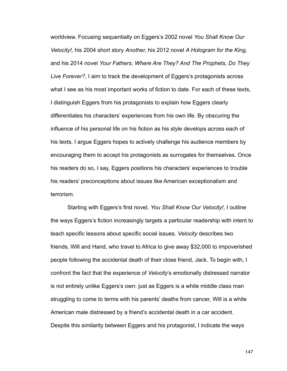worldview. Focusing sequentially on Eggers's 2002 novel *You Shall Know Our Velocity!,* his 2004 short story *Another,* his 2012 novel *A Hologram for the King*, and his 2014 novel *Your Fathers, Where Are They? And The Prophets, Do They Live Forever?*, I aim to track the development of Eggers's protagonists across what I see as his most important works of fiction to date. For each of these texts, I distinguish Eggers from his protagonists to explain how Eggers clearly differentiates his characters' experiences from his own life. By obscuring the influence of his personal life on his fiction as his style develops across each of his texts, I argue Eggers hopes to actively challenge his audience members by encouraging them to accept his protagonists as surrogates for themselves. Once his readers do so, I say, Eggers positions his characters' experiences to trouble his readers' preconceptions about issues like American exceptionalism and terrorism.

 Starting with Eggers's first novel, *You Shall Know Our Velocity!*, I outline the ways Eggers's fiction increasingly targets a particular readership with intent to teach specific lessons about specific social issues. *Velocity* describes two friends, Will and Hand, who travel to Africa to give away \$32,000 to impoverished people following the accidental death of their close friend, Jack. To begin with, I confront the fact that the experience of *Velocity*'s emotionally distressed narrator is not entirely unlike Eggers's own: just as Eggers is a white middle class man struggling to come to terms with his parents' deaths from cancer, Will is a white American male distressed by a friend's accidental death in a car accident. Despite this similarity between Eggers and his protagonist, I indicate the ways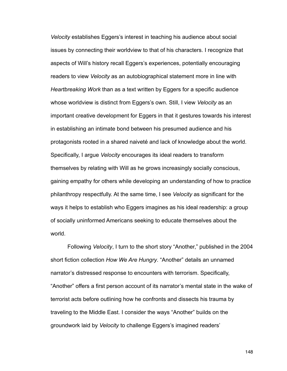*Velocity* establishes Eggers's interest in teaching his audience about social issues by connecting their worldview to that of his characters. I recognize that aspects of Will's history recall Eggers's experiences, potentially encouraging readers to view *Velocity* as an autobiographical statement more in line with *Heartbreaking Work* than as a text written by Eggers for a specific audience whose worldview is distinct from Eggers's own. Still, I view *Velocity* as an important creative development for Eggers in that it gestures towards his interest in establishing an intimate bond between his presumed audience and his protagonists rooted in a shared naiveté and lack of knowledge about the world. Specifically, I argue *Velocity* encourages its ideal readers to transform themselves by relating with Will as he grows increasingly socially conscious, gaining empathy for others while developing an understanding of how to practice philanthropy respectfully. At the same time, I see *Velocity* as significant for the ways it helps to establish who Eggers imagines as his ideal readership: a group of socially uninformed Americans seeking to educate themselves about the world.

 Following *Velocity*, I turn to the short story "Another," published in the 2004 short fiction collection *How We Are Hungry*. "Another" details an unnamed narrator's distressed response to encounters with terrorism. Specifically, "Another" offers a first person account of its narrator's mental state in the wake of terrorist acts before outlining how he confronts and dissects his trauma by traveling to the Middle East. I consider the ways "Another" builds on the groundwork laid by *Velocity* to challenge Eggers's imagined readers'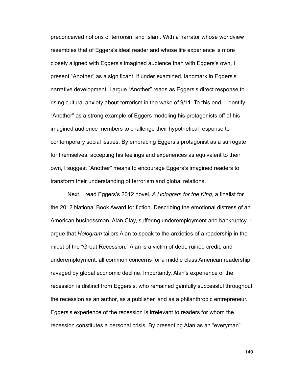preconceived notions of terrorism and Islam. With a narrator whose worldview resembles that of Eggers's ideal reader and whose life experience is more closely aligned with Eggers's imagined audience than with Eggers's own, I present "Another" as a significant, if under examined, landmark in Eggers's narrative development. I argue "Another" reads as Eggers's direct response to rising cultural anxiety about terrorism in the wake of 9/11. To this end, I identify "Another" as a strong example of Eggers modeling his protagonists off of his imagined audience members to challenge their hypothetical response to contemporary social issues. By embracing Eggers's protagonist as a surrogate for themselves, accepting his feelings and experiences as equivalent to their own, I suggest "Another" means to encourage Eggers's imagined readers to transform their understanding of terrorism and global relations.

 Next, I read Eggers's 2012 novel, *A Hologram for the King*, a finalist for the 2012 National Book Award for fiction. Describing the emotional distress of an American businessman, Alan Clay, suffering underemployment and bankruptcy, I argue that *Hologram* tailors Alan to speak to the anxieties of a readership in the midst of the "Great Recession." Alan is a victim of debt, ruined credit, and underemployment, all common concerns for a middle class American readership ravaged by global economic decline. Importantly, Alan's experience of the recession is distinct from Eggers's, who remained gainfully successful throughout the recession as an author, as a publisher, and as a philanthropic entrepreneur. Eggers's experience of the recession is irrelevant to readers for whom the recession constitutes a personal crisis. By presenting Alan as an "everyman"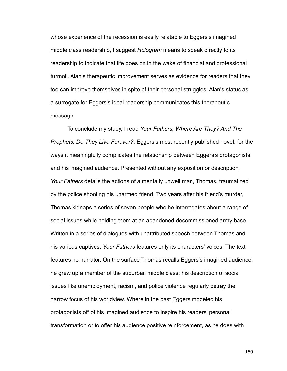whose experience of the recession is easily relatable to Eggers's imagined middle class readership, I suggest *Hologram* means to speak directly to its readership to indicate that life goes on in the wake of financial and professional turmoil. Alan's therapeutic improvement serves as evidence for readers that they too can improve themselves in spite of their personal struggles; Alan's status as a surrogate for Eggers's ideal readership communicates this therapeutic message.

 To conclude my study, I read *Your Fathers, Where Are They? And The Prophets, Do They Live Forever?*, Eggers's most recently published novel, for the ways it meaningfully complicates the relationship between Eggers's protagonists and his imagined audience. Presented without any exposition or description, *Your Fathers* details the actions of a mentally unwell man, Thomas, traumatized by the police shooting his unarmed friend. Two years after his friend's murder, Thomas kidnaps a series of seven people who he interrogates about a range of social issues while holding them at an abandoned decommissioned army base. Written in a series of dialogues with unattributed speech between Thomas and his various captives, *Your Fathers* features only its characters' voices. The text features no narrator. On the surface Thomas recalls Eggers's imagined audience: he grew up a member of the suburban middle class; his description of social issues like unemployment, racism, and police violence regularly betray the narrow focus of his worldview. Where in the past Eggers modeled his protagonists off of his imagined audience to inspire his readers' personal transformation or to offer his audience positive reinforcement, as he does with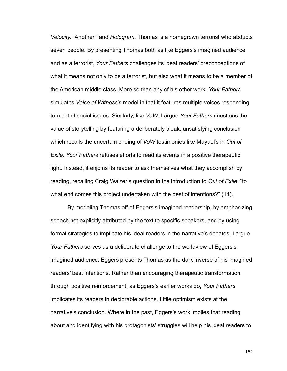*Velocity,* "Another," and *Hologram*, Thomas is a homegrown terrorist who abducts seven people. By presenting Thomas both as like Eggers's imagined audience and as a terrorist, *Your Fathers* challenges its ideal readers' preconceptions of what it means not only to be a terrorist, but also what it means to be a member of the American middle class. More so than any of his other work, *Your Fathers*  simulates *Voice of Witness*'s model in that it features multiple voices responding to a set of social issues. Similarly, like *VoW*, I argue *Your Fathers* questions the value of storytelling by featuring a deliberately bleak, unsatisfying conclusion which recalls the uncertain ending of *VoW* testimonies like Mayuol's in *Out of Exile*. *Your Fathers* refuses efforts to read its events in a positive therapeutic light. Instead, it enjoins its reader to ask themselves what they accomplish by reading, recalling Craig Walzer's question in the introduction to *Out of Exile,* "to what end comes this project undertaken with the best of intentions?" (14).

 By modeling Thomas off of Eggers's imagined readership, by emphasizing speech not explicitly attributed by the text to specific speakers, and by using formal strategies to implicate his ideal readers in the narrative's debates, I argue *Your Fathers* serves as a deliberate challenge to the worldview of Eggers's imagined audience. Eggers presents Thomas as the dark inverse of his imagined readers' best intentions. Rather than encouraging therapeutic transformation through positive reinforcement, as Eggers's earlier works do, *Your Fathers*  implicates its readers in deplorable actions. Little optimism exists at the narrative's conclusion. Where in the past, Eggers's work implies that reading about and identifying with his protagonists' struggles will help his ideal readers to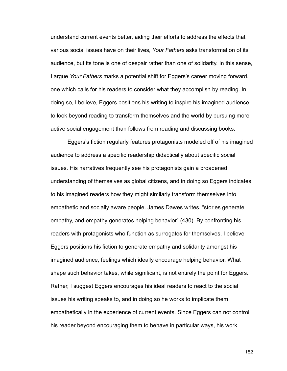understand current events better, aiding their efforts to address the effects that various social issues have on their lives, *Your Fathers* asks transformation of its audience, but its tone is one of despair rather than one of solidarity. In this sense, I argue *Your Fathers* marks a potential shift for Eggers's career moving forward, one which calls for his readers to consider what they accomplish by reading. In doing so, I believe, Eggers positions his writing to inspire his imagined audience to look beyond reading to transform themselves and the world by pursuing more active social engagement than follows from reading and discussing books.

 Eggers's fiction regularly features protagonists modeled off of his imagined audience to address a specific readership didactically about specific social issues. His narratives frequently see his protagonists gain a broadened understanding of themselves as global citizens, and in doing so Eggers indicates to his imagined readers how they might similarly transform themselves into empathetic and socially aware people. James Dawes writes, "stories generate empathy, and empathy generates helping behavior" (430). By confronting his readers with protagonists who function as surrogates for themselves, I believe Eggers positions his fiction to generate empathy and solidarity amongst his imagined audience, feelings which ideally encourage helping behavior. What shape such behavior takes, while significant, is not entirely the point for Eggers. Rather, I suggest Eggers encourages his ideal readers to react to the social issues his writing speaks to, and in doing so he works to implicate them empathetically in the experience of current events. Since Eggers can not control his reader beyond encouraging them to behave in particular ways, his work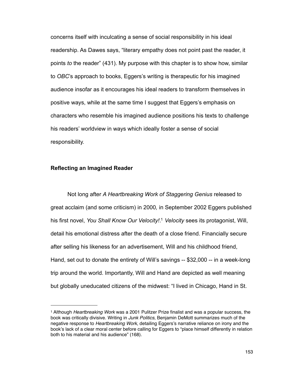concerns itself with inculcating a sense of social responsibility in his ideal readership. As Dawes says, "literary empathy does not point past the reader, it points *to* the reader" (431). My purpose with this chapter is to show how, similar to *OBC*'s approach to books, Eggers's writing is therapeutic for his imagined audience insofar as it encourages his ideal readers to transform themselves in positive ways, while at the same time I suggest that Eggers's emphasis on characters who resemble his imagined audience positions his texts to challenge his readers' worldview in ways which ideally foster a sense of social responsibility.

## **Reflecting an Imagined Reader**

 Not long after *A Heartbreaking Work of Staggering Genius* released to great acclaim (and some criticism) in 2000*,* in September 2002 Eggers published his first novel, *You Shall Know Our Velocity!*. [1](#page-158-0) *Velocity* sees its protagonist, Will, detail his emotional distress after the death of a close friend. Financially secure after selling his likeness for an advertisement, Will and his childhood friend, Hand, set out to donate the entirety of Will's savings -- \$32,000 -- in a week-long trip around the world. Importantly, Will and Hand are depicted as well meaning but globally uneducated citizens of the midwest: "I lived in Chicago, Hand in St.

<span id="page-158-0"></span><sup>1</sup> Although *Heartbreaking Work* was a 2001 Pulitzer Prize finalist and was a popular success, the book was critically divisive. Writing in *Junk Politics*, Benjamin DeMott summarizes much of the negative response to *Heartbreaking Work*, detailing Eggers's narrative reliance on irony and the book's lack of a clear moral center before calling for Eggers to "place himself differently in relation both to his material and his audience" (168).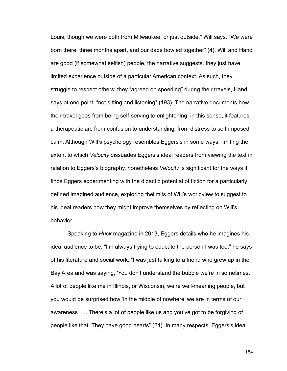Louis, though we were both from Milwaukee, or just outside," Will says. "We were born there, three months apart, and our dads bowled together" (4). Will and Hand are good (if somewhat selfish) people, the narrative suggests, they just have limited experience outside of a particular American context. As such, they struggle to respect others: they "agreed on speeding" during their travels, Hand says at one point, "not sitting and listening" (193). The narrative documents how their travel goes from being self-serving to enlightening; in this sense, it features a therapeutic arc from confusion to understanding, from distress to self-imposed calm. Although Will's psychology resembles Eggers's in some ways, limiting the extent to which *Velocity* dissuades Eggers's ideal readers from viewing the text in relation to Eggers's biography, nonetheless *Velocity* is significant for the ways it finds Eggers experimenting with the didactic potential of fiction for a particularly defined imagined audience, exploring thelimits of Will's worldview to suggest to his ideal readers how they might improve themselves by reflecting on Will's behavior.

 Speaking to *Huck* magazine in 2013, Eggers details who he imagines his ideal audience to be. "I'm always trying to educate the person I was too," he says of his literature and social work. "I was just talking to a friend who grew up in the Bay Area and was saying, 'You don't understand the bubble we're in sometimes.' A lot of people like me in Illinois, or Wisconsin, we're well-meaning people, but you would be surprised how 'in the middle of nowhere' we are in terms of our awareness . . . There's a lot of people like us and you've got to be forgiving of people like that. They have good hearts" (24). In many respects, Eggers's ideal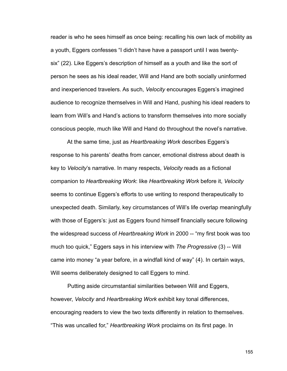reader is who he sees himself as once being: recalling his own lack of mobility as a youth, Eggers confesses "I didn't have have a passport until I was twentysix" (22). Like Eggers's description of himself as a youth and like the sort of person he sees as his ideal reader, Will and Hand are both socially uninformed and inexperienced travelers. As such, *Velocity* encourages Eggers's imagined audience to recognize themselves in Will and Hand, pushing his ideal readers to learn from Will's and Hand's actions to transform themselves into more socially conscious people, much like Will and Hand do throughout the novel's narrative.

 At the same time, just as *Heartbreaking Work* describes Eggers's response to his parents' deaths from cancer, emotional distress about death is key to *Velocity*'s narrative. In many respects, *Velocity* reads as a fictional companion to *Heartbreaking Work*: like *Heartbreaking Work* before it, *Velocity*  seems to continue Eggers's efforts to use writing to respond therapeutically to unexpected death. Similarly, key circumstances of Will's life overlap meaningfully with those of Eggers's: just as Eggers found himself financially secure following the widespread success of *Heartbreaking Work* in 2000 -- "my first book was too much too quick," Eggers says in his interview with *The Progressive* (3) -- Will came into money "a year before, in a windfall kind of way" (4). In certain ways, Will seems deliberately designed to call Eggers to mind.

 Putting aside circumstantial similarities between Will and Eggers, however, *Velocity* and *Heartbreaking Work* exhibit key tonal differences, encouraging readers to view the two texts differently in relation to themselves. "This was uncalled for," *Heartbreaking Work* proclaims on its first page. In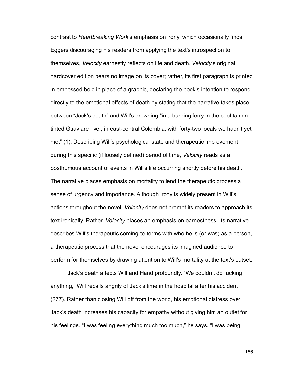contrast to *Heartbreaking Work*'s emphasis on irony, which occasionally finds Eggers discouraging his readers from applying the text's introspection to themselves, *Velocity* earnestly reflects on life and death. *Velocity*'s original hardcover edition bears no image on its cover; rather, its first paragraph is printed in embossed bold in place of a graphic, declaring the book's intention to respond directly to the emotional effects of death by stating that the narrative takes place between "Jack's death" and Will's drowning "in a burning ferry in the cool tannintinted Guaviare river, in east-central Colombia, with forty-two locals we hadn't yet met" (1). Describing Will's psychological state and therapeutic improvement during this specific (if loosely defined) period of time, *Velocity* reads as a posthumous account of events in Will's life occurring shortly before his death. The narrative places emphasis on mortality to lend the therapeutic process a sense of urgency and importance. Although irony is widely present in Will's actions throughout the novel, *Velocity* does not prompt its readers to approach its text ironically. Rather, *Velocity* places an emphasis on earnestness. Its narrative describes Will's therapeutic coming-to-terms with who he is (or was) as a person, a therapeutic process that the novel encourages its imagined audience to perform for themselves by drawing attention to Will's mortality at the text's outset.

 Jack's death affects Will and Hand profoundly. "We couldn't do fucking anything," Will recalls angrily of Jack's time in the hospital after his accident (277). Rather than closing Will off from the world, his emotional distress over Jack's death increases his capacity for empathy without giving him an outlet for his feelings. "I was feeling everything much too much," he says. "I was being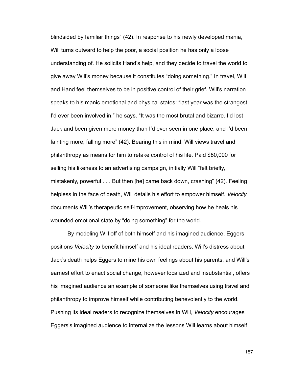blindsided by familiar things" (42). In response to his newly developed mania, Will turns outward to help the poor, a social position he has only a loose understanding of. He solicits Hand's help, and they decide to travel the world to give away Will's money because it constitutes "doing something." In travel, Will and Hand feel themselves to be in positive control of their grief. Will's narration speaks to his manic emotional and physical states: "last year was the strangest I'd ever been involved in," he says. "It was the most brutal and bizarre. I'd lost Jack and been given more money than I'd ever seen in one place, and I'd been fainting more, falling more" (42). Bearing this in mind, Will views travel and philanthropy as means for him to retake control of his life. Paid \$80,000 for selling his likeness to an advertising campaign, initially Will "felt briefly, mistakenly, powerful . . . But then [he] came back down, crashing" (42). Feeling helpless in the face of death, Will details his effort to empower himself. *Velocity* documents Will's therapeutic self-improvement, observing how he heals his wounded emotional state by "doing something" for the world.

 By modeling Will off of both himself and his imagined audience, Eggers positions *Velocity* to benefit himself and his ideal readers. Will's distress about Jack's death helps Eggers to mine his own feelings about his parents, and Will's earnest effort to enact social change, however localized and insubstantial, offers his imagined audience an example of someone like themselves using travel and philanthropy to improve himself while contributing benevolently to the world. Pushing its ideal readers to recognize themselves in Will, *Velocity* encourages Eggers's imagined audience to internalize the lessons Will learns about himself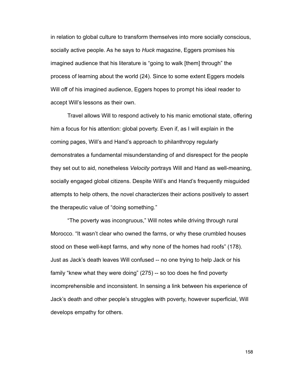in relation to global culture to transform themselves into more socially conscious, socially active people. As he says to *Huck* magazine, Eggers promises his imagined audience that his literature is "going to walk [them] through" the process of learning about the world (24). Since to some extent Eggers models Will off of his imagined audience, Eggers hopes to prompt his ideal reader to accept Will's lessons as their own.

 Travel allows Will to respond actively to his manic emotional state, offering him a focus for his attention: global poverty. Even if, as I will explain in the coming pages, Will's and Hand's approach to philanthropy regularly demonstrates a fundamental misunderstanding of and disrespect for the people they set out to aid, nonetheless *Velocity* portrays Will and Hand as well-meaning, socially engaged global citizens. Despite Will's and Hand's frequently misguided attempts to help others, the novel characterizes their actions positively to assert the therapeutic value of "doing something."

 "The poverty was incongruous," Will notes while driving through rural Morocco. "It wasn't clear who owned the farms, or why these crumbled houses stood on these well-kept farms, and why none of the homes had roofs" (178). Just as Jack's death leaves Will confused -- no one trying to help Jack or his family "knew what they were doing" (275) -- so too does he find poverty incomprehensible and inconsistent. In sensing a link between his experience of Jack's death and other people's struggles with poverty, however superficial, Will develops empathy for others.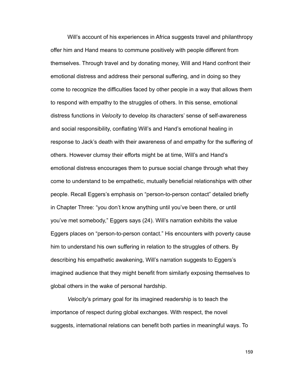Will's account of his experiences in Africa suggests travel and philanthropy offer him and Hand means to commune positively with people different from themselves. Through travel and by donating money, Will and Hand confront their emotional distress and address their personal suffering, and in doing so they come to recognize the difficulties faced by other people in a way that allows them to respond with empathy to the struggles of others. In this sense, emotional distress functions in *Velocity* to develop its characters' sense of self-awareness and social responsibility, conflating Will's and Hand's emotional healing in response to Jack's death with their awareness of and empathy for the suffering of others. However clumsy their efforts might be at time, Will's and Hand's emotional distress encourages them to pursue social change through what they come to understand to be empathetic, mutually beneficial relationships with other people. Recall Eggers's emphasis on "person-to-person contact" detailed briefly in Chapter Three: "you don't know anything until you've been there, or until you've met somebody," Eggers says (24). Will's narration exhibits the value Eggers places on "person-to-person contact." His encounters with poverty cause him to understand his own suffering in relation to the struggles of others. By describing his empathetic awakening, Will's narration suggests to Eggers's imagined audience that they might benefit from similarly exposing themselves to global others in the wake of personal hardship.

*Velocity*'s primary goal for its imagined readership is to teach the importance of respect during global exchanges. With respect, the novel suggests, international relations can benefit both parties in meaningful ways. To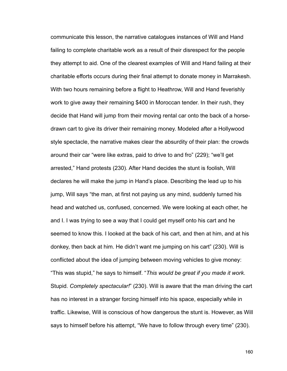communicate this lesson, the narrative catalogues instances of Will and Hand failing to complete charitable work as a result of their disrespect for the people they attempt to aid. One of the clearest examples of Will and Hand failing at their charitable efforts occurs during their final attempt to donate money in Marrakesh. With two hours remaining before a flight to Heathrow, Will and Hand feverishly work to give away their remaining \$400 in Moroccan tender. In their rush, they decide that Hand will jump from their moving rental car onto the back of a horsedrawn cart to give its driver their remaining money. Modeled after a Hollywood style spectacle, the narrative makes clear the absurdity of their plan: the crowds around their car "were like extras, paid to drive to and fro" (229); "we'll get arrested," Hand protests (230). After Hand decides the stunt is foolish, Will declares he will make the jump in Hand's place. Describing the lead up to his jump, Will says "the man, at first not paying us any mind, suddenly turned his head and watched us, confused, concerned. We were looking at each other, he and I. I was trying to see a way that I could get myself onto his cart and he seemed to know this. I looked at the back of his cart, and then at him, and at his donkey, then back at him. He didn't want me jumping on his cart" (230). Will is conflicted about the idea of jumping between moving vehicles to give money: "This was stupid," he says to himself. "*This would be great if you made it work*. Stupid. *Completely spectacular!*" (230). Will is aware that the man driving the cart has no interest in a stranger forcing himself into his space, especially while in traffic. Likewise, Will is conscious of how dangerous the stunt is. However, as Will says to himself before his attempt, "We have to follow through every time" (230).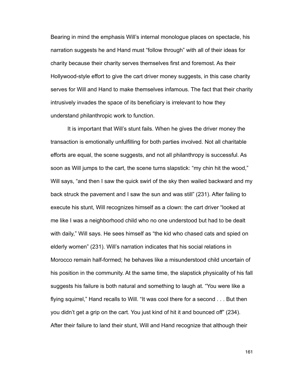Bearing in mind the emphasis Will's internal monologue places on spectacle, his narration suggests he and Hand must "follow through" with all of their ideas for charity because their charity serves themselves first and foremost. As their Hollywood-style effort to give the cart driver money suggests, in this case charity serves for Will and Hand to make themselves infamous. The fact that their charity intrusively invades the space of its beneficiary is irrelevant to how they understand philanthropic work to function.

 It is important that Will's stunt fails. When he gives the driver money the transaction is emotionally unfulfilling for both parties involved. Not all charitable efforts are equal, the scene suggests, and not all philanthropy is successful. As soon as Will jumps to the cart, the scene turns slapstick: "my chin hit the wood," Will says, "and then I saw the quick swirl of the sky then wailed backward and my back struck the pavement and I saw the sun and was still" (231). After failing to execute his stunt, Will recognizes himself as a clown: the cart driver "looked at me like I was a neighborhood child who no one understood but had to be dealt with daily," Will says. He sees himself as "the kid who chased cats and spied on elderly women" (231). Will's narration indicates that his social relations in Morocco remain half-formed; he behaves like a misunderstood child uncertain of his position in the community. At the same time, the slapstick physicality of his fall suggests his failure is both natural and something to laugh at. "You were like a flying squirrel," Hand recalls to Will. "It was cool there for a second . . . But then you didn't get a grip on the cart. You just kind of hit it and bounced off" (234). After their failure to land their stunt, Will and Hand recognize that although their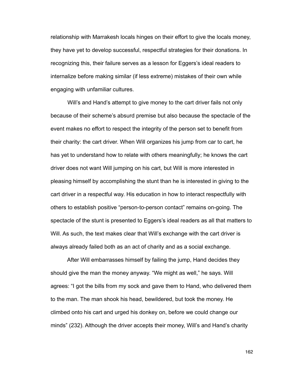relationship with Marrakesh locals hinges on their effort to give the locals money, they have yet to develop successful, respectful strategies for their donations. In recognizing this, their failure serves as a lesson for Eggers's ideal readers to internalize before making similar (if less extreme) mistakes of their own while engaging with unfamiliar cultures.

 Will's and Hand's attempt to give money to the cart driver fails not only because of their scheme's absurd premise but also because the spectacle of the event makes no effort to respect the integrity of the person set to benefit from their charity: the cart driver. When Will organizes his jump from car to cart, he has yet to understand how to relate with others meaningfully; he knows the cart driver does not want Will jumping on his cart, but Will is more interested in pleasing himself by accomplishing the stunt than he is interested in giving to the cart driver in a respectful way. His education in how to interact respectfully with others to establish positive "person-to-person contact" remains on-going. The spectacle of the stunt is presented to Eggers's ideal readers as all that matters to Will. As such, the text makes clear that Will's exchange with the cart driver is always already failed both as an act of charity and as a social exchange.

 After Will embarrasses himself by failing the jump, Hand decides they should give the man the money anyway. "We might as well," he says. Will agrees: "I got the bills from my sock and gave them to Hand, who delivered them to the man. The man shook his head, bewildered, but took the money. He climbed onto his cart and urged his donkey on, before we could change our minds" (232). Although the driver accepts their money, Will's and Hand's charity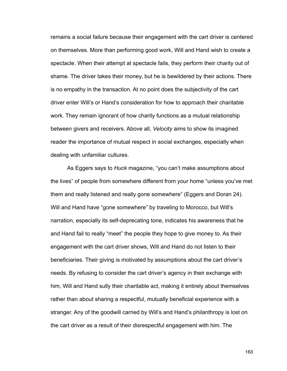remains a social failure because their engagement with the cart driver is centered on themselves. More than performing good work, Will and Hand wish to create a spectacle. When their attempt at spectacle fails, they perform their charity out of shame. The driver takes their money, but he is bewildered by their actions. There is no empathy in the transaction. At no point does the subjectivity of the cart driver enter Will's or Hand's consideration for how to approach their charitable work. They remain ignorant of how charity functions as a mutual relationship between givers and receivers. Above all, *Velocity* aims to show its imagined reader the importance of mutual respect in social exchanges, especially when dealing with unfamiliar cultures.

 As Eggers says to *Huck* magazine, "you can't make assumptions about the lives" of people from somewhere different from your home "unless you've met them and really listened and really gone somewhere" (Eggers and Doran 24). Will and Hand have "gone somewhere" by traveling to Morocco, but Will's narration, especially its self-deprecating tone, indicates his awareness that he and Hand fail to really "meet" the people they hope to give money to. As their engagement with the cart driver shows, Will and Hand do not listen to their beneficiaries. Their giving is motivated by assumptions about the cart driver's needs. By refusing to consider the cart driver's agency in their exchange with him, Will and Hand sully their charitable act, making it entirely about themselves rather than about sharing a respectful, mutually beneficial experience with a stranger. Any of the goodwill carried by Will's and Hand's philanthropy is lost on the cart driver as a result of their disrespectful engagement with him. The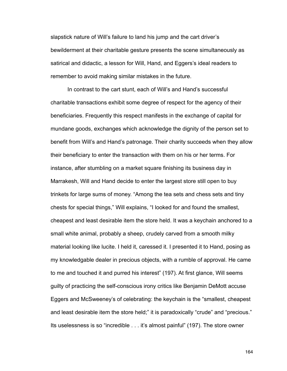slapstick nature of Will's failure to land his jump and the cart driver's bewilderment at their charitable gesture presents the scene simultaneously as satirical and didactic, a lesson for Will, Hand, and Eggers's ideal readers to remember to avoid making similar mistakes in the future.

 In contrast to the cart stunt, each of Will's and Hand's successful charitable transactions exhibit some degree of respect for the agency of their beneficiaries. Frequently this respect manifests in the exchange of capital for mundane goods, exchanges which acknowledge the dignity of the person set to benefit from Will's and Hand's patronage. Their charity succeeds when they allow their beneficiary to enter the transaction with them on his or her terms. For instance, after stumbling on a market square finishing its business day in Marrakesh, Will and Hand decide to enter the largest store still open to buy trinkets for large sums of money. "Among the tea sets and chess sets and tiny chests for special things," Will explains, "I looked for and found the smallest, cheapest and least desirable item the store held. It was a keychain anchored to a small white animal, probably a sheep, crudely carved from a smooth milky material looking like lucite. I held it, caressed it. I presented it to Hand, posing as my knowledgable dealer in precious objects, with a rumble of approval. He came to me and touched it and purred his interest" (197). At first glance, Will seems guilty of practicing the self-conscious irony critics like Benjamin DeMott accuse Eggers and McSweeney's of celebrating: the keychain is the "smallest, cheapest and least desirable item the store held;" it is paradoxically "crude" and "precious." Its uselessness is so "incredible . . . it's almost painful" (197). The store owner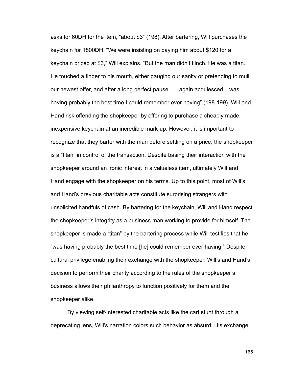asks for 60DH for the item, "about \$3" (198). After bartering, Will purchases the keychain for 1800DH. "We were insisting on paying him about \$120 for a keychain priced at \$3," Will explains. "But the man didn't flinch. He was a titan. He touched a finger to his mouth, either gauging our sanity or pretending to mull our newest offer, and after a long perfect pause . . . again acquiesced. I was having probably the best time I could remember ever having" (198-199). Will and Hand risk offending the shopkeeper by offering to purchase a cheaply made, inexpensive keychain at an incredible mark-up. However, it is important to recognize that they barter with the man before settling on a price; the shopkeeper is a "titan" in control of the transaction. Despite basing their interaction with the shopkeeper around an ironic interest in a valueless item, ultimately Will and Hand engage with the shopkeeper on his terms. Up to this point, most of Will's and Hand's previous charitable acts constitute surprising strangers with unsolicited handfuls of cash. By bartering for the keychain, Will and Hand respect the shopkeeper's integrity as a business man working to provide for himself. The shopkeeper is made a "titan" by the bartering process while Will testifies that he "was having probably the best time [he] could remember ever having." Despite cultural privilege enabling their exchange with the shopkeeper, Will's and Hand's decision to perform their charity according to the rules of the shopkeeper's business allows their philanthropy to function positively for them and the shopkeeper alike.

 By viewing self-interested charitable acts like the cart stunt through a deprecating lens, Will's narration colors such behavior as absurd. His exchange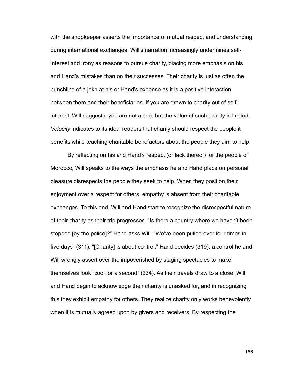with the shopkeeper asserts the importance of mutual respect and understanding during international exchanges. Will's narration increasingly undermines selfinterest and irony as reasons to pursue charity, placing more emphasis on his and Hand's mistakes than on their successes. Their charity is just as often the punchline of a joke at his or Hand's expense as it is a positive interaction between them and their beneficiaries. If you are drawn to charity out of selfinterest, Will suggests, you are not alone, but the value of such charity is limited. *Velocity* indicates to its ideal readers that charity should respect the people it benefits while teaching charitable benefactors about the people they aim to help.

 By reflecting on his and Hand's respect (or lack thereof) for the people of Morocco, Will speaks to the ways the emphasis he and Hand place on personal pleasure disrespects the people they seek to help. When they position their enjoyment over a respect for others, empathy is absent from their charitable exchanges. To this end, Will and Hand start to recognize the disrespectful nature of their charity as their trip progresses. "Is there a country where we haven't been stopped [by the police]?" Hand asks Will. "We've been pulled over four times in five days" (311). "[Charity] is about control," Hand decides (319), a control he and Will wrongly assert over the impoverished by staging spectacles to make themselves look "cool for a second" (234). As their travels draw to a close, Will and Hand begin to acknowledge their charity is unasked for, and in recognizing this they exhibit empathy for others. They realize charity only works benevolently when it is mutually agreed upon by givers and receivers. By respecting the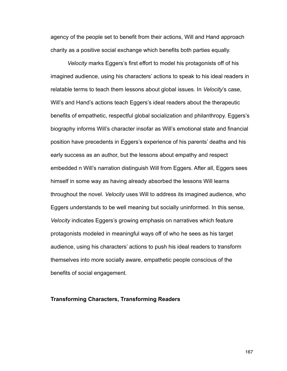agency of the people set to benefit from their actions, Will and Hand approach charity as a positive social exchange which benefits both parties equally.

*Velocity* marks Eggers's first effort to model his protagonists off of his imagined audience, using his characters' actions to speak to his ideal readers in relatable terms to teach them lessons about global issues. In *Velocity*'s case, Will's and Hand's actions teach Eggers's ideal readers about the therapeutic benefits of empathetic, respectful global socialization and philanthropy. Eggers's biography informs Will's character insofar as Will's emotional state and financial position have precedents in Eggers's experience of his parents' deaths and his early success as an author, but the lessons about empathy and respect embedded n Will's narration distinguish Will from Eggers. After all, Eggers sees himself in some way as having already absorbed the lessons Will learns throughout the novel. *Velocity* uses Will to address its imagined audience, who Eggers understands to be well meaning but socially uninformed. In this sense, *Velocity* indicates Eggers's growing emphasis on narratives which feature protagonists modeled in meaningful ways off of who he sees as his target audience, using his characters' actions to push his ideal readers to transform themselves into more socially aware, empathetic people conscious of the benefits of social engagement.

## **Transforming Characters, Transforming Readers**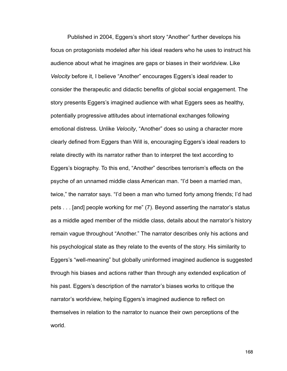Published in 2004, Eggers's short story "Another" further develops his focus on protagonists modeled after his ideal readers who he uses to instruct his audience about what he imagines are gaps or biases in their worldview. Like *Velocity* before it, I believe "Another" encourages Eggers's ideal reader to consider the therapeutic and didactic benefits of global social engagement. The story presents Eggers's imagined audience with what Eggers sees as healthy, potentially progressive attitudes about international exchanges following emotional distress. Unlike *Velocity*, "Another" does so using a character more clearly defined from Eggers than Will is, encouraging Eggers's ideal readers to relate directly with its narrator rather than to interpret the text according to Eggers's biography. To this end, "Another" describes terrorism's effects on the psyche of an unnamed middle class American man. "I'd been a married man, twice," the narrator says. "I'd been a man who turned forty among friends; I'd had pets . . . [and] people working for me" (7). Beyond asserting the narrator's status as a middle aged member of the middle class, details about the narrator's history remain vague throughout "Another." The narrator describes only his actions and his psychological state as they relate to the events of the story. His similarity to Eggers's "well-meaning" but globally uninformed imagined audience is suggested through his biases and actions rather than through any extended explication of his past. Eggers's description of the narrator's biases works to critique the narrator's worldview, helping Eggers's imagined audience to reflect on themselves in relation to the narrator to nuance their own perceptions of the world.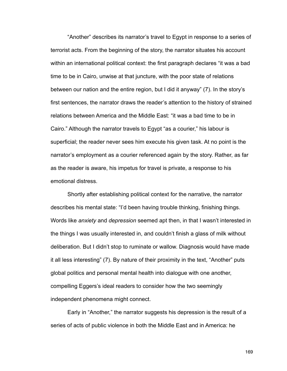"Another" describes its narrator's travel to Egypt in response to a series of terrorist acts. From the beginning of the story, the narrator situates his account within an international political context: the first paragraph declares "it was a bad time to be in Cairo, unwise at that juncture, with the poor state of relations between our nation and the entire region, but I did it anyway" (7). In the story's first sentences, the narrator draws the reader's attention to the history of strained relations between America and the Middle East: "it was a bad time to be in Cairo." Although the narrator travels to Egypt "as a courier," his labour is superficial; the reader never sees him execute his given task. At no point is the narrator's employment as a courier referenced again by the story. Rather, as far as the reader is aware, his impetus for travel is private, a response to his emotional distress.

 Shortly after establishing political context for the narrative, the narrator describes his mental state: "I'd been having trouble thinking, finishing things. Words like *anxiety* and *depression* seemed apt then, in that I wasn't interested in the things I was usually interested in, and couldn't finish a glass of milk without deliberation. But I didn't stop to ruminate or wallow. Diagnosis would have made it all less interesting" (7). By nature of their proximity in the text, "Another" puts global politics and personal mental health into dialogue with one another, compelling Eggers's ideal readers to consider how the two seemingly independent phenomena might connect.

 Early in "Another," the narrator suggests his depression is the result of a series of acts of public violence in both the Middle East and in America: he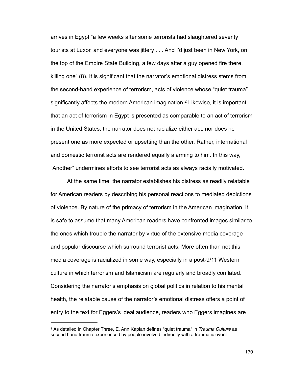arrives in Egypt "a few weeks after some terrorists had slaughtered seventy tourists at Luxor, and everyone was jittery . . . And I'd just been in New York, on the top of the Empire State Building, a few days after a guy opened fire there, killing one" (8). It is significant that the narrator's emotional distress stems from the second-hand experience of terrorism, acts of violence whose "quiet trauma" significantly affects the modern American imagination.[2](#page-175-0) Likewise, it is important that an act of terrorism in Egypt is presented as comparable to an act of terrorism in the United States: the narrator does not racialize either act, nor does he present one as more expected or upsetting than the other. Rather, international and domestic terrorist acts are rendered equally alarming to him. In this way, "Another" undermines efforts to see terrorist acts as always racially motivated.

 At the same time, the narrator establishes his distress as readily relatable for American readers by describing his personal reactions to mediated depictions of violence. By nature of the primacy of terrorism in the American imagination, it is safe to assume that many American readers have confronted images similar to the ones which trouble the narrator by virtue of the extensive media coverage and popular discourse which surround terrorist acts. More often than not this media coverage is racialized in some way, especially in a post-9/11 Western culture in which terrorism and Islamicism are regularly and broadly conflated. Considering the narrator's emphasis on global politics in relation to his mental health, the relatable cause of the narrator's emotional distress offers a point of entry to the text for Eggers's ideal audience, readers who Eggers imagines are

<span id="page-175-0"></span><sup>2</sup> As detailed in Chapter Three, E. Ann Kaplan defines "quiet trauma" in *Trauma Culture* as second hand trauma experienced by people involved indirectly with a traumatic event.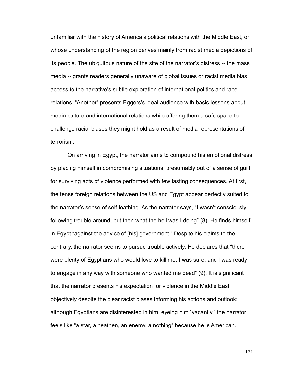unfamiliar with the history of America's political relations with the Middle East, or whose understanding of the region derives mainly from racist media depictions of its people. The ubiquitous nature of the site of the narrator's distress -- the mass media -- grants readers generally unaware of global issues or racist media bias access to the narrative's subtle exploration of international politics and race relations. "Another" presents Eggers's ideal audience with basic lessons about media culture and international relations while offering them a safe space to challenge racial biases they might hold as a result of media representations of terrorism.

On arriving in Egypt, the narrator aims to compound his emotional distress by placing himself in compromising situations, presumably out of a sense of guilt for surviving acts of violence performed with few lasting consequences. At first, the tense foreign relations between the US and Egypt appear perfectly suited to the narrator's sense of self-loathing. As the narrator says, "I wasn't consciously following trouble around, but then what the hell was I doing" (8). He finds himself in Egypt "against the advice of [his] government." Despite his claims to the contrary, the narrator seems to pursue trouble actively. He declares that "there were plenty of Egyptians who would love to kill me, I was sure, and I was ready to engage in any way with someone who wanted me dead" (9). It is significant that the narrator presents his expectation for violence in the Middle East objectively despite the clear racist biases informing his actions and outlook: although Egyptians are disinterested in him, eyeing him "vacantly," the narrator feels like "a star, a heathen, an enemy, a nothing" because he is American.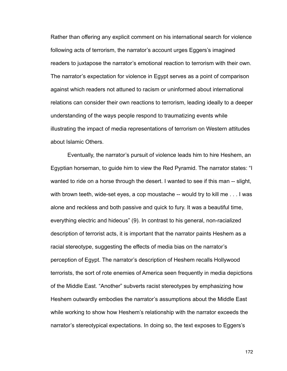Rather than offering any explicit comment on his international search for violence following acts of terrorism, the narrator's account urges Eggers's imagined readers to juxtapose the narrator's emotional reaction to terrorism with their own. The narrator's expectation for violence in Egypt serves as a point of comparison against which readers not attuned to racism or uninformed about international relations can consider their own reactions to terrorism, leading ideally to a deeper understanding of the ways people respond to traumatizing events while illustrating the impact of media representations of terrorism on Western attitudes about Islamic Others.

Eventually, the narrator's pursuit of violence leads him to hire Heshem, an Egyptian horseman, to guide him to view the Red Pyramid. The narrator states: "I wanted to ride on a horse through the desert. I wanted to see if this man -- slight, with brown teeth, wide-set eyes, a cop moustache -- would try to kill me . . . I was alone and reckless and both passive and quick to fury. It was a beautiful time, everything electric and hideous" (9). In contrast to his general, non-racialized description of terrorist acts, it is important that the narrator paints Heshem as a racial stereotype, suggesting the effects of media bias on the narrator's perception of Egypt. The narrator's description of Heshem recalls Hollywood terrorists, the sort of rote enemies of America seen frequently in media depictions of the Middle East. "Another" subverts racist stereotypes by emphasizing how Heshem outwardly embodies the narrator's assumptions about the Middle East while working to show how Heshem's relationship with the narrator exceeds the narrator's stereotypical expectations. In doing so, the text exposes to Eggers's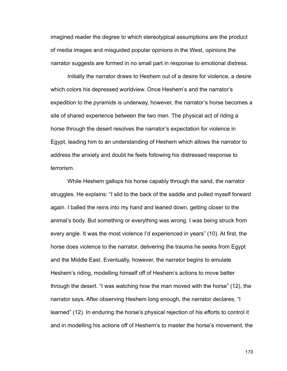imagined reader the degree to which stereotypical assumptions are the product of media images and misguided popular opinions in the West, opinions the narrator suggests are formed in no small part in response to emotional distress.

 Initially the narrator draws to Heshem out of a desire for violence, a desire which colors his depressed worldview. Once Heshem's and the narrator's expedition to the pyramids is underway, however, the narrator's horse becomes a site of shared experience between the two men. The physical act of riding a horse through the desert resolves the narrator's expectation for violence in Egypt, leading him to an understanding of Heshem which allows the narrator to address the anxiety and doubt he feels following his distressed response to terrorism.

 While Heshem gallops his horse capably through the sand, the narrator struggles. He explains: "I slid to the back of the saddle and pulled myself forward again. I balled the reins into my hand and leaned down, getting closer to the animal's body. But something or everything was wrong. I was being struck from every angle. It was the most violence I'd experienced in years" (10). At first, the horse does violence to the narrator, delivering the trauma he seeks from Egypt and the Middle East. Eventually, however, the narrator begins to emulate Heshem's riding, modelling himself off of Heshem's actions to move better through the desert. "I was watching how the man moved with the horse" (12), the narrator says. After observing Heshem long enough, the narrator declares, "I learned" (12). In enduring the horse's physical rejection of his efforts to control it and in modelling his actions off of Heshem's to master the horse's movement, the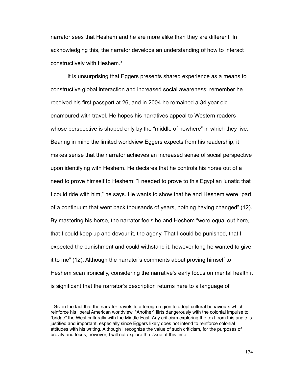narrator sees that Heshem and he are more alike than they are different. In acknowledging this, the narrator develops an understanding of how to interact constructively with Heshem[.3](#page-179-0)

 It is unsurprising that Eggers presents shared experience as a means to constructive global interaction and increased social awareness: remember he received his first passport at 26, and in 2004 he remained a 34 year old enamoured with travel. He hopes his narratives appeal to Western readers whose perspective is shaped only by the "middle of nowhere" in which they live. Bearing in mind the limited worldview Eggers expects from his readership, it makes sense that the narrator achieves an increased sense of social perspective upon identifying with Heshem. He declares that he controls his horse out of a need to prove himself to Heshem: "I needed to prove to this Egyptian lunatic that I could ride with him," he says. He wants to show that he and Heshem were "part of a continuum that went back thousands of years, nothing having changed" (12). By mastering his horse, the narrator feels he and Heshem "were equal out here, that I could keep up and devour it, the agony. That I could be punished, that I expected the punishment and could withstand it, however long he wanted to give it to me" (12). Although the narrator's comments about proving himself to Heshem scan ironically, considering the narrative's early focus on mental health it is significant that the narrator's description returns here to a language of

<span id="page-179-0"></span><sup>&</sup>lt;sup>3</sup> Given the fact that the narrator travels to a foreign region to adopt cultural behaviours which reinforce his liberal American worldview, "Another" flirts dangerously with the colonial impulse to "bridge" the West culturally with the Middle East. Any criticism exploring the text from this angle is justified and important, especially since Eggers likely does not intend to reinforce colonial attitudes with his writing. Although I recognize the value of such criticism, for the purposes of brevity and focus, however, I will not explore the issue at this time.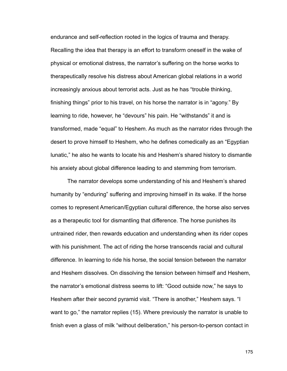endurance and self-reflection rooted in the logics of trauma and therapy. Recalling the idea that therapy is an effort to transform oneself in the wake of physical or emotional distress, the narrator's suffering on the horse works to therapeutically resolve his distress about American global relations in a world increasingly anxious about terrorist acts. Just as he has "trouble thinking, finishing things" prior to his travel, on his horse the narrator is in "agony." By learning to ride, however, he "devours" his pain. He "withstands" it and is transformed, made "equal" to Heshem. As much as the narrator rides through the desert to prove himself to Heshem, who he defines comedically as an "Egyptian lunatic," he also he wants to locate his and Heshem's shared history to dismantle his anxiety about global difference leading to and stemming from terrorism.

 The narrator develops some understanding of his and Heshem's shared humanity by "enduring" suffering and improving himself in its wake. If the horse comes to represent American/Egyptian cultural difference, the horse also serves as a therapeutic tool for dismantling that difference. The horse punishes its untrained rider, then rewards education and understanding when its rider copes with his punishment. The act of riding the horse transcends racial and cultural difference. In learning to ride his horse, the social tension between the narrator and Heshem dissolves. On dissolving the tension between himself and Heshem, the narrator's emotional distress seems to lift: "Good outside now," he says to Heshem after their second pyramid visit. "There is another," Heshem says. "I want to go," the narrator replies (15). Where previously the narrator is unable to finish even a glass of milk "without deliberation," his person-to-person contact in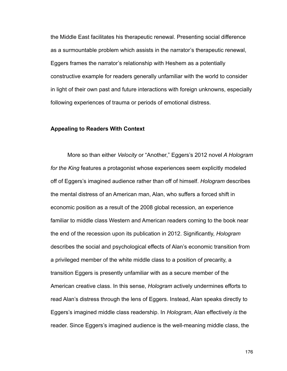the Middle East facilitates his therapeutic renewal. Presenting social difference as a surmountable problem which assists in the narrator's therapeutic renewal, Eggers frames the narrator's relationship with Heshem as a potentially constructive example for readers generally unfamiliar with the world to consider in light of their own past and future interactions with foreign unknowns, especially following experiences of trauma or periods of emotional distress.

#### **Appealing to Readers With Context**

 More so than either *Velocity* or "Another," Eggers's 2012 novel *A Hologram for the King* features a protagonist whose experiences seem explicitly modeled off of Eggers's imagined audience rather than off of himself. *Hologram* describes the mental distress of an American man, Alan, who suffers a forced shift in economic position as a result of the 2008 global recession, an experience familiar to middle class Western and American readers coming to the book near the end of the recession upon its publication in 2012. Significantly, *Hologram*  describes the social and psychological effects of Alan's economic transition from a privileged member of the white middle class to a position of precarity, a transition Eggers is presently unfamiliar with as a secure member of the American creative class. In this sense, *Hologram* actively undermines efforts to read Alan's distress through the lens of Eggers. Instead, Alan speaks directly to Eggers's imagined middle class readership. In *Hologram*, Alan effectively *is* the reader. Since Eggers's imagined audience is the well-meaning middle class, the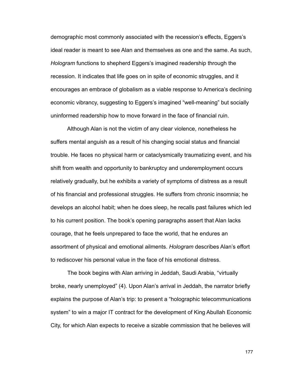demographic most commonly associated with the recession's effects, Eggers's ideal reader is meant to see Alan and themselves as one and the same. As such, *Hologram* functions to shepherd Eggers's imagined readership through the recession. It indicates that life goes on in spite of economic struggles, and it encourages an embrace of globalism as a viable response to America's declining economic vibrancy, suggesting to Eggers's imagined "well-meaning" but socially uninformed readership how to move forward in the face of financial ruin.

 Although Alan is not the victim of any clear violence, nonetheless he suffers mental anguish as a result of his changing social status and financial trouble. He faces no physical harm or cataclysmically traumatizing event, and his shift from wealth and opportunity to bankruptcy and underemployment occurs relatively gradually, but he exhibits a variety of symptoms of distress as a result of his financial and professional struggles. He suffers from chronic insomnia; he develops an alcohol habit; when he does sleep, he recalls past failures which led to his current position. The book's opening paragraphs assert that Alan lacks courage, that he feels unprepared to face the world, that he endures an assortment of physical and emotional ailments. *Hologram* describes Alan's effort to rediscover his personal value in the face of his emotional distress.

 The book begins with Alan arriving in Jeddah, Saudi Arabia, "virtually broke, nearly unemployed" (4). Upon Alan's arrival in Jeddah, the narrator briefly explains the purpose of Alan's trip: to present a "holographic telecommunications system" to win a major IT contract for the development of King Abullah Economic City, for which Alan expects to receive a sizable commission that he believes will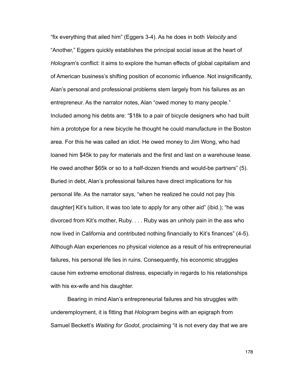"fix everything that ailed him" (Eggers 3-4). As he does in both *Velocity* and "Another," Eggers quickly establishes the principal social issue at the heart of *Hologram*'s conflict: it aims to explore the human effects of global capitalism and of American business's shifting position of economic influence. Not insignificantly, Alan's personal and professional problems stem largely from his failures as an entrepreneur. As the narrator notes, Alan "owed money to many people." Included among his debts are: "\$18k to a pair of bicycle designers who had built him a prototype for a new bicycle he thought he could manufacture in the Boston area. For this he was called an idiot. He owed money to Jim Wong, who had loaned him \$45k to pay for materials and the first and last on a warehouse lease. He owed another \$65k or so to a half-dozen friends and would-be partners" (5). Buried in debt, Alan's professional failures have direct implications for his personal life. As the narrator says, "when he realized he could not pay [his daughter] Kit's tuition, it was too late to apply for any other aid" (ibid.); "he was divorced from Kit's mother, Ruby. . . . Ruby was an unholy pain in the ass who now lived in California and contributed nothing financially to Kit's finances" (4-5). Although Alan experiences no physical violence as a result of his entrepreneurial failures, his personal life lies in ruins. Consequently, his economic struggles cause him extreme emotional distress, especially in regards to his relationships with his ex-wife and his daughter.

 Bearing in mind Alan's entrepreneurial failures and his struggles with underemployment, it is fitting that *Hologram* begins with an epigraph from Samuel Beckett's *Waiting for Godot*, proclaiming "it is not every day that we are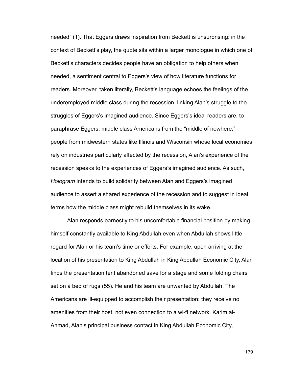needed" (1). That Eggers draws inspiration from Beckett is unsurprising: in the context of Beckett's play, the quote sits within a larger monologue in which one of Beckett's characters decides people have an obligation to help others when needed, a sentiment central to Eggers's view of how literature functions for readers. Moreover, taken literally, Beckett's language echoes the feelings of the underemployed middle class during the recession, linking Alan's struggle to the struggles of Eggers's imagined audience. Since Eggers's ideal readers are, to paraphrase Eggers, middle class Americans from the "middle of nowhere," people from midwestern states like Illinois and Wisconsin whose local economies rely on industries particularly affected by the recession, Alan's experience of the recession speaks to the experiences of Eggers's imagined audience. As such, *Hologram* intends to build solidarity between Alan and Eggers's imagined audience to assert a shared experience of the recession and to suggest in ideal terms how the middle class might rebuild themselves in its wake.

 Alan responds earnestly to his uncomfortable financial position by making himself constantly available to King Abdullah even when Abdullah shows little regard for Alan or his team's time or efforts. For example, upon arriving at the location of his presentation to King Abdullah in King Abdullah Economic City, Alan finds the presentation tent abandoned save for a stage and some folding chairs set on a bed of rugs (55). He and his team are unwanted by Abdullah. The Americans are ill-equipped to accomplish their presentation: they receive no amenities from their host, not even connection to a wi-fi network. Karim al-Ahmad, Alan's principal business contact in King Abdullah Economic City,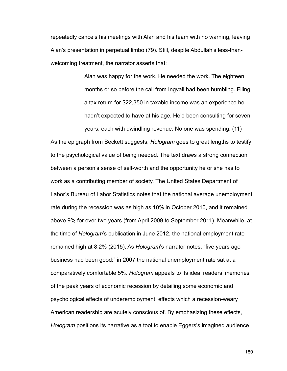repeatedly cancels his meetings with Alan and his team with no warning, leaving Alan's presentation in perpetual limbo (79). Still, despite Abdullah's less-thanwelcoming treatment, the narrator asserts that:

> Alan was happy for the work. He needed the work. The eighteen months or so before the call from Ingvall had been humbling. Filing a tax return for \$22,350 in taxable income was an experience he hadn't expected to have at his age. He'd been consulting for seven years, each with dwindling revenue. No one was spending. (11)

As the epigraph from Beckett suggests, *Hologram* goes to great lengths to testify to the psychological value of being needed. The text draws a strong connection between a person's sense of self-worth and the opportunity he or she has to work as a contributing member of society. The United States Department of Labor's Bureau of Labor Statistics notes that the national average unemployment rate during the recession was as high as 10% in October 2010, and it remained above 9% for over two years (from April 2009 to September 2011). Meanwhile, at the time of *Hologram*'s publication in June 2012, the national employment rate remained high at 8.2% (2015). As *Hologram*'s narrator notes, "five years ago business had been good:" in 2007 the national unemployment rate sat at a comparatively comfortable 5%. *Hologram* appeals to its ideal readers' memories of the peak years of economic recession by detailing some economic and psychological effects of underemployment, effects which a recession-weary American readership are acutely conscious of. By emphasizing these effects, *Hologram* positions its narrative as a tool to enable Eggers's imagined audience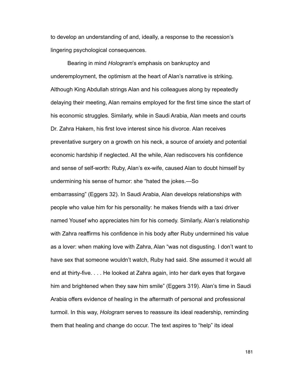to develop an understanding of and, ideally, a response to the recession's lingering psychological consequences.

 Bearing in mind *Hologram*'s emphasis on bankruptcy and underemployment, the optimism at the heart of Alan's narrative is striking. Although King Abdullah strings Alan and his colleagues along by repeatedly delaying their meeting, Alan remains employed for the first time since the start of his economic struggles. Similarly, while in Saudi Arabia, Alan meets and courts Dr. Zahra Hakem, his first love interest since his divorce. Alan receives preventative surgery on a growth on his neck, a source of anxiety and potential economic hardship if neglected. All the while, Alan rediscovers his confidence and sense of self-worth: Ruby, Alan's ex-wife, caused Alan to doubt himself by undermining his sense of humor: she "hated the jokes.—So embarrassing" (Eggers 32). In Saudi Arabia, Alan develops relationships with people who value him for his personality: he makes friends with a taxi driver named Yousef who appreciates him for his comedy. Similarly, Alan's relationship with Zahra reaffirms his confidence in his body after Ruby undermined his value as a lover: when making love with Zahra, Alan "was not disgusting. I don't want to have sex that someone wouldn't watch, Ruby had said. She assumed it would all end at thirty-five. . . . He looked at Zahra again, into her dark eyes that forgave him and brightened when they saw him smile" (Eggers 319). Alan's time in Saudi Arabia offers evidence of healing in the aftermath of personal and professional turmoil. In this way, *Hologram* serves to reassure its ideal readership, reminding them that healing and change do occur. The text aspires to "help" its ideal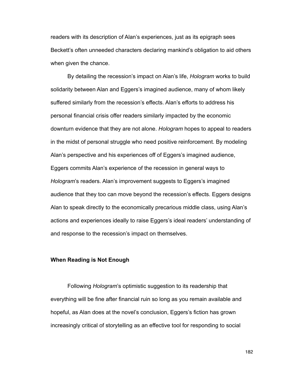readers with its description of Alan's experiences, just as its epigraph sees Beckett's often unneeded characters declaring mankind's obligation to aid others when given the chance.

 By detailing the recession's impact on Alan's life, *Hologram* works to build solidarity between Alan and Eggers's imagined audience, many of whom likely suffered similarly from the recession's effects. Alan's efforts to address his personal financial crisis offer readers similarly impacted by the economic downturn evidence that they are not alone. *Hologram* hopes to appeal to readers in the midst of personal struggle who need positive reinforcement. By modeling Alan's perspective and his experiences off of Eggers's imagined audience, Eggers commits Alan's experience of the recession in general ways to *Hologram*'s readers. Alan's improvement suggests to Eggers's imagined audience that they too can move beyond the recession's effects. Eggers designs Alan to speak directly to the economically precarious middle class, using Alan's actions and experiences ideally to raise Eggers's ideal readers' understanding of and response to the recession's impact on themselves.

#### **When Reading is Not Enough**

 Following *Hologram*'s optimistic suggestion to its readership that everything will be fine after financial ruin so long as you remain available and hopeful, as Alan does at the novel's conclusion, Eggers's fiction has grown increasingly critical of storytelling as an effective tool for responding to social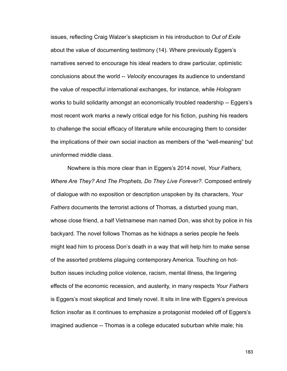issues, reflecting Craig Walzer's skepticism in his introduction to *Out of Exile*  about the value of documenting testimony (14). Where previously Eggers's narratives served to encourage his ideal readers to draw particular, optimistic conclusions about the world -- *Velocity* encourages its audience to understand the value of respectful international exchanges, for instance, while *Hologram*  works to build solidarity amongst an economically troubled readership -- Eggers's most recent work marks a newly critical edge for his fiction, pushing his readers to challenge the social efficacy of literature while encouraging them to consider the implications of their own social inaction as members of the "well-meaning" but uninformed middle class.

 Nowhere is this more clear than in Eggers's 2014 novel, *Your Fathers, Where Are They? And The Prophets, Do They Live Forever?*. Composed entirely of dialogue with no exposition or description unspoken by its characters, *Your Fathers* documents the terrorist actions of Thomas, a disturbed young man, whose close friend, a half Vietnamese man named Don, was shot by police in his backyard. The novel follows Thomas as he kidnaps a series people he feels might lead him to process Don's death in a way that will help him to make sense of the assorted problems plaguing contemporary America. Touching on hotbutton issues including police violence, racism, mental illness, the lingering effects of the economic recession, and austerity, in many respects *Your Fathers*  is Eggers's most skeptical and timely novel. It sits in line with Eggers's previous fiction insofar as it continues to emphasize a protagonist modeled off of Eggers's imagined audience -- Thomas is a college educated suburban white male; his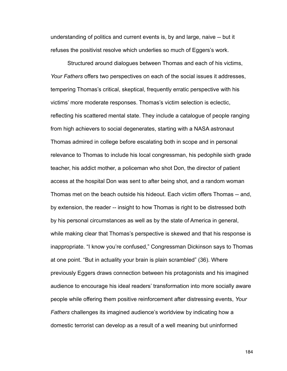understanding of politics and current events is, by and large, naive -- but it refuses the positivist resolve which underlies so much of Eggers's work.

 Structured around dialogues between Thomas and each of his victims, *Your Fathers* offers two perspectives on each of the social issues it addresses, tempering Thomas's critical, skeptical, frequently erratic perspective with his victims' more moderate responses. Thomas's victim selection is eclectic, reflecting his scattered mental state. They include a catalogue of people ranging from high achievers to social degenerates, starting with a NASA astronaut Thomas admired in college before escalating both in scope and in personal relevance to Thomas to include his local congressman, his pedophile sixth grade teacher, his addict mother, a policeman who shot Don, the director of patient access at the hospital Don was sent to after being shot, and a random woman Thomas met on the beach outside his hideout. Each victim offers Thomas -- and, by extension, the reader -- insight to how Thomas is right to be distressed both by his personal circumstances as well as by the state of America in general, while making clear that Thomas's perspective is skewed and that his response is inappropriate. "I know you're confused," Congressman Dickinson says to Thomas at one point. "But in actuality your brain is plain scrambled" (36). Where previously Eggers draws connection between his protagonists and his imagined audience to encourage his ideal readers' transformation into more socially aware people while offering them positive reinforcement after distressing events, *Your Fathers* challenges its imagined audience's worldview by indicating how a domestic terrorist can develop as a result of a well meaning but uninformed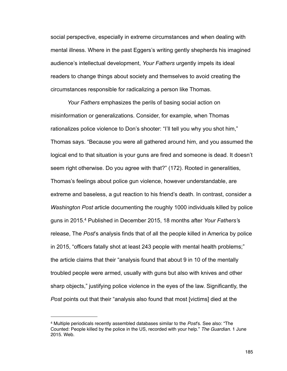social perspective, especially in extreme circumstances and when dealing with mental illness. Where in the past Eggers's writing gently shepherds his imagined audience's intellectual development, *Your Fathers* urgently impels its ideal readers to change things about society and themselves to avoid creating the circumstances responsible for radicalizing a person like Thomas.

*Your Fathers* emphasizes the perils of basing social action on misinformation or generalizations. Consider, for example, when Thomas rationalizes police violence to Don's shooter: "I'll tell you why you shot him," Thomas says. "Because you were all gathered around him, and you assumed the logical end to that situation is your guns are fired and someone is dead. It doesn't seem right otherwise. Do you agree with that?" (172). Rooted in generalities, Thomas's feelings about police gun violence, however understandable, are extreme and baseless, a gut reaction to his friend's death. In contrast, consider a *Washington Post* article documenting the roughly 1000 individuals killed by police guns in 2015[.4](#page-190-0) Published in December 2015, 18 months after *Your Fathers'*s release, The *Post*'s analysis finds that of all the people killed in America by police in 2015, "officers fatally shot at least 243 people with mental health problems;" the article claims that their "analysis found that about 9 in 10 of the mentally troubled people were armed, usually with guns but also with knives and other sharp objects," justifying police violence in the eyes of the law. Significantly, the *Post* points out that their "analysis also found that most [victims] died at the

<span id="page-190-0"></span><sup>4</sup> Multiple periodicals recently assembled databases similar to the *Post*'s. See also: "The Counted: People killed by the police in the US, recorded with your help." *The Guardian*. 1 June 2015. Web.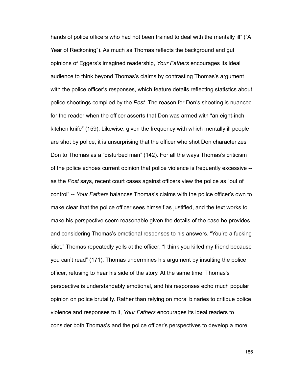hands of police officers who had not been trained to deal with the mentally ill" ("A Year of Reckoning"). As much as Thomas reflects the background and gut opinions of Eggers's imagined readership, *Your Fathers* encourages its ideal audience to think beyond Thomas's claims by contrasting Thomas's argument with the police officer's responses, which feature details reflecting statistics about police shootings compiled by the *Post*. The reason for Don's shooting is nuanced for the reader when the officer asserts that Don was armed with "an eight-inch kitchen knife" (159). Likewise, given the frequency with which mentally ill people are shot by police, it is unsurprising that the officer who shot Don characterizes Don to Thomas as a "disturbed man" (142). For all the ways Thomas's criticism of the police echoes current opinion that police violence is frequently excessive - as the *Post* says, recent court cases against officers view the police as "out of control" -- *Your Fathers* balances Thomas's claims with the police officer's own to make clear that the police officer sees himself as justified, and the text works to make his perspective seem reasonable given the details of the case he provides and considering Thomas's emotional responses to his answers. "You're a fucking idiot," Thomas repeatedly yells at the officer; "I think you killed my friend because you can't read" (171). Thomas undermines his argument by insulting the police officer, refusing to hear his side of the story. At the same time, Thomas's perspective is understandably emotional, and his responses echo much popular opinion on police brutality. Rather than relying on moral binaries to critique police violence and responses to it, *Your Fathers* encourages its ideal readers to consider both Thomas's and the police officer's perspectives to develop a more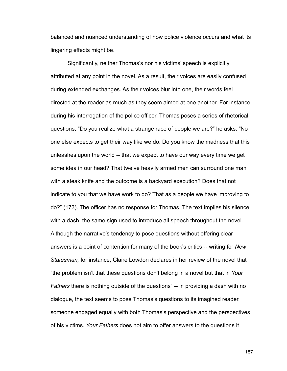balanced and nuanced understanding of how police violence occurs and what its lingering effects might be.

 Significantly, neither Thomas's nor his victims' speech is explicitly attributed at any point in the novel. As a result, their voices are easily confused during extended exchanges. As their voices blur into one, their words feel directed at the reader as much as they seem aimed at one another. For instance, during his interrogation of the police officer, Thomas poses a series of rhetorical questions: "Do you realize what a strange race of people we are?" he asks. "No one else expects to get their way like we do. Do you know the madness that this unleashes upon the world -- that we expect to have our way every time we get some idea in our head? That twelve heavily armed men can surround one man with a steak knife and the outcome is a backyard execution? Does that not indicate to you that we have work to do? That as a people we have improving to do?" (173). The officer has no response for Thomas. The text implies his silence with a dash, the same sign used to introduce all speech throughout the novel. Although the narrative's tendency to pose questions without offering clear answers is a point of contention for many of the book's critics -- writing for *New Statesman,* for instance, Claire Lowdon declares in her review of the novel that "the problem isn't that these questions don't belong in a novel but that in *Your Fathers* there is nothing outside of the questions" -- in providing a dash with no dialogue, the text seems to pose Thomas's questions to its imagined reader, someone engaged equally with both Thomas's perspective and the perspectives of his victims. *Your Fathers* does not aim to offer answers to the questions it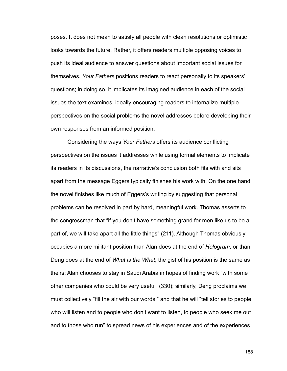poses. It does not mean to satisfy all people with clean resolutions or optimistic looks towards the future. Rather, it offers readers multiple opposing voices to push its ideal audience to answer questions about important social issues for themselves. *Your Fathers* positions readers to react personally to its speakers' questions; in doing so, it implicates its imagined audience in each of the social issues the text examines, ideally encouraging readers to internalize multiple perspectives on the social problems the novel addresses before developing their own responses from an informed position.

 Considering the ways *Your Fathers* offers its audience conflicting perspectives on the issues it addresses while using formal elements to implicate its readers in its discussions, the narrative's conclusion both fits with and sits apart from the message Eggers typically finishes his work with. On the one hand, the novel finishes like much of Eggers's writing by suggesting that personal problems can be resolved in part by hard, meaningful work. Thomas asserts to the congressman that "if you don't have something grand for men like us to be a part of, we will take apart all the little things" (211). Although Thomas obviously occupies a more militant position than Alan does at the end of *Hologram*, or than Deng does at the end of *What is the What*, the gist of his position is the same as theirs: Alan chooses to stay in Saudi Arabia in hopes of finding work "with some other companies who could be very useful" (330); similarly, Deng proclaims we must collectively "fill the air with our words," and that he will "tell stories to people who will listen and to people who don't want to listen, to people who seek me out and to those who run" to spread news of his experiences and of the experiences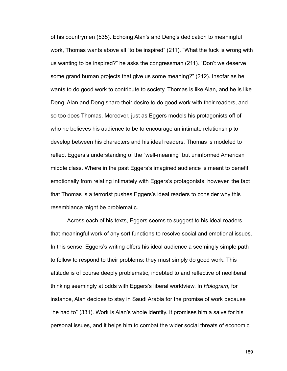of his countrymen (535). Echoing Alan's and Deng's dedication to meaningful work, Thomas wants above all "to be inspired" (211). "What the fuck is wrong with us wanting to be inspired?" he asks the congressman (211). "Don't we deserve some grand human projects that give us some meaning?" (212). Insofar as he wants to do good work to contribute to society, Thomas is like Alan, and he is like Deng. Alan and Deng share their desire to do good work with their readers, and so too does Thomas. Moreover, just as Eggers models his protagonists off of who he believes his audience to be to encourage an intimate relationship to develop between his characters and his ideal readers, Thomas is modeled to reflect Eggers's understanding of the "well-meaning" but uninformed American middle class. Where in the past Eggers's imagined audience is meant to benefit emotionally from relating intimately with Eggers's protagonists, however, the fact that Thomas is a terrorist pushes Eggers's ideal readers to consider why this resemblance might be problematic.

 Across each of his texts, Eggers seems to suggest to his ideal readers that meaningful work of any sort functions to resolve social and emotional issues. In this sense, Eggers's writing offers his ideal audience a seemingly simple path to follow to respond to their problems: they must simply do good work. This attitude is of course deeply problematic, indebted to and reflective of neoliberal thinking seemingly at odds with Eggers's liberal worldview. In *Hologram*, for instance, Alan decides to stay in Saudi Arabia for the promise of work because "he had to" (331). Work is Alan's whole identity. It promises him a salve for his personal issues, and it helps him to combat the wider social threats of economic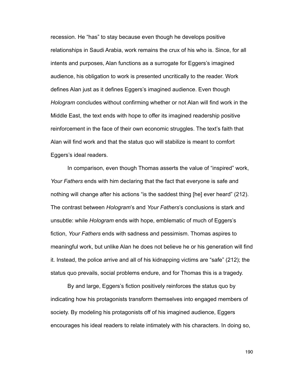recession. He "has" to stay because even though he develops positive relationships in Saudi Arabia, work remains the crux of his who is. Since, for all intents and purposes, Alan functions as a surrogate for Eggers's imagined audience, his obligation to work is presented uncritically to the reader. Work defines Alan just as it defines Eggers's imagined audience. Even though *Hologram* concludes without confirming whether or not Alan will find work in the Middle East, the text ends with hope to offer its imagined readership positive reinforcement in the face of their own economic struggles. The text's faith that Alan will find work and that the status quo will stabilize is meant to comfort Eggers's ideal readers.

 In comparison, even though Thomas asserts the value of "inspired" work, *Your Fathers* ends with him declaring that the fact that everyone is safe and nothing will change after his actions "is the saddest thing [he] ever heard" (212). The contrast between *Hologram*'s and *Your Fathers*'s conclusions is stark and unsubtle: while *Hologram* ends with hope, emblematic of much of Eggers's fiction, *Your Fathers* ends with sadness and pessimism. Thomas aspires to meaningful work, but unlike Alan he does not believe he or his generation will find it. Instead, the police arrive and all of his kidnapping victims are "safe" (212); the status quo prevails, social problems endure, and for Thomas this is a tragedy.

 By and large, Eggers's fiction positively reinforces the status quo by indicating how his protagonists transform themselves into engaged members of society. By modeling his protagonists off of his imagined audience, Eggers encourages his ideal readers to relate intimately with his characters. In doing so,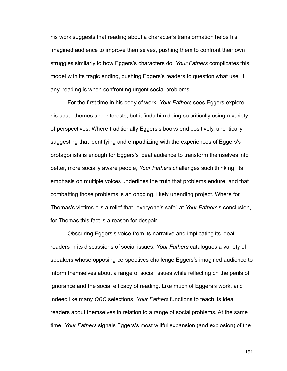his work suggests that reading about a character's transformation helps his imagined audience to improve themselves, pushing them to confront their own struggles similarly to how Eggers's characters do. *Your Fathers* complicates this model with its tragic ending, pushing Eggers's readers to question what use, if any, reading is when confronting urgent social problems.

 For the first time in his body of work, *Your Fathers* sees Eggers explore his usual themes and interests, but it finds him doing so critically using a variety of perspectives. Where traditionally Eggers's books end positively, uncritically suggesting that identifying and empathizing with the experiences of Eggers's protagonists is enough for Eggers's ideal audience to transform themselves into better, more socially aware people, *Your Fathers* challenges such thinking. Its emphasis on multiple voices underlines the truth that problems endure, and that combatting those problems is an ongoing, likely unending project. Where for Thomas's victims it is a relief that "everyone's safe" at *Your Fathers*'s conclusion, for Thomas this fact is a reason for despair.

 Obscuring Eggers's voice from its narrative and implicating its ideal readers in its discussions of social issues, *Your Fathers* catalogues a variety of speakers whose opposing perspectives challenge Eggers's imagined audience to inform themselves about a range of social issues while reflecting on the perils of ignorance and the social efficacy of reading. Like much of Eggers's work, and indeed like many *OBC* selections, *Your Fathers* functions to teach its ideal readers about themselves in relation to a range of social problems. At the same time, *Your Fathers* signals Eggers's most willful expansion (and explosion) of the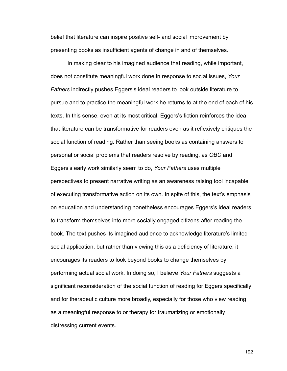belief that literature can inspire positive self- and social improvement by presenting books as insufficient agents of change in and of themselves.

 In making clear to his imagined audience that reading, while important, does not constitute meaningful work done in response to social issues, *Your Fathers* indirectly pushes Eggers's ideal readers to look outside literature to pursue and to practice the meaningful work he returns to at the end of each of his texts. In this sense, even at its most critical, Eggers's fiction reinforces the idea that literature can be transformative for readers even as it reflexively critiques the social function of reading. Rather than seeing books as containing answers to personal or social problems that readers resolve by reading, as *OBC* and Eggers's early work similarly seem to do, *Your Fathers* uses multiple perspectives to present narrative writing as an awareness raising tool incapable of executing transformative action on its own. In spite of this, the text's emphasis on education and understanding nonetheless encourages Eggers's ideal readers to transform themselves into more socially engaged citizens after reading the book. The text pushes its imagined audience to acknowledge literature's limited social application, but rather than viewing this as a deficiency of literature, it encourages its readers to look beyond books to change themselves by performing actual social work. In doing so, I believe *Your Fathers* suggests a significant reconsideration of the social function of reading for Eggers specifically and for therapeutic culture more broadly, especially for those who view reading as a meaningful response to or therapy for traumatizing or emotionally distressing current events.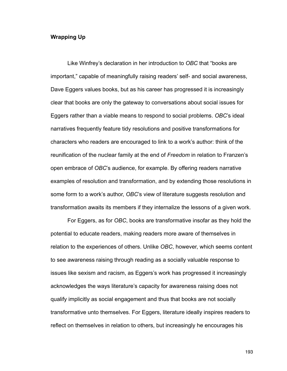## **Wrapping Up**

 Like Winfrey's declaration in her introduction to *OBC* that "books are important," capable of meaningfully raising readers' self- and social awareness, Dave Eggers values books, but as his career has progressed it is increasingly clear that books are only the gateway to conversations about social issues for Eggers rather than a viable means to respond to social problems. *OBC*'s ideal narratives frequently feature tidy resolutions and positive transformations for characters who readers are encouraged to link to a work's author: think of the reunification of the nuclear family at the end of *Freedom* in relation to Franzen's open embrace of *OBC*'s audience, for example. By offering readers narrative examples of resolution and transformation, and by extending those resolutions in some form to a work's author, *OBC*'s view of literature suggests resolution and transformation awaits its members if they internalize the lessons of a given work.

 For Eggers, as for *OBC*, books are transformative insofar as they hold the potential to educate readers, making readers more aware of themselves in relation to the experiences of others. Unlike *OBC*, however, which seems content to see awareness raising through reading as a socially valuable response to issues like sexism and racism, as Eggers's work has progressed it increasingly acknowledges the ways literature's capacity for awareness raising does not qualify implicitly as social engagement and thus that books are not socially transformative unto themselves. For Eggers, literature ideally inspires readers to reflect on themselves in relation to others, but increasingly he encourages his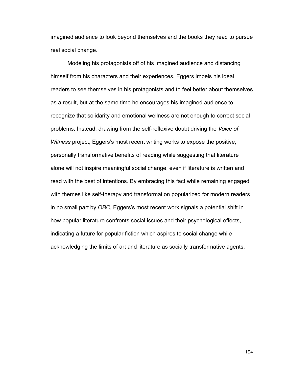imagined audience to look beyond themselves and the books they read to pursue real social change.

 Modeling his protagonists off of his imagined audience and distancing himself from his characters and their experiences, Eggers impels his ideal readers to see themselves in his protagonists and to feel better about themselves as a result, but at the same time he encourages his imagined audience to recognize that solidarity and emotional wellness are not enough to correct social problems. Instead, drawing from the self-reflexive doubt driving the *Voice of Witness* project, Eggers's most recent writing works to expose the positive, personally transformative benefits of reading while suggesting that literature alone will not inspire meaningful social change, even if literature is written and read with the best of intentions. By embracing this fact while remaining engaged with themes like self-therapy and transformation popularized for modern readers in no small part by *OBC*, Eggers's most recent work signals a potential shift in how popular literature confronts social issues and their psychological effects, indicating a future for popular fiction which aspires to social change while acknowledging the limits of art and literature as socially transformative agents.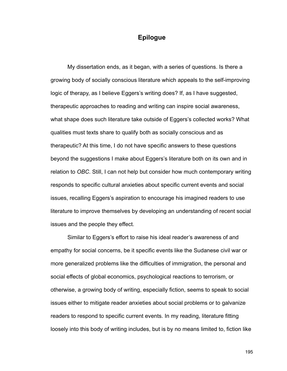## **Epilogue**

 My dissertation ends, as it began, with a series of questions. Is there a growing body of socially conscious literature which appeals to the self-improving logic of therapy, as I believe Eggers's writing does? If, as I have suggested, therapeutic approaches to reading and writing can inspire social awareness, what shape does such literature take outside of Eggers's collected works? What qualities must texts share to qualify both as socially conscious and as therapeutic? At this time, I do not have specific answers to these questions beyond the suggestions I make about Eggers's literature both on its own and in relation to *OBC*. Still, I can not help but consider how much contemporary writing responds to specific cultural anxieties about specific current events and social issues, recalling Eggers's aspiration to encourage his imagined readers to use literature to improve themselves by developing an understanding of recent social issues and the people they effect.

 Similar to Eggers's effort to raise his ideal reader's awareness of and empathy for social concerns, be it specific events like the Sudanese civil war or more generalized problems like the difficulties of immigration, the personal and social effects of global economics, psychological reactions to terrorism, or otherwise, a growing body of writing, especially fiction, seems to speak to social issues either to mitigate reader anxieties about social problems or to galvanize readers to respond to specific current events. In my reading, literature fitting loosely into this body of writing includes, but is by no means limited to, fiction like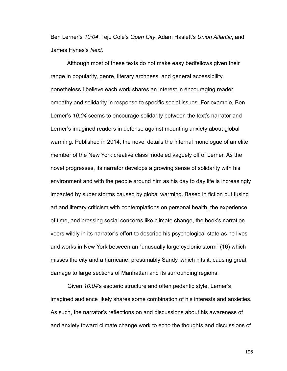Ben Lerner's *10:04*, Teju Cole's *Open City*, Adam Haslett's *Union Atlantic*, and James Hynes's *Next.*

 Although most of these texts do not make easy bedfellows given their range in popularity, genre, literary archness, and general accessibility, nonetheless I believe each work shares an interest in encouraging reader empathy and solidarity in response to specific social issues. For example, Ben Lerner's *10:04* seems to encourage solidarity between the text's narrator and Lerner's imagined readers in defense against mounting anxiety about global warming. Published in 2014, the novel details the internal monologue of an elite member of the New York creative class modeled vaguely off of Lerner. As the novel progresses, its narrator develops a growing sense of solidarity with his environment and with the people around him as his day to day life is increasingly impacted by super storms caused by global warming. Based in fiction but fusing art and literary criticism with contemplations on personal health, the experience of time, and pressing social concerns like climate change, the book's narration veers wildly in its narrator's effort to describe his psychological state as he lives and works in New York between an "unusually large cyclonic storm" (16) which misses the city and a hurricane, presumably Sandy, which hits it, causing great damage to large sections of Manhattan and its surrounding regions.

 Given *10:04*'s esoteric structure and often pedantic style, Lerner's imagined audience likely shares some combination of his interests and anxieties. As such, the narrator's reflections on and discussions about his awareness of and anxiety toward climate change work to echo the thoughts and discussions of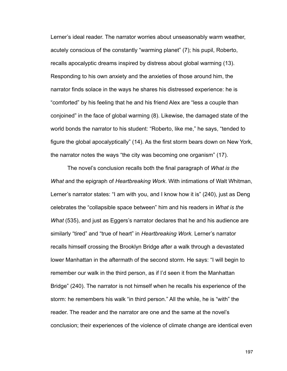Lerner's ideal reader. The narrator worries about unseasonably warm weather, acutely conscious of the constantly "warming planet" (7); his pupil, Roberto, recalls apocalyptic dreams inspired by distress about global warming (13). Responding to his own anxiety and the anxieties of those around him, the narrator finds solace in the ways he shares his distressed experience: he is "comforted" by his feeling that he and his friend Alex are "less a couple than conjoined" in the face of global warming (8). Likewise, the damaged state of the world bonds the narrator to his student: "Roberto, like me," he says, "tended to figure the global apocalyptically" (14). As the first storm bears down on New York, the narrator notes the ways "the city was becoming one organism" (17).

 The novel's conclusion recalls both the final paragraph of *What is the What* and the epigraph of *Heartbreaking Work*. With intimations of Walt Whitman, Lerner's narrator states: "I am with you, and I know how it is" (240), just as Deng celebrates the "collapsible space between" him and his readers in *What is the What* (535), and just as Eggers's narrator declares that he and his audience are similarly "tired" and "true of heart" in *Heartbreaking Work.* Lerner's narrator recalls himself crossing the Brooklyn Bridge after a walk through a devastated lower Manhattan in the aftermath of the second storm. He says: "I will begin to remember our walk in the third person, as if I'd seen it from the Manhattan Bridge" (240). The narrator is not himself when he recalls his experience of the storm: he remembers his walk "in third person." All the while, he is "with" the reader. The reader and the narrator are one and the same at the novel's conclusion; their experiences of the violence of climate change are identical even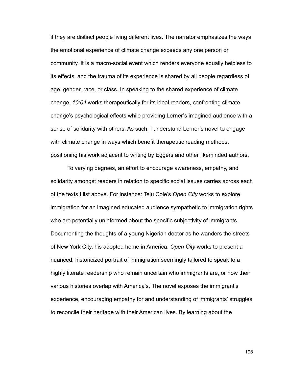if they are distinct people living different lives. The narrator emphasizes the ways the emotional experience of climate change exceeds any one person or community. It is a macro-social event which renders everyone equally helpless to its effects, and the trauma of its experience is shared by all people regardless of age, gender, race, or class. In speaking to the shared experience of climate change, *10:04* works therapeutically for its ideal readers, confronting climate change's psychological effects while providing Lerner's imagined audience with a sense of solidarity with others. As such, I understand Lerner's novel to engage with climate change in ways which benefit therapeutic reading methods, positioning his work adjacent to writing by Eggers and other likeminded authors.

 To varying degrees, an effort to encourage awareness, empathy, and solidarity amongst readers in relation to specific social issues carries across each of the texts I list above. For instance: Teju Cole's *Open City* works to explore immigration for an imagined educated audience sympathetic to immigration rights who are potentially uninformed about the specific subjectivity of immigrants. Documenting the thoughts of a young Nigerian doctor as he wanders the streets of New York City, his adopted home in America, *Open City* works to present a nuanced, historicized portrait of immigration seemingly tailored to speak to a highly literate readership who remain uncertain who immigrants are, or how their various histories overlap with America's. The novel exposes the immigrant's experience, encouraging empathy for and understanding of immigrants' struggles to reconcile their heritage with their American lives. By learning about the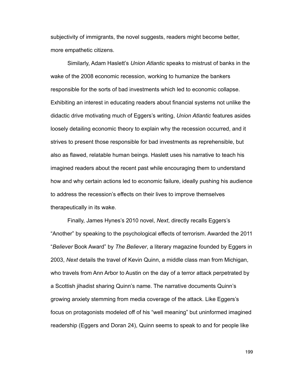subjectivity of immigrants, the novel suggests, readers might become better, more empathetic citizens.

 Similarly, Adam Haslett's *Union Atlantic* speaks to mistrust of banks in the wake of the 2008 economic recession, working to humanize the bankers responsible for the sorts of bad investments which led to economic collapse. Exhibiting an interest in educating readers about financial systems not unlike the didactic drive motivating much of Eggers's writing, *Union Atlantic* features asides loosely detailing economic theory to explain why the recession occurred, and it strives to present those responsible for bad investments as reprehensible, but also as flawed, relatable human beings. Haslett uses his narrative to teach his imagined readers about the recent past while encouraging them to understand how and why certain actions led to economic failure, ideally pushing his audience to address the recession's effects on their lives to improve themselves therapeutically in its wake.

 Finally, James Hynes's 2010 novel, *Next*, directly recalls Eggers's "Another" by speaking to the psychological effects of terrorism. Awarded the 2011 "*Believer* Book Award" by *The Believer*, a literary magazine founded by Eggers in 2003, *Next* details the travel of Kevin Quinn, a middle class man from Michigan, who travels from Ann Arbor to Austin on the day of a terror attack perpetrated by a Scottish jihadist sharing Quinn's name. The narrative documents Quinn's growing anxiety stemming from media coverage of the attack. Like Eggers's focus on protagonists modeled off of his "well meaning" but uninformed imagined readership (Eggers and Doran 24), Quinn seems to speak to and for people like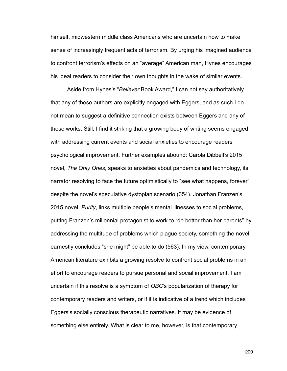himself, midwestern middle class Americans who are uncertain how to make sense of increasingly frequent acts of terrorism. By urging his imagined audience to confront terrorism's effects on an "average" American man, Hynes encourages his ideal readers to consider their own thoughts in the wake of similar events.

 Aside from Hynes's "*Believer* Book Award," I can not say authoritatively that any of these authors are explicitly engaged with Eggers, and as such I do not mean to suggest a definitive connection exists between Eggers and any of these works. Still, I find it striking that a growing body of writing seems engaged with addressing current events and social anxieties to encourage readers' psychological improvement. Further examples abound: Carola Dibbell's 2015 novel, *The Only Ones*, speaks to anxieties about pandemics and technology, its narrator resolving to face the future optimistically to "see what happens, forever" despite the novel's speculative dystopian scenario (354). Jonathan Franzen's 2015 novel, *Purity*, links multiple people's mental illnesses to social problems, putting Franzen's millennial protagonist to work to "do better than her parents" by addressing the multitude of problems which plague society, something the novel earnestly concludes "she might" be able to do (563). In my view, contemporary American literature exhibits a growing resolve to confront social problems in an effort to encourage readers to pursue personal and social improvement. I am uncertain if this resolve is a symptom of *OBC*'s popularization of therapy for contemporary readers and writers, or if it is indicative of a trend which includes Eggers's socially conscious therapeutic narratives. It may be evidence of something else entirely. What is clear to me, however, is that contemporary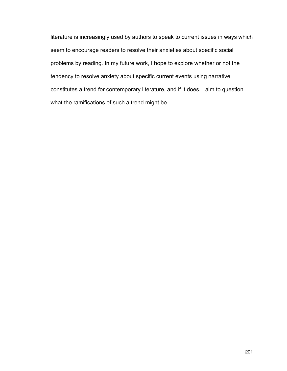literature is increasingly used by authors to speak to current issues in ways which seem to encourage readers to resolve their anxieties about specific social problems by reading. In my future work, I hope to explore whether or not the tendency to resolve anxiety about specific current events using narrative constitutes a trend for contemporary literature, and if it does, I aim to question what the ramifications of such a trend might be.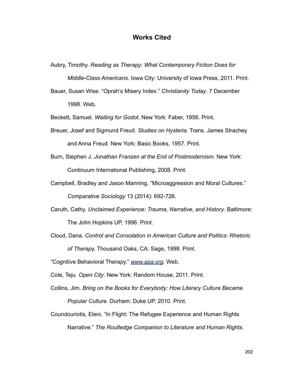# **Works Cited**

Aubry, Timothy. *Reading as Therapy: What Contemporary Fiction Does for* 

 *Middle-Class Americans*. Iowa City: University of Iowa Press, 2011. Print.

Bauer, Susan Wise. "Oprah's Misery Index." *Christianity Today*. 7 December 1998. Web.

Beckett, Samuel. *Waiting for Godot*. New York: Faber, 1956. Print.

- Breuer, Josef and Sigmund Freud. *Studies on Hysteria*. Trans. James Strachey and Anna Freud. New York: Basic Books, 1957. Print.
- Burn, Stephen J. *Jonathan Franzen at the End of Postmodernism*. New York: Continuum International Publishing, 2008. Print.
- Campbell, Bradley and Jason Manning. "Microaggression and Moral Cultures." *Comparative Sociology* 13 (2014): 692-726.
- Caruth, Cathy. *Unclaimed Experience: Trauma, Narrative, and History*. Baltimore: The John Hopkins UP, 1996. Print.
- Cloud, Dana. *Control and Consolation in American Culture and Politics: Rhetoric of Therap*y. Thousand Oaks, CA: Sage, 1998. Print.

"Cognitive Behavioral Therapy." *[www.apa.org](http://www.apa.org)*. Web.

Cole, Teju. *Open City*. New York: Random House, 2011. Print.

- Collins, Jim. *Bring on the Books for Everybody: How Literary Culture Became Popular Culture*. Durham: Duke UP, 2010. Print.
- Coundouriotis, Eleni. "In Flight: The Refugee Experience and Human Rights Narrative." *The Routledge Companion to Literature and Human Rights.*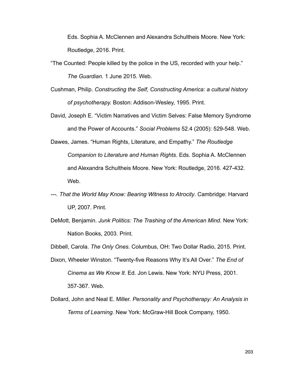Eds. Sophia A. McClennen and Alexandra Schultheis Moore. New York: Routledge, 2016. Print.

- "The Counted: People killed by the police in the US, recorded with your help." *The Guardian*. 1 June 2015. Web.
- Cushman, Philip. *Constructing the Self, Constructing America: a cultural history of psychotherapy.* Boston: Addison-Wesley, 1995. Print.
- David, Joseph E. "Victim Narratives and Victim Selves: False Memory Syndrome and the Power of Accounts." *Social Problems* 52.4 (2005): 529-548. Web.
- Dawes, James. "Human Rights, Literature, and Empathy." *The Routledge Companion to Literature and Human Rights*. Eds. Sophia A. McClennen and Alexandra Schultheis Moore. New York: Routledge, 2016. 427-432. Web.
- *---. That the World May Know: Bearing Witness to Atrocity*. Cambridge: Harvard UP, 2007. Print.
- DeMott, Benjamin. *Junk Politics: The Trashing of the American Mind*. New York: Nation Books, 2003. Print.

Dibbell, Carola. *The Only Ones*. Columbus, OH: Two Dollar Radio, 2015. Print.

- Dixon, Wheeler Winston. "Twenty-five Reasons Why It's All Over." *The End of Cinema as We Know It.* Ed. Jon Lewis. New York: NYU Press, 2001. 357-367. Web.
- Dollard, John and Neal E. Miller. *Personality and Psychotherapy: An Analysis in Terms of Learning*. New York: McGraw-Hill Book Company, 1950.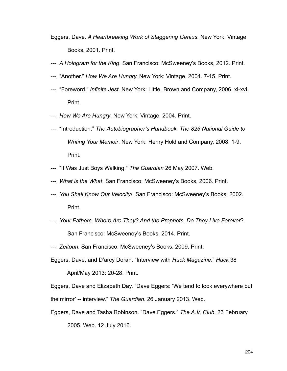- Eggers, Dave. *A Heartbreaking Work of Staggering Genius.* New York: Vintage Books, 2001. Print.
- ---. *A Hologram for the King*. San Francisco: McSweeney's Books, 2012. Print.
- ---. "Another." *How We Are Hungry.* New York: Vintage, 2004. 7-15. Print.
- ---. "Foreword." *Infinite Jest*. New York: Little, Brown and Company, 2006. xi-xvi. Print.
- ---. *How We Are Hungry*. New York: Vintage, 2004. Print.
- ---. "Introduction." *The Autobiographer's Handbook: The 826 National Guide to Writing Your Memoir*. New York: Henry Hold and Company, 2008. 1-9. Print.
- ---. "It Was Just Boys Walking." *The Guardian* 26 May 2007. Web.
- ---. *What is the What*. San Francisco: McSweeney's Books, 2006. Print.
- ---. *You Shall Know Our Velocity!.* San Francisco: McSweeney's Books, 2002. Print.
- ---. *Your Fathers, Where Are They? And the Prophets, Do They Live Forever*?. San Francisco: McSweeney's Books, 2014. Print.
- ---. *Zeitoun*. San Francisco: McSweeney's Books, 2009. Print.
- Eggers, Dave, and D'arcy Doran. "Interview with *Huck Magazine*." *Huck* 38

April/May 2013: 20-28. Print.

Eggers, Dave and Elizabeth Day. "Dave Eggers: 'We tend to look everywhere but the mirror' -- interview." *The Guardian*. 26 January 2013. Web.

Eggers, Dave and Tasha Robinson. "Dave Eggers." *The A.V. Club*. 23 February 2005. Web. 12 July 2016.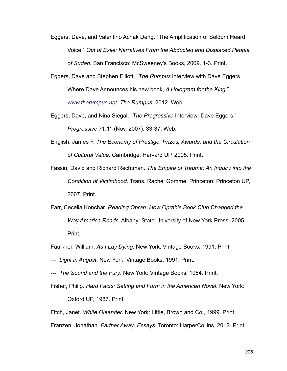Eggers, Dave, and Valentino Achak Deng. "The Amplification of Seldom Heard Voice." *Out of Exile: Narratives From the Abducted and Displaced People of Sudan*. San Francisco: McSweeney's Books, 2009. 1-3. Print.

Eggers, Dave and Stephen Elliott. "*The Rumpus* interview with Dave Eggers Where Dave Announces his new book, *A Hologram for the King*." *[www.therumpus](http://www.therumpus.net)*.*net*. *The Rumpus*, 2012. Web.

Eggers, Dave, and Nina Siegal. "*The Progressive* Interview: Dave Eggers." *Progressive* 71.11 (Nov. 2007): 33-37. Web.

- English, James F. *The Economy of Prestige: Prizes, Awards, and the Circulation of Cultural Value*. Cambridge: Harvard UP, 2005. Print.
- Fassin, David and Richard Rechtman. *The Empire of Trauma: An Inquiry into the Condition of Victimhood.* Trans. Rachel Gomme. Princeton: Princeton UP, 2007. Print.
- Farr, Cecelia Konchar. *Reading Oprah: How Oprah's Book Club Changed the Way America Reads*. Albany: State University of New York Press, 2005. Print.

Faulkner, William. *As I Lay Dying*. New York: Vintage Books, 1991. Print.

- ---. *Light in August*. New York: Vintage Books, 1991. Print.
- ---. *The Sound and the Fury*. New York: Vintage Books, 1984. Print.
- Fisher, Philip. *Hard Facts: Setting and Form in the American Novel*. New York:

Oxford UP, 1987. Print.

Fitch, Janet. *White Oleander.* New York: Little, Brown and Co., 1999. Print.

Franzen, Jonathan. *Farther Away: Essays*. Toronto: HarperCollins, 2012. Print.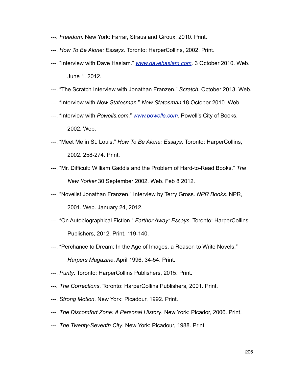- *---. Freedom*. New York: Farrar, Straus and Giroux, 2010. Print.
- ---. *How To Be Alone: Essays*. Toronto: HarperCollins, 2002. Print.
- ---. "Interview with Dave Haslam." *[www.davehaslam.com](http://www.davehaslam.com)*. 3 October 2010. Web. June 1, 2012.
- ---. "The Scratch Interview with Jonathan Franzen." *Scratch.* October 2013. Web.
- ---. "Interview with *New Statesman*." *New Statesman* 18 October 2010. Web.
- ---. "Interview with *Powells.com*." *[www.powells.com](http://www.powells.com)*. Powell's City of Books, 2002. Web.
- ---. "Meet Me in St. Louis." *How To Be Alone: Essays*. Toronto: HarperCollins, 2002. 258-274. Print.
- ---. "Mr. Difficult: William Gaddis and the Problem of Hard-to-Read Books." *The New Yorker* 30 September 2002. Web. Feb 8 2012.
- ---. "Novelist Jonathan Franzen." Interview by Terry Gross. *NPR Books*. NPR, 2001. Web. January 24, 2012.
- ---. "On Autobiographical Fiction." *Farther Away: Essays.* Toronto: HarperCollins Publishers, 2012. Print. 119-140.
- ---. "Perchance to Dream: In the Age of Images, a Reason to Write Novels." *Harpers Magazine*. April 1996. 34-54. Print.
- ---. *Purity*. Toronto: HarperCollins Publishers, 2015. Print.
- *---. The Corrections*. Toronto: HarperCollins Publishers, 2001. Print.
- ---. *Strong Motion*. New York: Picadour, 1992. Print.
- ---. *The Discomfort Zone: A Personal History*. New York: Picador, 2006. Print.
- ---. *The Twenty-Seventh City*. New York: Picadour, 1988. Print.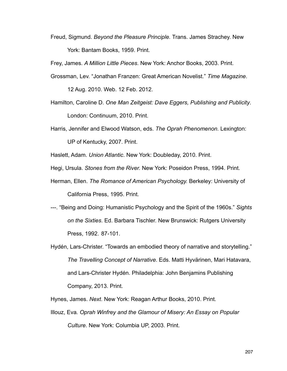Freud, Sigmund. *Beyond the Pleasure Principle.* Trans. James Strachey. New York: Bantam Books, 1959. Print.

Frey, James. *A Million Little Pieces*. New York: Anchor Books, 2003. Print.

Grossman, Lev. "Jonathan Franzen: Great American Novelist." *Time Magazine*.

12 Aug. 2010. Web. 12 Feb. 2012.

- Hamilton, Caroline D. *One Man Zeitgeist: Dave Eggers, Publishing and Publicity*. London: Continuum, 2010. Print.
- Harris, Jennifer and Elwood Watson, eds. *The Oprah Phenomenon.* Lexington:

UP of Kentucky, 2007. Print.

Haslett, Adam. *Union Atlantic*. New York: Doubleday, 2010. Print.

- Hegi, Ursula. *Stones from the River.* New York: Poseidon Press, 1994. Print.
- Herman, Ellen. *The Romance of American Psychology.* Berkeley: University of California Press, 1995. Print.
- ---. "Being and Doing: Humanistic Psychology and the Spirit of the 1960s." *Sights on the Sixties*. Ed. Barbara Tischler. New Brunswick: Rutgers University Press, 1992. 87-101.
- Hydén, Lars-Christer. "Towards an embodied theory of narrative and storytelling." *The Travelling Concept of Narrative*. Eds. Matti Hyvärinen, Mari Hatavara, and Lars-Christer Hydén. Philadelphia: John Benjamins Publishing Company, 2013. Print.
- Hynes, James. *Next*. New York: Reagan Arthur Books, 2010. Print.
- Illouz, Eva*. Oprah Winfrey and the Glamour of Misery: An Essay on Popular Culture*. New York: Columbia UP, 2003. Print.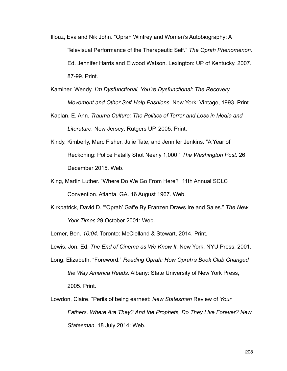- Illouz, Eva and Nik John. "Oprah Winfrey and Women's Autobiography: A Televisual Performance of the Therapeutic Self." *The Oprah Phenomenon*. Ed. Jennifer Harris and Elwood Watson. Lexington: UP of Kentucky, 2007. 87-99. Print.
- Kaminer, Wendy. *I'm Dysfunctional, You're Dysfunctional: The Recovery Movement and Other Self-Help Fashions*. New York: Vintage, 1993. Print.
- Kaplan, E. Ann. *Trauma Culture: The Politics of Terror and Loss in Media and Literature*. New Jersey: Rutgers UP, 2005. Print.
- Kindy, Kimberly, Marc Fisher, Julie Tate, and Jennifer Jenkins. "A Year of Reckoning: Police Fatally Shot Nearly 1,000." *The Washington Post*. 26 December 2015. Web.
- King, Martin Luther. "Where Do We Go From Here?" 11th Annual SCLC Convention. Atlanta, GA. 16 August 1967. Web.
- Kirkpatrick, David D. "'Oprah' Gaffe By Franzen Draws Ire and Sales." *The New York Times* 29 October 2001: Web.

Lerner, Ben. *10:04*. Toronto: McClelland & Stewart, 2014. Print.

Lewis, Jon, Ed. *The End of Cinema as We Know It.* New York: NYU Press, 2001.

- Long, Elizabeth. "Foreword." *Reading Oprah: How Oprah's Book Club Changed the Way America Reads*. Albany: State University of New York Press, 2005. Print.
- Lowdon, Claire. "Perils of being earnest: *New Statesman* Review of *Your Fathers, Where Are They? And the Prophets, Do They Live Forever? New Statesman.* 18 July 2014: Web.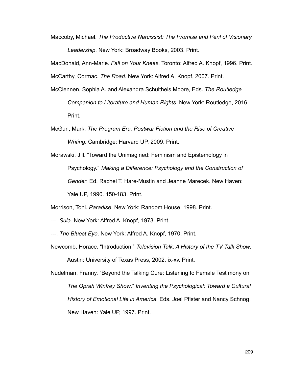Maccoby, Michael. *The Productive Narcissist: The Promise and Peril of Visionary Leadership*. New York: Broadway Books, 2003. Print.

MacDonald, Ann-Marie. *Fall on Your Knees*. Toronto: Alfred A. Knopf, 1996. Print.

McCarthy, Cormac. *The Road*. New York: Alfred A. Knopf, 2007. Print.

- McClennen, Sophia A. and Alexandra Schultheis Moore, Eds. *The Routledge Companion to Literature and Human Rights*. New York: Routledge, 2016. Print.
- McGurl, Mark. *The Program Era: Postwar Fiction and the Rise of Creative Writing*. Cambridge: Harvard UP, 2009. Print.
- Morawski, Jill. "Toward the Unimagined: Feminism and Epistemology in Psychology." *Making a Difference: Psychology and the Construction of Gender*. Ed. Rachel T. Hare-Mustin and Jeanne Marecek. New Haven: Yale UP, 1990. 150-183. Print.

Morrison, Toni. *Paradise*. New York: Random House, 1998. Print.

- ---. *Sula*. New York: Alfred A. Knopf, 1973. Print.
- ---. *The Bluest Eye*. New York: Alfred A. Knopf, 1970. Print.
- Newcomb, Horace. "Introduction." *Television Talk: A History of the TV Talk Show*. Austin: University of Texas Press, 2002. ix-xv. Print.

Nudelman, Franny. "Beyond the Talking Cure: Listening to Female Testimony on *The Oprah Winfrey Show*." *Inventing the Psychological: Toward a Cultural History of Emotional Life in America.* Eds. Joel Pfister and Nancy Schnog. New Haven: Yale UP, 1997. Print.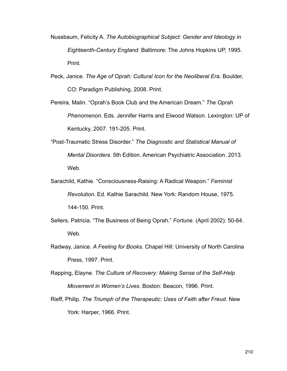- Nussbaum, Felicity A. *The Autobiographical Subject: Gender and Ideology in Eighteenth-Century England*. Baltimore: The Johns Hopkins UP, 1995. Print.
- Peck, Janice. *The Age of Oprah: Cultural Icon for the Neoliberal Era*. Boulder, CO: Paradigm Publishing, 2008. Print.
- Pereira, Malin. "Oprah's Book Club and the American Dream." *The Oprah Phenomenon.* Eds. Jennifer Harris and Elwood Watson. Lexington: UP of Kentucky, 2007. 191-205. Print.
- "Post-Traumatic Stress Disorder." *The Diagnostic and Statistical Manual of Mental Disorders*. 5th Edition. American Psychiatric Association. 2013. Web.
- Sarachild, Kathie. "Consciousness-Raising: A Radical Weapon." *Feminist Revolution*. Ed. Kathie Sarachild. New York: Random House, 1975. 144-150. Print.
- Sellers, Patricia. "The Business of Being Oprah." *Fortune*. (April 2002): 50-64. Web.
- Radway, Janice. *A Feeling for Books*. Chapel Hill: University of North Carolina Press, 1997. Print.
- Rapping, Elayne. *The Culture of Recovery: Making Sense of the Self-Help Movement in Women's Lives*. Boston: Beacon, 1996. Print.
- Rieff, Philip. *The Triumph of the Therapeutic: Uses of Faith after Freud.* New York: Harper, 1966. Print.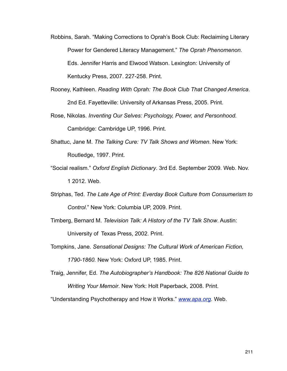- Robbins, Sarah. "Making Corrections to Oprah's Book Club: Reclaiming Literary Power for Gendered Literacy Management." *The Oprah Phenomenon.*  Eds. Jennifer Harris and Elwood Watson. Lexington: University of Kentucky Press, 2007. 227-258. Print.
- Rooney, Kathleen. *Reading With Oprah: The Book Club That Changed America*. 2nd Ed. Fayetteville: University of Arkansas Press, 2005. Print.
- Rose, Nikolas. *Inventing Our Selves: Psychology, Power, and Personhood.*  Cambridge: Cambridge UP, 1996. Print.
- Shattuc, Jane M. *The Talking Cure: TV Talk Shows and Women*. New York: Routledge, 1997. Print.
- "Social realism." *Oxford English Dictionary*. 3rd Ed. September 2009. Web. Nov. 1 2012. Web.
- Striphas, Ted. *The Late Age of Print: Everday Book Culture from Consumerism to Control*." New York: Columbia UP, 2009. Print.
- Timberg, Bernard M. *Television Talk: A History of the TV Talk Show*. Austin: University of Texas Press, 2002. Print.
- Tompkins, Jane. *Sensational Designs: The Cultural Work of American Fiction, 1790-1860.* New York: Oxford UP, 1985. Print.
- Traig, Jennifer, Ed. *The Autobiographer's Handbook: The 826 National Guide to Writing Your Memoir*. New York: Holt Paperback, 2008. Print.

"Understanding Psychotherapy and How it Works." *[www.apa.org](http://www.apa.org)*. Web.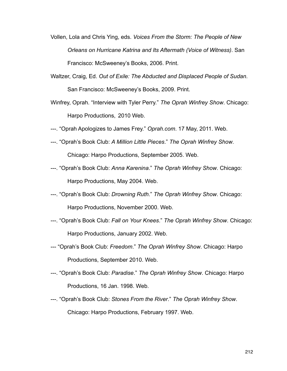- Vollen, Lola and Chris Ying, eds. *Voices From the Storm: The People of New Orleans on Hurricane Katrina and Its Aftermath (Voice of Witness)*. San Francisco: McSweeney's Books, 2006. Print.
- Waltzer, Craig, Ed. *Out of Exile: The Abducted and Displaced People of Sudan*. San Francisco: McSweeney's Books, 2009. Print.
- Winfrey, Oprah. "Interview with Tyler Perry." *The Oprah Winfrey Show*. Chicago: Harpo Productions, 2010 Web.
- ---. "Oprah Apologizes to James Frey." *Oprah.com*. 17 May, 2011. Web.
- ---. "Oprah's Book Club: *A Million Little Pieces*." *The Oprah Winfrey Show*. Chicago: Harpo Productions, September 2005. Web.
- ---. "Oprah's Book Club: *Anna Karenina*." *The Oprah Winfrey Show*. Chicago: Harpo Productions, May 2004. Web.
- ---. "Oprah's Book Club: *Drowning Ruth*." *The Oprah Winfrey Show*. Chicago: Harpo Productions, November 2000. Web.
- ---. "Oprah's Book Club: *Fall on Your Knees*." *The Oprah Winfrey Show*. Chicago: Harpo Productions, January 2002. Web.
- --- "Oprah's Book Club: *Freedom*." *The Oprah Winfrey Show*. Chicago: Harpo Productions, September 2010. Web.
- ---. "Oprah's Book Club: *Paradise*." *The Oprah Winfrey Show*. Chicago: Harpo Productions, 16 Jan. 1998. Web.
- ---. "Oprah's Book Club: *Stones From the River*." *The Oprah Winfrey Show*. Chicago: Harpo Productions, February 1997. Web.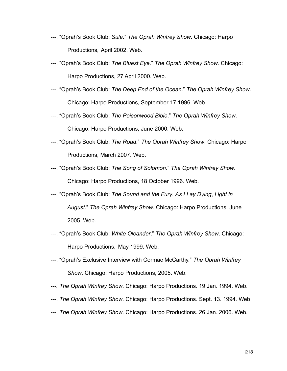- ---. "Oprah's Book Club: *Sula*." *The Oprah Winfrey Show*. Chicago: Harpo Productions, April 2002. Web.
- ---. "Oprah's Book Club: *The Bluest Eye*." *The Oprah Winfrey Show*. Chicago: Harpo Productions, 27 April 2000. Web.
- ---. "Oprah's Book Club: *The Deep End of the Ocean*." *The Oprah Winfrey Show*. Chicago: Harpo Productions, September 17 1996. Web.
- ---. "Oprah's Book Club: *The Poisonwood Bible*." *The Oprah Winfrey Show*. Chicago: Harpo Productions, June 2000. Web.
- ---. "Oprah's Book Club: *The Road*." *The Oprah Winfrey Show*. Chicago: Harpo Productions, March 2007. Web.
- ---. "Oprah's Book Club: *The Song of Solomon*." *The Oprah Winfrey Show*. Chicago: Harpo Productions, 18 October 1996. Web.
- ---. "Oprah's Book Club: *The Sound and the Fury*, *As I Lay Dying*, *Light in August*." *The Oprah Winfrey Show*. Chicago: Harpo Productions, June 2005. Web.
- ---. "Oprah's Book Club: *White Oleander*." *The Oprah Winfrey Show*. Chicago: Harpo Productions, May 1999. Web.
- ---. "Oprah's Exclusive Interview with Cormac McCarthy." *The Oprah Winfrey Show*. Chicago: Harpo Productions, 2005. Web.
- *---. The Oprah Winfrey Show*. Chicago: Harpo Productions. 19 Jan. 1994. Web.
- ---. *The Oprah Winfrey Show*. Chicago: Harpo Productions. Sept. 13. 1994. Web.
- ---. *The Oprah Winfrey Show*. Chicago: Harpo Productions. 26 Jan. 2006. Web.